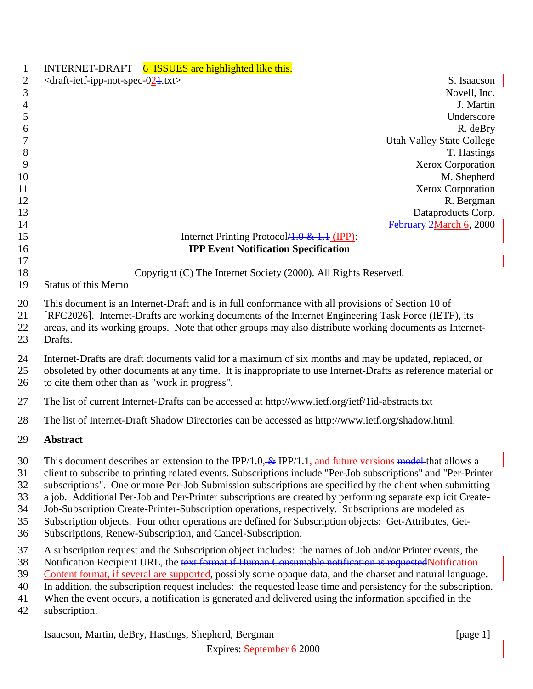| 1            | INTERNET-DRAFT 6 ISSUES are highlighted like this.                                                             |
|--------------|----------------------------------------------------------------------------------------------------------------|
| $\mathbf{2}$ | $\langle$ draft-ietf-ipp-not-spec-024.txt><br>S. Isaacson                                                      |
| 3            | Novell, Inc.                                                                                                   |
| 4            | J. Martin                                                                                                      |
| 5            | Underscore                                                                                                     |
| 6            | R. deBry                                                                                                       |
| 7            | <b>Utah Valley State College</b>                                                                               |
| 8            | T. Hastings                                                                                                    |
| 9            | Xerox Corporation                                                                                              |
| 10           | M. Shepherd                                                                                                    |
| 11           | <b>Xerox Corporation</b>                                                                                       |
| 12<br>13     | R. Bergman<br>Dataproducts Corp.                                                                               |
| 14           | February 2March 6, 2000                                                                                        |
| 15           | Internet Printing Protocol <del>/1.0 &amp; 1.1 (IPP)</del> :                                                   |
| 16           | <b>IPP Event Notification Specification</b>                                                                    |
| 17<br>18     | Copyright (C) The Internet Society (2000). All Rights Reserved.                                                |
| 19           | <b>Status of this Memo</b>                                                                                     |
|              |                                                                                                                |
| 20           | This document is an Internet-Draft and is in full conformance with all provisions of Section 10 of             |
| 21           | [RFC2026]. Internet-Drafts are working documents of the Internet Engineering Task Force (IETF), its            |
| 22           | areas, and its working groups. Note that other groups may also distribute working documents as Internet-       |
| 23           | Drafts.                                                                                                        |
| 24           | Internet-Drafts are draft documents valid for a maximum of six months and may be updated, replaced, or         |
| 25           | obsoleted by other documents at any time. It is inappropriate to use Internet-Drafts as reference material or  |
| 26           | to cite them other than as "work in progress".                                                                 |
| 27           | The list of current Internet-Drafts can be accessed at http://www.ietf.org/ietf/1id-abstracts.txt              |
| 28           | The list of Internet-Draft Shadow Directories can be accessed as http://www.ietf.org/shadow.html.              |
| 29           | <b>Abstract</b>                                                                                                |
| 30           | This document describes an extension to the IPP/1.0. $\&$ IPP/1.1, and future versions model that allows a     |
| 31           | client to subscribe to printing related events. Subscriptions include "Per-Job subscriptions" and "Per-Printer |
| 32           | subscriptions". One or more Per-Job Submission subscriptions are specified by the client when submitting       |
| 33           | a job. Additional Per-Job and Per-Printer subscriptions are created by performing separate explicit Create-    |
| 34           | Job-Subscription Create-Printer-Subscription operations, respectively. Subscriptions are modeled as            |
| 35           | Subscription objects. Four other operations are defined for Subscription objects: Get-Attributes, Get-         |
| 36           | Subscriptions, Renew-Subscription, and Cancel-Subscription.                                                    |
| 37           | A subscription request and the Subscription object includes: the names of Job and/or Printer events, the       |
| 38           | Notification Recipient URL, the text format if Human Consumable notification is requested Notification         |
| 39           | Content format, if several are supported, possibly some opaque data, and the charset and natural language.     |
| 40           | In addition, the subscription request includes: the requested lease time and persistency for the subscription. |
| 41           | When the event occurs, a notification is generated and delivered using the information specified in the        |
| 42           | subscription.                                                                                                  |
|              | Isaacson, Martin, deBry, Hastings, Shepherd, Bergman<br>[page $1$ ]                                            |
|              |                                                                                                                |

Expires: September 6 2000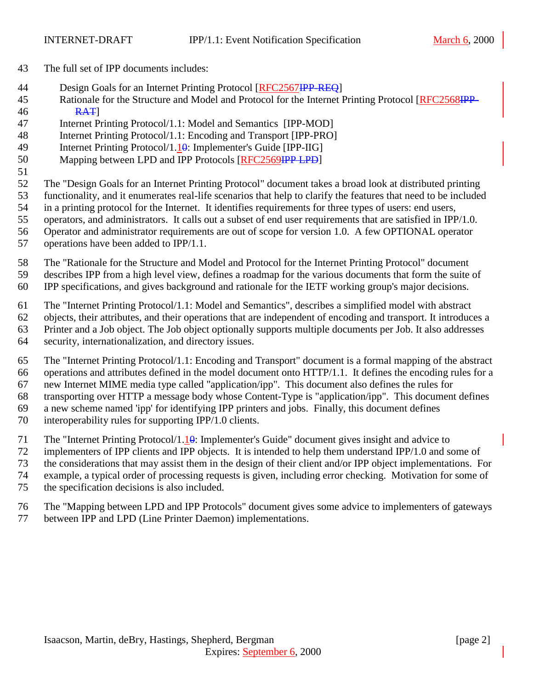- The full set of IPP documents includes:
- 44 Design Goals for an Internet Printing Protocol [RFC2567IPP-REQ]
- 45 Rationale for the Structure and Model and Protocol for the Internet Printing Protocol [RFC2568IPP-**RAT**
- Internet Printing Protocol/1.1: Model and Semantics [IPP-MOD]
- Internet Printing Protocol/1.1: Encoding and Transport [IPP-PRO]
- Internet Printing Protocol/1.10: Implementer's Guide [IPP-IIG]
- Mapping between LPD and IPP Protocols [RFC2569IPP LPD]
- 

The "Design Goals for an Internet Printing Protocol" document takes a broad look at distributed printing

- functionality, and it enumerates real-life scenarios that help to clarify the features that need to be included
- in a printing protocol for the Internet. It identifies requirements for three types of users: end users,
- operators, and administrators. It calls out a subset of end user requirements that are satisfied in IPP/1.0. Operator and administrator requirements are out of scope for version 1.0. A few OPTIONAL operator
- operations have been added to IPP/1.1.
- The "Rationale for the Structure and Model and Protocol for the Internet Printing Protocol" document describes IPP from a high level view, defines a roadmap for the various documents that form the suite of IPP specifications, and gives background and rationale for the IETF working group's major decisions.
- The "Internet Printing Protocol/1.1: Model and Semantics", describes a simplified model with abstract
- objects, their attributes, and their operations that are independent of encoding and transport. It introduces a
- Printer and a Job object. The Job object optionally supports multiple documents per Job. It also addresses
	- security, internationalization, and directory issues.
	- The "Internet Printing Protocol/1.1: Encoding and Transport" document is a formal mapping of the abstract operations and attributes defined in the model document onto HTTP/1.1. It defines the encoding rules for a new Internet MIME media type called "application/ipp". This document also defines the rules for transporting over HTTP a message body whose Content-Type is "application/ipp". This document defines a new scheme named 'ipp' for identifying IPP printers and jobs. Finally, this document defines interoperability rules for supporting IPP/1.0 clients.
	- 71 The "Internet Printing Protocol/1.10: Implementer's Guide" document gives insight and advice to
	- implementers of IPP clients and IPP objects. It is intended to help them understand IPP/1.0 and some of
	- the considerations that may assist them in the design of their client and/or IPP object implementations. For
	- example, a typical order of processing requests is given, including error checking. Motivation for some of
	- the specification decisions is also included.
	- The "Mapping between LPD and IPP Protocols" document gives some advice to implementers of gateways between IPP and LPD (Line Printer Daemon) implementations.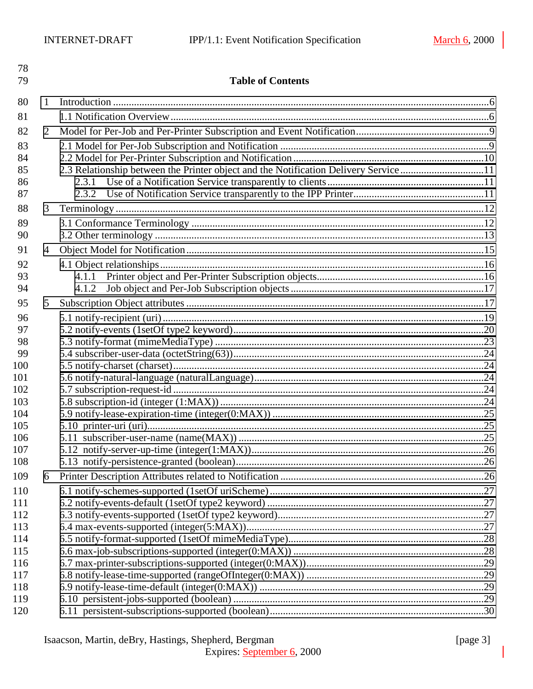| 78<br>79   |                | <b>Table of Contents</b>                                                             |  |
|------------|----------------|--------------------------------------------------------------------------------------|--|
| 80         | 1              |                                                                                      |  |
| 81         |                |                                                                                      |  |
| 82         | $\overline{2}$ |                                                                                      |  |
| 83         |                |                                                                                      |  |
| 84         |                |                                                                                      |  |
| 85         |                | 2.3 Relationship between the Printer object and the Notification Delivery Service 11 |  |
| 86         |                | 2.3.1                                                                                |  |
| 87         |                |                                                                                      |  |
| 88         | 3              |                                                                                      |  |
| 89         |                |                                                                                      |  |
| 90         |                |                                                                                      |  |
| 91         | 4              |                                                                                      |  |
| 92         |                |                                                                                      |  |
| 93         |                | 4.1.1                                                                                |  |
| 94         |                | 4.1.2                                                                                |  |
| 95         | 5              |                                                                                      |  |
| 96         |                |                                                                                      |  |
| 97         |                |                                                                                      |  |
| 98         |                |                                                                                      |  |
| 99         |                |                                                                                      |  |
| 100<br>101 |                |                                                                                      |  |
| 102        |                |                                                                                      |  |
| 103        |                |                                                                                      |  |
| 104        |                |                                                                                      |  |
| 105        |                |                                                                                      |  |
| 106        |                |                                                                                      |  |
| 107        |                |                                                                                      |  |
| 108        |                |                                                                                      |  |
| 109        | 6              |                                                                                      |  |
| 110        |                |                                                                                      |  |
| 111        |                |                                                                                      |  |
| 112<br>113 |                |                                                                                      |  |
| 114        |                |                                                                                      |  |
| 115        |                |                                                                                      |  |
| 116        |                |                                                                                      |  |
| 117        |                |                                                                                      |  |
| 118        |                |                                                                                      |  |
| 119        |                |                                                                                      |  |
| 120        |                |                                                                                      |  |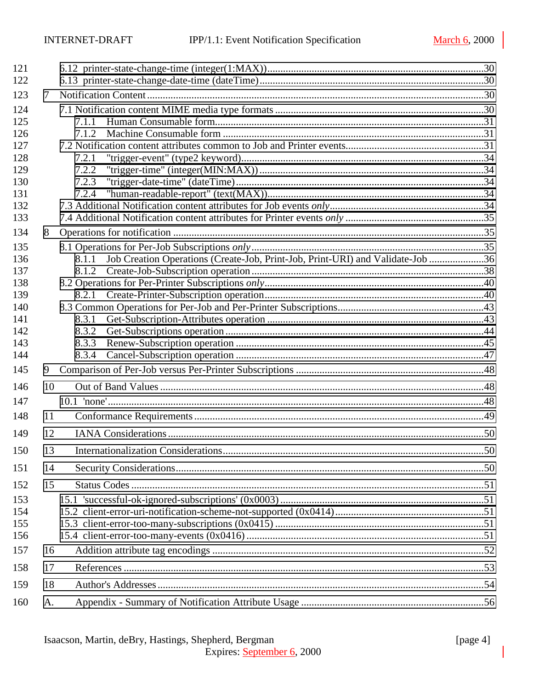| 121        |    |                                                                                                  |  |
|------------|----|--------------------------------------------------------------------------------------------------|--|
| 122        |    |                                                                                                  |  |
| 123        | 7  |                                                                                                  |  |
| 124        |    |                                                                                                  |  |
| 125        |    | 7.1.1                                                                                            |  |
| 126        |    | 7.1.2                                                                                            |  |
| 127        |    |                                                                                                  |  |
| 128        |    | 7.2.1                                                                                            |  |
| 129        |    | 7.2.2                                                                                            |  |
| 130        |    | 7.2.3                                                                                            |  |
| 131        |    | 7.2.4                                                                                            |  |
| 132<br>133 |    |                                                                                                  |  |
|            |    |                                                                                                  |  |
| 134        | 8  |                                                                                                  |  |
| 135        |    |                                                                                                  |  |
| 136<br>137 |    | Job Creation Operations (Create-Job, Print-Job, Print-URI) and Validate-Job 36<br>8.1.1<br>8.1.2 |  |
| 138        |    |                                                                                                  |  |
| 139        |    | 8.2.1                                                                                            |  |
| 140        |    |                                                                                                  |  |
| 141        |    | 8.3.1                                                                                            |  |
| 142        |    | 8.3.2                                                                                            |  |
| 143        |    | 8.3.3                                                                                            |  |
| 144        |    | 8.3.4                                                                                            |  |
| 145        | 9  |                                                                                                  |  |
| 146        | 10 |                                                                                                  |  |
| 147        |    |                                                                                                  |  |
| 148        | 11 |                                                                                                  |  |
| 149        | 12 |                                                                                                  |  |
| 150        | 13 |                                                                                                  |  |
| 151        | 14 |                                                                                                  |  |
| 152        | 15 |                                                                                                  |  |
| 153        |    |                                                                                                  |  |
| 154        |    |                                                                                                  |  |
| 155        |    |                                                                                                  |  |
| 156        |    |                                                                                                  |  |
| 157        | 16 |                                                                                                  |  |
| 158        | 17 |                                                                                                  |  |
| 159        | 18 |                                                                                                  |  |
| 160        | A. |                                                                                                  |  |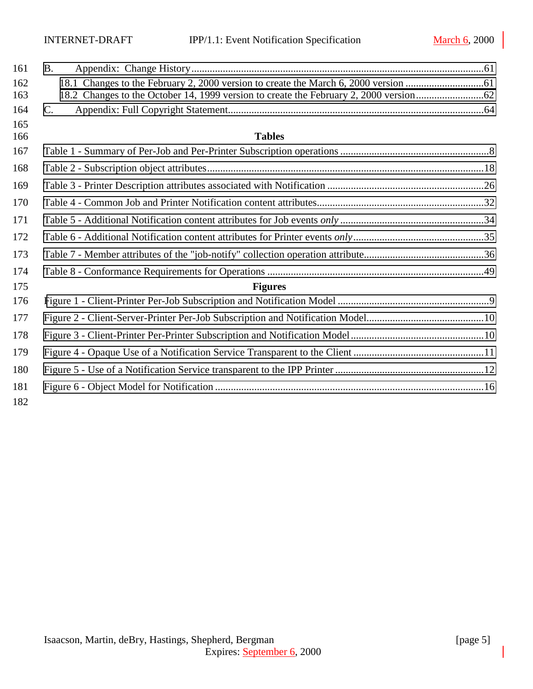| 161        | <b>B.</b>      |  |
|------------|----------------|--|
| 162<br>163 |                |  |
| 164        | $C_{\cdot}$    |  |
| 165<br>166 | <b>Tables</b>  |  |
| 167        |                |  |
| 168        |                |  |
| 169        |                |  |
| 170        |                |  |
| 171        |                |  |
| 172        |                |  |
| 173        |                |  |
| 174        |                |  |
| 175        | <b>Figures</b> |  |
| 176        |                |  |
| 177        |                |  |
| 178        |                |  |
| 179        |                |  |
| 180        |                |  |
| 181        |                |  |
| 182        |                |  |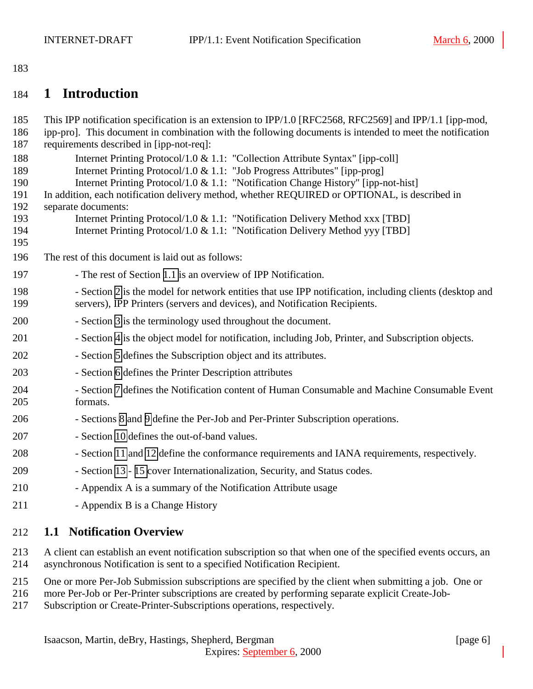# <span id="page-5-0"></span>184 **1 Introduction**

| 185<br>186                                                  | This IPP notification specification is an extension to IPP/1.0 [RFC2568, RFC2569] and IPP/1.1 [ipp-mod,<br>ipp-pro]. This document in combination with the following documents is intended to meet the notification                                                                                                                                                                                                                                                                                                                                                                      |
|-------------------------------------------------------------|------------------------------------------------------------------------------------------------------------------------------------------------------------------------------------------------------------------------------------------------------------------------------------------------------------------------------------------------------------------------------------------------------------------------------------------------------------------------------------------------------------------------------------------------------------------------------------------|
| 187<br>188<br>189<br>190<br>191<br>192<br>193<br>194<br>195 | requirements described in [ipp-not-req]:<br>Internet Printing Protocol/1.0 & 1.1: "Collection Attribute Syntax" [ipp-coll]<br>Internet Printing Protocol/1.0 & 1.1: "Job Progress Attributes" [ipp-prog]<br>Internet Printing Protocol/1.0 & 1.1: "Notification Change History" [ipp-not-hist]<br>In addition, each notification delivery method, whether REQUIRED or OPTIONAL, is described in<br>separate documents:<br>Internet Printing Protocol/1.0 & 1.1: "Notification Delivery Method xxx [TBD]<br>Internet Printing Protocol/1.0 & 1.1: "Notification Delivery Method yyy [TBD] |
| 196                                                         | The rest of this document is laid out as follows:                                                                                                                                                                                                                                                                                                                                                                                                                                                                                                                                        |
| 197                                                         | - The rest of Section 1.1 is an overview of IPP Notification.                                                                                                                                                                                                                                                                                                                                                                                                                                                                                                                            |
| 198<br>199                                                  | - Section 2 is the model for network entities that use IPP notification, including clients (desktop and<br>servers), IPP Printers (servers and devices), and Notification Recipients.                                                                                                                                                                                                                                                                                                                                                                                                    |
| 200                                                         | - Section 3 is the terminology used throughout the document.                                                                                                                                                                                                                                                                                                                                                                                                                                                                                                                             |
| 201                                                         | - Section 4 is the object model for notification, including Job, Printer, and Subscription objects.                                                                                                                                                                                                                                                                                                                                                                                                                                                                                      |
| 202                                                         | - Section 5 defines the Subscription object and its attributes.                                                                                                                                                                                                                                                                                                                                                                                                                                                                                                                          |
| 203                                                         | - Section 6 defines the Printer Description attributes                                                                                                                                                                                                                                                                                                                                                                                                                                                                                                                                   |
| 204<br>205                                                  | - Section 7 defines the Notification content of Human Consumable and Machine Consumable Event<br>formats.                                                                                                                                                                                                                                                                                                                                                                                                                                                                                |
| 206                                                         | - Sections 8 and 9 define the Per-Job and Per-Printer Subscription operations.                                                                                                                                                                                                                                                                                                                                                                                                                                                                                                           |
| 207                                                         | - Section 10 defines the out-of-band values.                                                                                                                                                                                                                                                                                                                                                                                                                                                                                                                                             |
| 208                                                         | - Section 11 and 12 define the conformance requirements and IANA requirements, respectively.                                                                                                                                                                                                                                                                                                                                                                                                                                                                                             |
| 209                                                         | - Section 13 - 15 cover Internationalization, Security, and Status codes.                                                                                                                                                                                                                                                                                                                                                                                                                                                                                                                |
| 210                                                         | - Appendix A is a summary of the Notification Attribute usage                                                                                                                                                                                                                                                                                                                                                                                                                                                                                                                            |
| 211                                                         | - Appendix B is a Change History                                                                                                                                                                                                                                                                                                                                                                                                                                                                                                                                                         |
| 212                                                         | <b>1.1 Notification Overview</b>                                                                                                                                                                                                                                                                                                                                                                                                                                                                                                                                                         |

213 A client can establish an event notification subscription so that when one of the specified events occurs, an 214 asynchronous Notification is sent to a specified Notification Recipient.

- 215 One or more Per-Job Submission subscriptions are specified by the client when submitting a job. One or
- 216 more Per-Job or Per-Printer subscriptions are created by performing separate explicit Create-Job-
- 217 Subscription or Create-Printer-Subscriptions operations, respectively.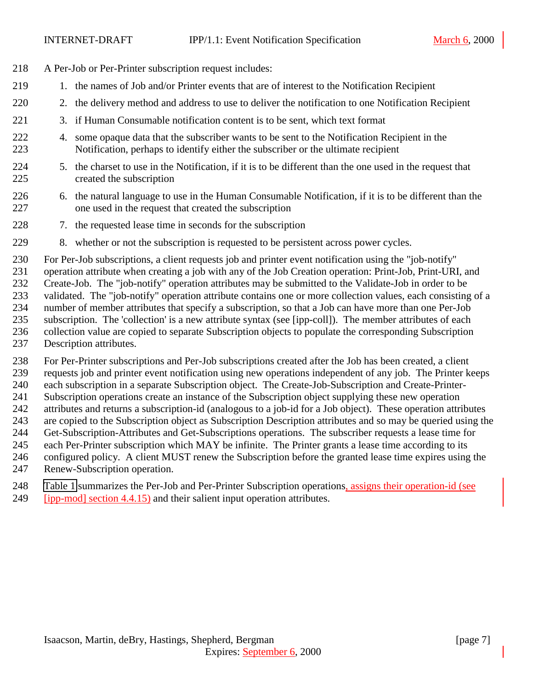- A Per-Job or Per-Printer subscription request includes:
- 219 1. the names of Job and/or Printer events that are of interest to the Notification Recipient
- 2. the delivery method and address to use to deliver the notification to one Notification Recipient
- 3. if Human Consumable notification content is to be sent, which text format
- 4. some opaque data that the subscriber wants to be sent to the Notification Recipient in the Notification, perhaps to identify either the subscriber or the ultimate recipient
- 5. the charset to use in the Notification, if it is to be different than the one used in the request that created the subscription
- 6. the natural language to use in the Human Consumable Notification, if it is to be different than the one used in the request that created the subscription
- 228 7. the requested lease time in seconds for the subscription
- 8. whether or not the subscription is requested to be persistent across power cycles.

 For Per-Job subscriptions, a client requests job and printer event notification using the "job-notify" operation attribute when creating a job with any of the Job Creation operation: Print-Job, Print-URI, and Create-Job. The "job-notify" operation attributes may be submitted to the Validate-Job in order to be validated. The "job-notify" operation attribute contains one or more collection values, each consisting of a number of member attributes that specify a subscription, so that a Job can have more than one Per-Job subscription. The 'collection' is a new attribute syntax (see [ipp-coll]). The member attributes of each collection value are copied to separate Subscription objects to populate the corresponding Subscription Description attributes.

 For Per-Printer subscriptions and Per-Job subscriptions created after the Job has been created, a client requests job and printer event notification using new operations independent of any job. The Printer keeps each subscription in a separate Subscription object. The Create-Job-Subscription and Create-Printer- Subscription operations create an instance of the Subscription object supplying these new operation attributes and returns a subscription-id (analogous to a job-id for a Job object). These operation attributes are copied to the Subscription object as Subscription Description attributes and so may be queried using the Get-Subscription-Attributes and Get-Subscriptions operations. The subscriber requests a lease time for each Per-Printer subscription which MAY be infinite. The Printer grants a lease time according to its configured policy. A client MUST renew the Subscription before the granted lease time expires using the Renew-Subscription operation.

 [Table 1](#page-7-0) summarizes the Per-Job and Per-Printer Subscription operations, assigns their operation-id (see [ipp-mod] section 4.4.15) and their salient input operation attributes.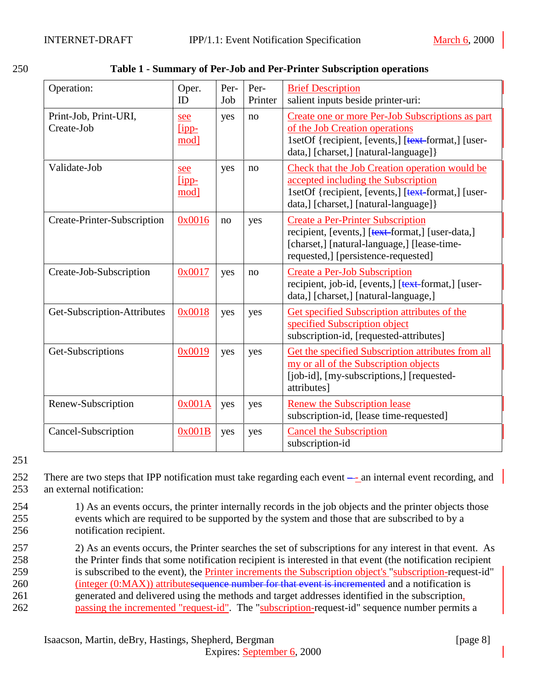| Operation:                          | Oper.<br>ID            | Per-<br>Job | Per-<br>Printer | <b>Brief Description</b><br>salient inputs beside printer-uri:                                                                                                                        |
|-------------------------------------|------------------------|-------------|-----------------|---------------------------------------------------------------------------------------------------------------------------------------------------------------------------------------|
| Print-Job, Print-URI,<br>Create-Job | see<br>$lipp-$<br>mod] | yes         | no              | Create one or more Per-Job Subscriptions as part<br>of the Job Creation operations<br>1setOf {recipient, [events,] [text-format,] [user-<br>data,] [charset,] [natural-language] }    |
| Validate-Job                        | see<br>$lipp-$<br>mod] | yes         | no              | Check that the Job Creation operation would be<br>accepted including the Subscription<br>1setOf {recipient, [events,] [text-format,] [user-<br>data,] [charset,] [natural-language] } |
| Create-Printer-Subscription         | 0x0016                 | no          | yes             | <b>Create a Per-Printer Subscription</b><br>recipient, [events,] [text-format,] [user-data,]<br>[charset,] [natural-language,] [lease-time-<br>requested,] [persistence-requested]    |
| Create-Job-Subscription             | 0x0017                 | yes         | no              | <b>Create a Per-Job Subscription</b><br>recipient, job-id, [events,] [text-format,] [user-<br>data, [charset,] [natural-language,]                                                    |
| Get-Subscription-Attributes         | 0x0018                 | yes         | yes             | <b>Get specified Subscription attributes of the</b><br>specified Subscription object<br>subscription-id, [requested-attributes]                                                       |
| Get-Subscriptions                   | 0x0019                 | yes         | yes             | Get the specified Subscription attributes from all<br>my or all of the Subscription objects<br>[job-id], [my-subscriptions,] [requested-<br>attributes]                               |
| Renew-Subscription                  | 0x001A                 | yes         | yes             | <b>Renew the Subscription lease</b><br>subscription-id, [lease time-requested]                                                                                                        |
| Cancel-Subscription                 | 0x001B                 | yes         | yes             | <b>Cancel the Subscription</b><br>subscription-id                                                                                                                                     |

<span id="page-7-0"></span>

| 250<br>Table 1 - Summary of Per-Job and Per-Printer Subscription operations |
|-----------------------------------------------------------------------------|
|-----------------------------------------------------------------------------|

252 There are two steps that IPP notification must take regarding each event –- an internal event recording, and 253 an external notification:

- 254 1) As an events occurs, the printer internally records in the job objects and the printer objects those 255 events which are required to be supported by the system and those that are subscribed to by a 256 notification recipient.
- 257 2) As an events occurs, the Printer searches the set of subscriptions for any interest in that event. As

258 the Printer finds that some notification recipient is interested in that event (the notification recipient

- 259 is subscribed to the event), the Printer increments the Subscription object's "subscription-request-id"
- 260 (integer (0:MAX)) attributes equence number for that event is incremented and a notification is
- 261 generated and delivered using the methods and target addresses identified in the subscription, 262 passing the incremented "request-id". The "subscription-request-id" sequence number permits a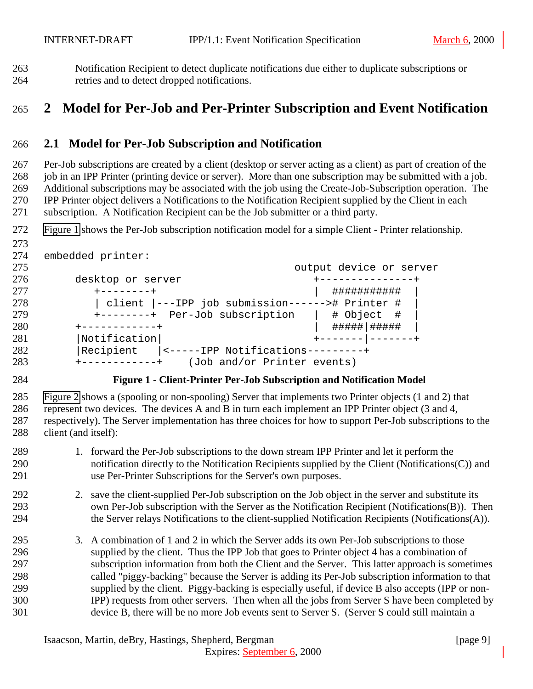<span id="page-8-0"></span> Notification Recipient to detect duplicate notifications due either to duplicate subscriptions or retries and to detect dropped notifications.

# **2 Model for Per-Job and Per-Printer Subscription and Event Notification**

#### **2.1 Model for Per-Job Subscription and Notification**

 Per-Job subscriptions are created by a client (desktop or server acting as a client) as part of creation of the 268 job in an IPP Printer (printing device or server). More than one subscription may be submitted with a job. Additional subscriptions may be associated with the job using the Create-Job-Subscription operation. The IPP Printer object delivers a Notifications to the Notification Recipient supplied by the Client in each subscription. A Notification Recipient can be the Job submitter or a third party.

Figure 1 shows the Per-Job subscription notification model for a simple Client - Printer relationship.

```
273
```

```
274 embedded printer:
```

| 275                              |                                                 | output device or server       |
|----------------------------------|-------------------------------------------------|-------------------------------|
| 276                              | desktop or server                               | . _ _ _ _ _ _ _ _ _ _ _ _ _ _ |
| 277                              | $+ - - - - - - - +$                             | ###########                   |
| 278                              | client  ---IPP job submission------># Printer # |                               |
| 279                              | +--------+ Per-Job subscription                 | # Object #                    |
| 280                              | ------------+                                   |                               |
| 281<br> Notification             |                                                 |                               |
| 282<br>Recipient                 | <-----IPP Notifications---------+               |                               |
| 283<br>$+ - - - - - - - - - - +$ |                                                 | (Job and/or Printer events)   |

#### **Figure 1 - Client-Printer Per-Job Subscription and Notification Model**

 [Figure 2](#page-9-0) shows a (spooling or non-spooling) Server that implements two Printer objects (1 and 2) that represent two devices. The devices A and B in turn each implement an IPP Printer object (3 and 4, respectively). The Server implementation has three choices for how to support Per-Job subscriptions to the client (and itself):

- 1. forward the Per-Job subscriptions to the down stream IPP Printer and let it perform the notification directly to the Notification Recipients supplied by the Client (Notifications(C)) and use Per-Printer Subscriptions for the Server's own purposes.
- 2. save the client-supplied Per-Job subscription on the Job object in the server and substitute its own Per-Job subscription with the Server as the Notification Recipient (Notifications(B)). Then the Server relays Notifications to the client-supplied Notification Recipients (Notifications(A)).
- 3. A combination of 1 and 2 in which the Server adds its own Per-Job subscriptions to those supplied by the client. Thus the IPP Job that goes to Printer object 4 has a combination of subscription information from both the Client and the Server. This latter approach is sometimes called "piggy-backing" because the Server is adding its Per-Job subscription information to that supplied by the client. Piggy-backing is especially useful, if device B also accepts (IPP or non- IPP) requests from other servers. Then when all the jobs from Server S have been completed by device B, there will be no more Job events sent to Server S. (Server S could still maintain a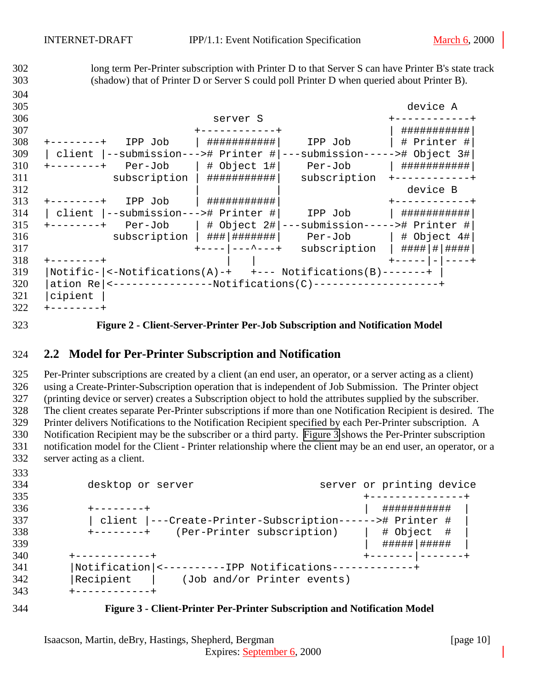<span id="page-9-0"></span> long term Per-Printer subscription with Printer D to that Server S can have Printer B's state track (shadow) that of Printer D or Server S could poll Printer D when queried about Printer B). device A server S +------------+ +------------+ | ###########| +--------+ IPP Job | ###########| IPP Job | # Printer #| | client |--submission---># Printer #|---submission-----># Object 3#| +--------+ Per-Job | # Object 1#| Per-Job | ###########| subscription | ###########| subscription +------------+ 312 and  $|$  and  $|$  device B +--------+ IPP Job | ###########| +------------+ | client |--submission---># Printer #| IPP Job | ###########| +--------+ Per-Job | # Object 2#|---submission-----># Printer #| subscription | ###|#######| Per-Job | # Object 4#| +----|---^---+ subscription | ####|#|####| +--------+ | | | +-----|-|----+ |Notific-|<-Notifications(A)-+ +--- Notifications(B)-------+ | |ation Re|<----------------Notifications(C)--------------------+ |cipient |  $322 + --- --- ---$ 

**Figure 2 - Client-Server-Printer Per-Job Subscription and Notification Model**

#### **2.2 Model for Per-Printer Subscription and Notification**

 Per-Printer subscriptions are created by a client (an end user, an operator, or a server acting as a client) using a Create-Printer-Subscription operation that is independent of Job Submission. The Printer object (printing device or server) creates a Subscription object to hold the attributes supplied by the subscriber. The client creates separate Per-Printer subscriptions if more than one Notification Recipient is desired. The Printer delivers Notifications to the Notification Recipient specified by each Per-Printer subscription. A Notification Recipient may be the subscriber or a third party. Figure 3 shows the Per-Printer subscription notification model for the Client - Printer relationship where the client may be an end user, an operator, or a server acting as a client.

| 334<br>desktop or server<br>335<br>336<br>$+ - - - - - - - +$   |                           |
|-----------------------------------------------------------------|---------------------------|
|                                                                 | server or printing device |
|                                                                 | --------------            |
|                                                                 | ###########               |
| 337<br>client  ---Create-Printer-Subscription------># Printer # |                           |
| 338<br>(Per-Printer subscription)<br>$+ - - - - - - - +$        | # Object #                |
| 339                                                             | #####   #####             |
| 340<br>+-----------+                                            |                           |
| 341<br>Notification  <----------IPP Notifications----           |                           |
| 342<br>Recipient<br>(Job and/or Printer events)                 |                           |
| 343<br>-----------+                                             |                           |

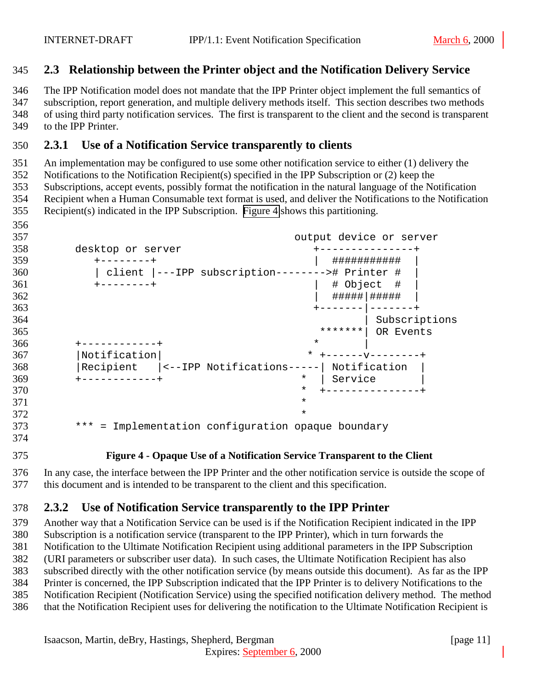#### <span id="page-10-0"></span>**2.3 Relationship between the Printer object and the Notification Delivery Service**

 The IPP Notification model does not mandate that the IPP Printer object implement the full semantics of subscription, report generation, and multiple delivery methods itself. This section describes two methods of using third party notification services. The first is transparent to the client and the second is transparent to the IPP Printer.

## **2.3.1 Use of a Notification Service transparently to clients**

 An implementation may be configured to use some other notification service to either (1) delivery the Notifications to the Notification Recipient(s) specified in the IPP Subscription or (2) keep the Subscriptions, accept events, possibly format the notification in the natural language of the Notification Recipient when a Human Consumable text format is used, and deliver the Notifications to the Notification Recipient(s) indicated in the IPP Subscription. Figure 4 shows this partitioning.

| 357 | output device or server                             |
|-----|-----------------------------------------------------|
| 358 | desktop or server                                   |
| 359 | ###########<br>$------+$                            |
| 360 | client  ---IPP subscription--------># Printer #     |
| 361 | # Object #<br>$+ - - - - - - - +$                   |
| 362 | #####   #####                                       |
| 363 |                                                     |
| 364 | Subscriptions                                       |
| 365 | *******<br>OR Events                                |
| 366 | $\star$                                             |
| 367 | Notification<br>* $+$ - - - - - - - - - - - - - - + |
| 368 | Recipient  <--IPP Notifications-----  Notification  |
| 369 | Service<br>$\ast$                                   |
| 370 | $\ast$                                              |
| 371 | $\star$                                             |
| 372 | $\star$                                             |
| 373 | *** = Implementation configuration opaque boundary  |
|     |                                                     |

#### **Figure 4 - Opaque Use of a Notification Service Transparent to the Client**

 In any case, the interface between the IPP Printer and the other notification service is outside the scope of this document and is intended to be transparent to the client and this specification.

## **2.3.2 Use of Notification Service transparently to the IPP Printer**

 Another way that a Notification Service can be used is if the Notification Recipient indicated in the IPP Subscription is a notification service (transparent to the IPP Printer), which in turn forwards the Notification to the Ultimate Notification Recipient using additional parameters in the IPP Subscription (URI parameters or subscriber user data). In such cases, the Ultimate Notification Recipient has also subscribed directly with the other notification service (by means outside this document). As far as the IPP Printer is concerned, the IPP Subscription indicated that the IPP Printer is to delivery Notifications to the Notification Recipient (Notification Service) using the specified notification delivery method. The method that the Notification Recipient uses for delivering the notification to the Ultimate Notification Recipient is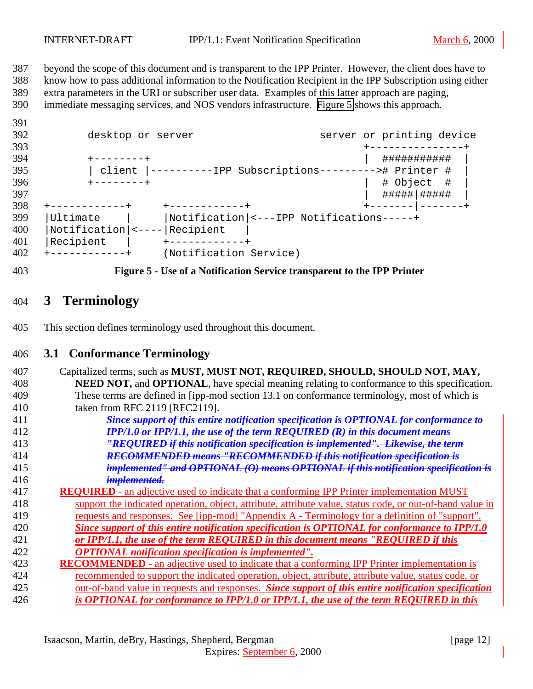<span id="page-11-0"></span> beyond the scope of this document and is transparent to the IPP Printer. However, the client does have to know how to pass additional information to the Notification Recipient in the IPP Subscription using either extra parameters in the URI or subscriber user data. Examples of this latter approach are paging, immediate messaging services, and NOS vendors infrastructure. Figure 5 shows this approach.

| J J 1 |                                          |                                                  |                           |
|-------|------------------------------------------|--------------------------------------------------|---------------------------|
| 392   | desktop or server                        |                                                  | server or printing device |
| 393   |                                          |                                                  |                           |
| 394   |                                          |                                                  | ###########               |
| 395   | client                                   | ----------IPP Subscriptions---------># Printer # |                           |
| 396   | $+ - - - - - - - +$                      |                                                  | # Object #                |
| 397   |                                          |                                                  | #####   #####             |
| 398   | ------------+                            | +-----------+                                    |                           |
| 399   | Ultimate                                 | Notification  <---IPP Notifications-----+        |                           |
| 400   | $Notification$   $\left  \left  \right $ | Recipient                                        |                           |
| 401   | Recipient                                |                                                  |                           |
| 402   |                                          | (Notification Service)                           |                           |
|       |                                          |                                                  |                           |



# **3 Terminology**

This section defines terminology used throughout this document.

#### **3.1 Conformance Terminology**

| 407 | Capitalized terms, such as MUST, MUST NOT, REQUIRED, SHOULD, SHOULD NOT, MAY,                             |
|-----|-----------------------------------------------------------------------------------------------------------|
| 408 | NEED NOT, and OPTIONAL, have special meaning relating to conformance to this specification.               |
| 409 | These terms are defined in [ipp-mod section 13.1 on conformance terminology, most of which is             |
| 410 | taken from RFC 2119 [RFC2119].                                                                            |
| 411 | <b>Since support of this entire notification specification is OPTIONAL for conformance to</b>             |
| 412 | <b>IPP/1.0 or IPP/1.1, the use of the term REQUIRED (R) in this document means</b>                        |
| 413 | "REQUIRED if this notification specification is implemented". Likewise, the term                          |
| 414 | <b>RECOMMENDED means "RECOMMENDED if this notification specification is</b>                               |
| 415 | implemented" and OPTIONAL (O) means OPTIONAL if this notification specification is                        |
| 416 | <del>implemented.</del>                                                                                   |
| 417 | <b>REQUIRED</b> - an adjective used to indicate that a conforming IPP Printer implementation MUST         |
| 418 | support the indicated operation, object, attribute, attribute value, status code, or out-of-band value in |
| 419 | requests and responses. See [ipp-mod] "Appendix A - Terminology for a definition of "support".            |
| 420 | Since support of this entire notification specification is OPTIONAL for conformance to IPP/1.0            |
| 421 | or IPP/1.1, the use of the term REOUIRED in this document means "REOUIRED if this                         |
| 422 | <b>OPTIONAL</b> notification specification is implemented".                                               |
| 423 | <b>RECOMMENDED</b> - an adjective used to indicate that a conforming IPP Printer implementation is        |
| 424 | recommended to support the indicated operation, object, attribute, attribute value, status code, or       |
| 425 | out-of-band value in requests and responses. Since support of this entire notification specification      |
| 426 | is OPTIONAL for conformance to IPP/1.0 or IPP/1.1, the use of the term REOUIRED in this                   |
|     |                                                                                                           |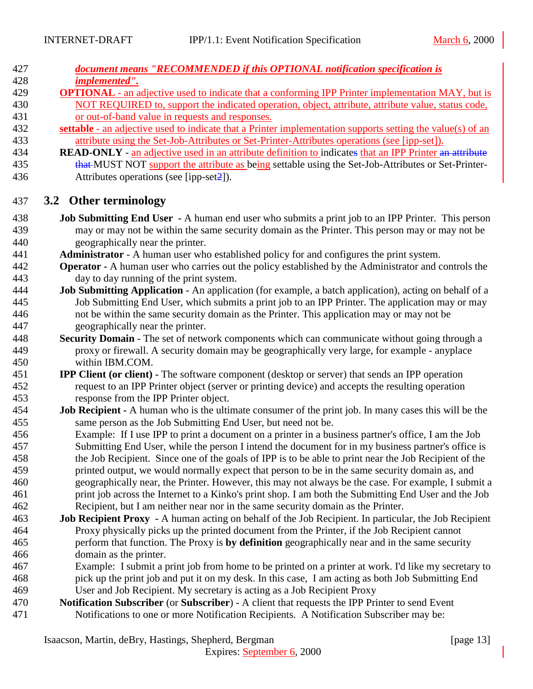<span id="page-12-0"></span>

| 427 | document means "RECOMMENDED if this OPTIONAL notification specification is |
|-----|----------------------------------------------------------------------------|
| 428 | <i>implemented".</i>                                                       |

- **OPTIONAL**  an adjective used to indicate that a conforming IPP Printer implementation MAY, but is NOT REQUIRED to, support the indicated operation, object, attribute, attribute value, status code, or out-of-band value in requests and responses.
- **settable**  an adjective used to indicate that a Printer implementation supports setting the value(s) of an attribute using the Set-Job-Attributes or Set-Printer-Attributes operations (see [ipp-set]).
- **READ-ONLY** an adjective used in an attribute definition to indicates that an IPP Printer an attribute 435 that MUST NOT support the attribute as being settable using the Set-Job-Attributes or Set-Printer-436 Attributes operations (see [ipp-set 2]).

#### **3.2 Other terminology**

- **Job Submitting End User** A human end user who submits a print job to an IPP Printer. This person may or may not be within the same security domain as the Printer. This person may or may not be geographically near the printer.
- **Administrator**  A human user who established policy for and configures the print system.
- **Operator** A human user who carries out the policy established by the Administrator and controls the day to day running of the print system.
- **Job Submitting Application** An application (for example, a batch application), acting on behalf of a Job Submitting End User, which submits a print job to an IPP Printer. The application may or may not be within the same security domain as the Printer. This application may or may not be geographically near the printer.
- **Security Domain** The set of network components which can communicate without going through a proxy or firewall. A security domain may be geographically very large, for example - anyplace within IBM.COM.
- **IPP Client (or client)** The software component (desktop or server) that sends an IPP operation request to an IPP Printer object (server or printing device) and accepts the resulting operation response from the IPP Printer object.
- **Job Recipient** A human who is the ultimate consumer of the print job. In many cases this will be the same person as the Job Submitting End User, but need not be.
- Example: If I use IPP to print a document on a printer in a business partner's office, I am the Job Submitting End User, while the person I intend the document for in my business partner's office is the Job Recipient. Since one of the goals of IPP is to be able to print near the Job Recipient of the printed output, we would normally expect that person to be in the same security domain as, and geographically near, the Printer. However, this may not always be the case. For example, I submit a print job across the Internet to a Kinko's print shop. I am both the Submitting End User and the Job Recipient, but I am neither near nor in the same security domain as the Printer.
- **Job Recipient Proxy** A human acting on behalf of the Job Recipient. In particular, the Job Recipient Proxy physically picks up the printed document from the Printer, if the Job Recipient cannot perform that function. The Proxy is **by definition** geographically near and in the same security domain as the printer.
- Example: I submit a print job from home to be printed on a printer at work. I'd like my secretary to pick up the print job and put it on my desk. In this case, I am acting as both Job Submitting End User and Job Recipient. My secretary is acting as a Job Recipient Proxy
- **Notification Subscriber** (or **Subscriber**) A client that requests the IPP Printer to send Event Notifications to one or more Notification Recipients. A Notification Subscriber may be: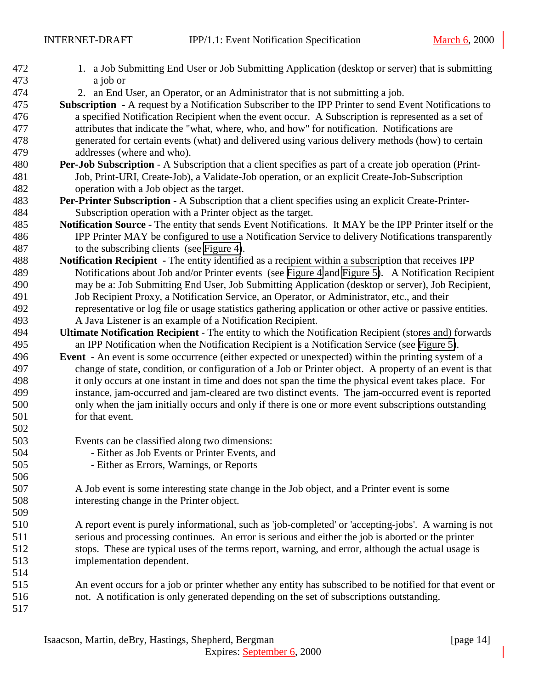| 472<br>473 | 1. a Job Submitting End User or Job Submitting Application (desktop or server) that is submitting<br>a job or                                                                                            |
|------------|----------------------------------------------------------------------------------------------------------------------------------------------------------------------------------------------------------|
| 474        | 2. an End User, an Operator, or an Administrator that is not submitting a job.                                                                                                                           |
| 475        | Subscription - A request by a Notification Subscriber to the IPP Printer to send Event Notifications to                                                                                                  |
| 476        | a specified Notification Recipient when the event occur. A Subscription is represented as a set of                                                                                                       |
| 477        | attributes that indicate the "what, where, who, and how" for notification. Notifications are                                                                                                             |
| 478        |                                                                                                                                                                                                          |
| 479        | generated for certain events (what) and delivered using various delivery methods (how) to certain<br>addresses (where and who).                                                                          |
| 480        |                                                                                                                                                                                                          |
| 481        | Per-Job Subscription - A Subscription that a client specifies as part of a create job operation (Print-<br>Job, Print-URI, Create-Job), a Validate-Job operation, or an explicit Create-Job-Subscription |
| 482        | operation with a Job object as the target.                                                                                                                                                               |
| 483        | Per-Printer Subscription - A Subscription that a client specifies using an explicit Create-Printer-                                                                                                      |
| 484        | Subscription operation with a Printer object as the target.                                                                                                                                              |
| 485        | Notification Source - The entity that sends Event Notifications. It MAY be the IPP Printer itself or the                                                                                                 |
| 486        | IPP Printer MAY be configured to use a Notification Service to delivery Notifications transparently                                                                                                      |
| 487        | to the subscribing clients (see Figure 4).                                                                                                                                                               |
| 488        | Notification Recipient - The entity identified as a recipient within a subscription that receives IPP                                                                                                    |
| 489        | Notifications about Job and/or Printer events (see Figure 4 and Figure 5). A Notification Recipient                                                                                                      |
| 490        | may be a: Job Submitting End User, Job Submitting Application (desktop or server), Job Recipient,                                                                                                        |
| 491        | Job Recipient Proxy, a Notification Service, an Operator, or Administrator, etc., and their                                                                                                              |
| 492        | representative or log file or usage statistics gathering application or other active or passive entities.                                                                                                |
| 493        | A Java Listener is an example of a Notification Recipient.                                                                                                                                               |
| 494        | Ultimate Notification Recipient - The entity to which the Notification Recipient (stores and) forwards                                                                                                   |
| 495        | an IPP Notification when the Notification Recipient is a Notification Service (see Figure 5).                                                                                                            |
| 496        | <b>Event</b> - An event is some occurrence (either expected or unexpected) within the printing system of a                                                                                               |
| 497        | change of state, condition, or configuration of a Job or Printer object. A property of an event is that                                                                                                  |
| 498        | it only occurs at one instant in time and does not span the time the physical event takes place. For                                                                                                     |
| 499        | instance, jam-occurred and jam-cleared are two distinct events. The jam-occurred event is reported                                                                                                       |
| 500        | only when the jam initially occurs and only if there is one or more event subscriptions outstanding                                                                                                      |
| 501        | for that event.                                                                                                                                                                                          |
| 502        |                                                                                                                                                                                                          |
| 503        | Events can be classified along two dimensions:                                                                                                                                                           |
| 504        | - Either as Job Events or Printer Events, and                                                                                                                                                            |
| 505        | - Either as Errors, Warnings, or Reports                                                                                                                                                                 |
| 506        |                                                                                                                                                                                                          |
| 507        | A Job event is some interesting state change in the Job object, and a Printer event is some                                                                                                              |
| 508        | interesting change in the Printer object.                                                                                                                                                                |
| 509        |                                                                                                                                                                                                          |
| 510        | A report event is purely informational, such as 'job-completed' or 'accepting-jobs'. A warning is not                                                                                                    |
| 511        | serious and processing continues. An error is serious and either the job is aborted or the printer                                                                                                       |
| 512        | stops. These are typical uses of the terms report, warning, and error, although the actual usage is                                                                                                      |
| 513        | implementation dependent.                                                                                                                                                                                |
| 514        |                                                                                                                                                                                                          |
| 515        | An event occurs for a job or printer whether any entity has subscribed to be notified for that event or                                                                                                  |
| 516        | not. A notification is only generated depending on the set of subscriptions outstanding.                                                                                                                 |
| 517        |                                                                                                                                                                                                          |
|            |                                                                                                                                                                                                          |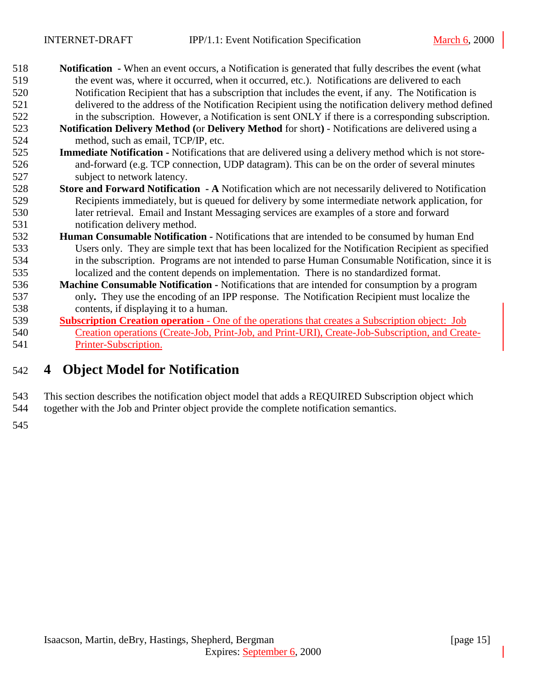- <span id="page-14-0"></span> **Notification -** When an event occurs, a Notification is generated that fully describes the event (what the event was, where it occurred, when it occurred, etc.). Notifications are delivered to each Notification Recipient that has a subscription that includes the event, if any. The Notification is delivered to the address of the Notification Recipient using the notification delivery method defined in the subscription. However, a Notification is sent ONLY if there is a corresponding subscription.
- **Notification Delivery Method (**or **Delivery Method** for short**)**  Notifications are delivered using a method, such as email, TCP/IP, etc.
- **Immediate Notification** Notifications that are delivered using a delivery method which is not store- and-forward (e.g. TCP connection, UDP datagram). This can be on the order of several minutes subject to network latency.
- **Store and Forward Notification A** Notification which are not necessarily delivered to Notification Recipients immediately, but is queued for delivery by some intermediate network application, for later retrieval. Email and Instant Messaging services are examples of a store and forward notification delivery method.
- **Human Consumable Notification** Notifications that are intended to be consumed by human End Users only. They are simple text that has been localized for the Notification Recipient as specified in the subscription. Programs are not intended to parse Human Consumable Notification, since it is localized and the content depends on implementation. There is no standardized format.
- **Machine Consumable Notification** Notifications that are intended for consumption by a program only**.** They use the encoding of an IPP response. The Notification Recipient must localize the contents, if displaying it to a human.
- **Subscription Creation operation**  One of the operations that creates a Subscription object: Job Creation operations (Create-Job, Print-Job, and Print-URI), Create-Job-Subscription, and Create-Printer-Subscription.

# **4 Object Model for Notification**

 This section describes the notification object model that adds a REQUIRED Subscription object which together with the Job and Printer object provide the complete notification semantics.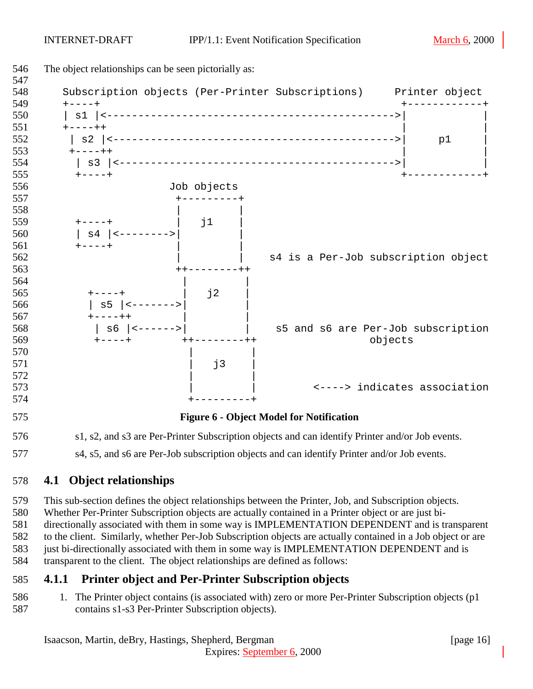<span id="page-15-0"></span>

577 s4, s5, and s6 are Per-Job subscription objects and can identify Printer and/or Job events.

## **4.1 Object relationships**

 This sub-section defines the object relationships between the Printer, Job, and Subscription objects. Whether Per-Printer Subscription objects are actually contained in a Printer object or are just bi-directionally associated with them in some way is IMPLEMENTATION DEPENDENT and is transparent

 to the client. Similarly, whether Per-Job Subscription objects are actually contained in a Job object or are just bi-directionally associated with them in some way is IMPLEMENTATION DEPENDENT and is transparent to the client. The object relationships are defined as follows:

## **4.1.1 Printer object and Per-Printer Subscription objects**

 1. The Printer object contains (is associated with) zero or more Per-Printer Subscription objects (p1 contains s1-s3 Per-Printer Subscription objects).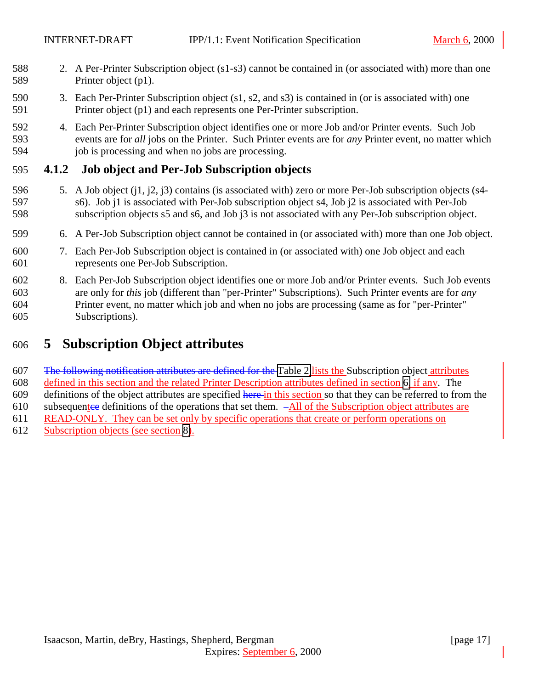- <span id="page-16-0"></span> 2. A Per-Printer Subscription object (s1-s3) cannot be contained in (or associated with) more than one Printer object (p1).
- 3. Each Per-Printer Subscription object (s1, s2, and s3) is contained in (or is associated with) one Printer object (p1) and each represents one Per-Printer subscription.
- 4. Each Per-Printer Subscription object identifies one or more Job and/or Printer events. Such Job events are for *all* jobs on the Printer. Such Printer events are for *any* Printer event, no matter which 594 job is processing and when no jobs are processing.

## **4.1.2 Job object and Per-Job Subscription objects**

- 5. A Job object (j1, j2, j3) contains (is associated with) zero or more Per-Job subscription objects (s4- s6). Job j1 is associated with Per-Job subscription object s4, Job j2 is associated with Per-Job subscription objects s5 and s6, and Job j3 is not associated with any Per-Job subscription object.
- 6. A Per-Job Subscription object cannot be contained in (or associated with) more than one Job object.
- 7. Each Per-Job Subscription object is contained in (or associated with) one Job object and each represents one Per-Job Subscription.
- 8. Each Per-Job Subscription object identifies one or more Job and/or Printer events. Such Job events are only for *this* job (different than "per-Printer" Subscriptions). Such Printer events are for *any* Printer event, no matter which job and when no jobs are processing (same as for "per-Printer" Subscriptions).

# **5 Subscription Object attributes**

607 The following notification attributes are defined for the [Table 2](#page-17-0) lists the Subscription object attributes defined in this section and the related Printer Description attributes defined in section [6,](#page-25-0) if any. The 609 definitions of the object attributes are specified here in this section so that they can be referred to from the 610 subsequentee definitions of the operations that set them.  $-AII$  of the Subscription object attributes are READ-ONLY. They can be set only by specific operations that create or perform operations on Subscription objects (see section [8\)](#page-34-0).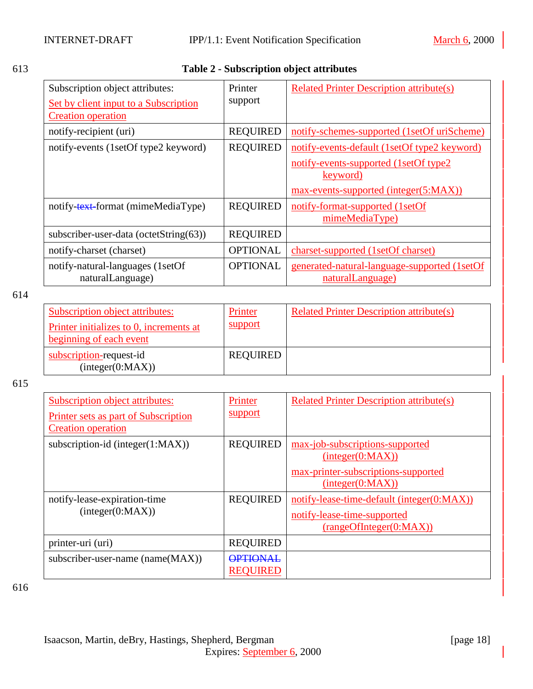# <span id="page-17-0"></span>613 **Table 2 - Subscription object attributes**

| Subscription object attributes:<br><b>Set by client input to a Subscription</b><br><b>Creation</b> operation | Printer<br>support | <b>Related Printer Description attribute(s)</b>                                                     |
|--------------------------------------------------------------------------------------------------------------|--------------------|-----------------------------------------------------------------------------------------------------|
| notify-recipient (uri)                                                                                       | <b>REQUIRED</b>    | notify-schemes-supported (1setOf uriScheme)                                                         |
| notify-events (1setOf type2 keyword)                                                                         | <b>REQUIRED</b>    | notify-events-default (1setOf type2 keyword)                                                        |
|                                                                                                              |                    | notify-events-supported (1setOf type2)<br><u>keyword</u> )<br>max-events-supported (integer(5:MAX)) |
| notify-text-format (mimeMediaType)                                                                           | <b>REQUIRED</b>    | notify-format-supported (1setOf<br>mimeMediaType)                                                   |
| subscriber-user-data (octetString(63))                                                                       | <b>REQUIRED</b>    |                                                                                                     |
| notify-charset (charset)                                                                                     | <b>OPTIONAL</b>    | charset-supported (1setOf charset)                                                                  |
| notify-natural-languages (1setOf<br>naturalLanguage)                                                         | <b>OPTIONAL</b>    | generated-natural-language-supported (1setOf<br>naturalLanguage)                                    |

614

| Subscription object attributes:<br>Printer initializes to 0, increments at<br>beginning of each event | Printer<br>support | <b>Related Printer Description attribute(s)</b> |
|-------------------------------------------------------------------------------------------------------|--------------------|-------------------------------------------------|
| subscription-request-id<br>interger(0:MAX)                                                            | <b>REQUIRED</b>    |                                                 |

615

| Subscription object attributes:<br><b>Printer sets as part of Subscription</b><br><b>Creation operation</b> | Printer<br>support                 | <b>Related Printer Description attribute(s)</b>                                                                |
|-------------------------------------------------------------------------------------------------------------|------------------------------------|----------------------------------------------------------------------------------------------------------------|
| subscription-id (integer $(1:MAX)$ )                                                                        | <b>REQUIRED</b>                    | max-job-subscriptions-supported<br>interger(0:MAX))<br>max-printer-subscriptions-supported<br>interger(0:MAX)) |
| notify-lease-expiration-time<br>interger(0:MAX))                                                            | <b>REQUIRED</b>                    | notify-lease-time-default (integer(0:MAX))<br>notify-lease-time-supported<br>(rangeOfInteger(0:MAX))           |
| printer-uri (uri)                                                                                           | <b>REQUIRED</b>                    |                                                                                                                |
| subscriber-user-name (name(MAX))                                                                            | <b>OPTIONAL</b><br><b>REQUIRED</b> |                                                                                                                |

616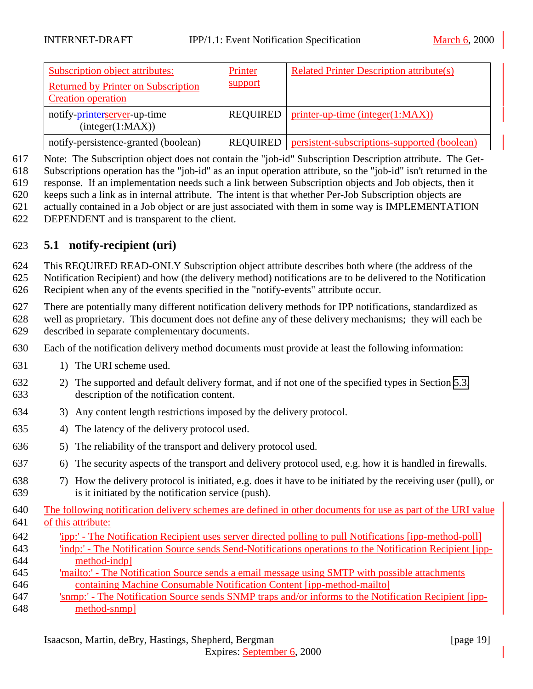<span id="page-18-0"></span>

| Subscription object attributes:<br><b>Returned by Printer on Subscription</b><br><b>Creation operation</b> | Printer<br>support | <b>Related Printer Description attribute(s)</b> |
|------------------------------------------------------------------------------------------------------------|--------------------|-------------------------------------------------|
| notify-printerserver-up-time<br>interger(1:MAX))                                                           | REQUIRED           | $printer-up-time (integer(1:MAX))$              |
| notify-persistence-granted (boolean)                                                                       | <b>REQUIRED</b>    | persistent-subscriptions-supported (boolean)    |

Note: The Subscription object does not contain the "job-id" Subscription Description attribute. The Get-

Subscriptions operation has the "job-id" as an input operation attribute, so the "job-id" isn't returned in the

response. If an implementation needs such a link between Subscription objects and Job objects, then it

- keeps such a link as in internal attribute. The intent is that whether Per-Job Subscription objects are
- actually contained in a Job object or are just associated with them in some way is IMPLEMENTATION DEPENDENT and is transparent to the client.
- **5.1 notify-recipient (uri)**

 This REQUIRED READ-ONLY Subscription object attribute describes both where (the address of the Notification Recipient) and how (the delivery method) notifications are to be delivered to the Notification Recipient when any of the events specified in the "notify-events" attribute occur.

 There are potentially many different notification delivery methods for IPP notifications, standardized as well as proprietary. This document does not define any of these delivery mechanisms; they will each be described in separate complementary documents.

- Each of the notification delivery method documents must provide at least the following information:
- 631 1) The URI scheme used.
- 2) The supported and default delivery format, and if not one of the specified types in Section [5.3,](#page-22-0) description of the notification content.
- 3) Any content length restrictions imposed by the delivery protocol.
- 4) The latency of the delivery protocol used.
- 5) The reliability of the transport and delivery protocol used.
- 6) The security aspects of the transport and delivery protocol used, e.g. how it is handled in firewalls.
- 7) How the delivery protocol is initiated, e.g. does it have to be initiated by the receiving user (pull), or is it initiated by the notification service (push).
- The following notification delivery schemes are defined in other documents for use as part of the URI value of this attribute:
- 'ipp:' The Notification Recipient uses server directed polling to pull Notifications [ipp-method-poll] 'indp:' - The Notification Source sends Send-Notifications operations to the Notification Recipient [ipp-method-indp]
- 'mailto:' The Notification Source sends a email message using SMTP with possible attachments containing Machine Consumable Notification Content [ipp-method-mailto]
- 'snmp:' The Notification Source sends SNMP traps and/or informs to the Notification Recipient [ipp-method-snmp]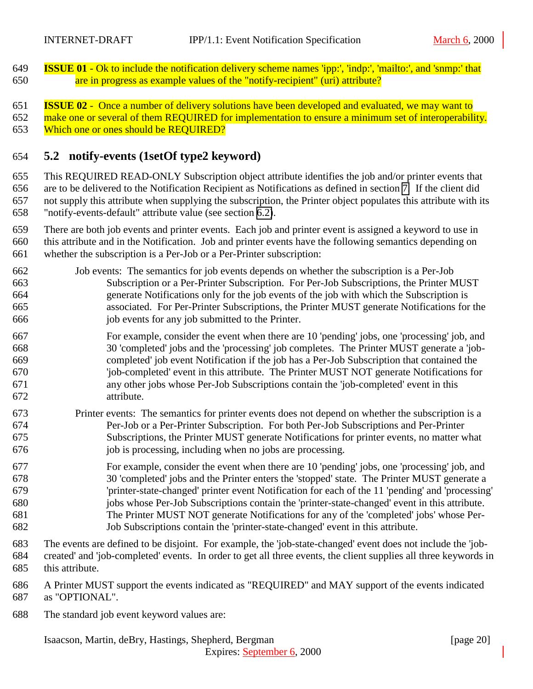<span id="page-19-0"></span> **ISSUE 01** - Ok to include the notification delivery scheme names 'ipp:', 'indp:', 'mailto:', and 'snmp:' that are in progress as example values of the "notify-recipient" (uri) attribute?

 **ISSUE 02** - Once a number of delivery solutions have been developed and evaluated, we may want to 652 make one or several of them REQUIRED for implementation to ensure a minimum set of interoperability. Which one or ones should be REQUIRED?

## **5.2 notify-events (1setOf type2 keyword)**

 This REQUIRED READ-ONLY Subscription object attribute identifies the job and/or printer events that are to be delivered to the Notification Recipient as Notifications as defined in section [7.](#page-29-0) If the client did not supply this attribute when supplying the subscription, the Printer object populates this attribute with its "notify-events-default" attribute value (see section [6.2\)](#page-26-0).

 There are both job events and printer events. Each job and printer event is assigned a keyword to use in this attribute and in the Notification. Job and printer events have the following semantics depending on

whether the subscription is a Per-Job or a Per-Printer subscription:

- Job events: The semantics for job events depends on whether the subscription is a Per-Job Subscription or a Per-Printer Subscription. For Per-Job Subscriptions, the Printer MUST generate Notifications only for the job events of the job with which the Subscription is associated. For Per-Printer Subscriptions, the Printer MUST generate Notifications for the job events for any job submitted to the Printer.
- For example, consider the event when there are 10 'pending' jobs, one 'processing' job, and 30 'completed' jobs and the 'processing' job completes. The Printer MUST generate a 'job- completed' job event Notification if the job has a Per-Job Subscription that contained the 'job-completed' event in this attribute. The Printer MUST NOT generate Notifications for any other jobs whose Per-Job Subscriptions contain the 'job-completed' event in this attribute.
- Printer events: The semantics for printer events does not depend on whether the subscription is a Per-Job or a Per-Printer Subscription. For both Per-Job Subscriptions and Per-Printer Subscriptions, the Printer MUST generate Notifications for printer events, no matter what job is processing, including when no jobs are processing.
- For example, consider the event when there are 10 'pending' jobs, one 'processing' job, and 30 'completed' jobs and the Printer enters the 'stopped' state. The Printer MUST generate a 'printer-state-changed' printer event Notification for each of the 11 'pending' and 'processing' jobs whose Per-Job Subscriptions contain the 'printer-state-changed' event in this attribute. The Printer MUST NOT generate Notifications for any of the 'completed' jobs' whose Per-Job Subscriptions contain the 'printer-state-changed' event in this attribute.
- The events are defined to be disjoint. For example, the 'job-state-changed' event does not include the 'job- created' and 'job-completed' events. In order to get all three events, the client supplies all three keywords in this attribute.

 A Printer MUST support the events indicated as "REQUIRED" and MAY support of the events indicated as "OPTIONAL".

Expires: September 6, 2000

The standard job event keyword values are: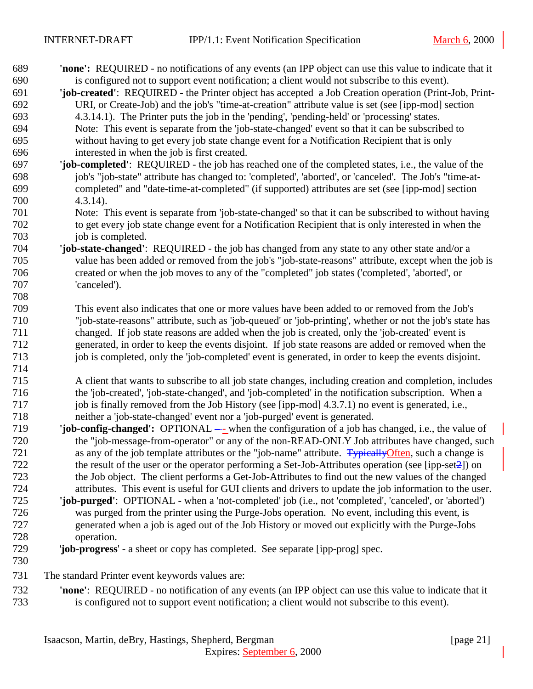| 689 | <b>'none':</b> REQUIRED - no notifications of any events (an IPP object can use this value to indicate that it |
|-----|----------------------------------------------------------------------------------------------------------------|
| 690 | is configured not to support event notification; a client would not subscribe to this event).                  |
| 691 | 'job-created': REQUIRED - the Printer object has accepted a Job Creation operation (Print-Job, Print-          |
| 692 | URI, or Create-Job) and the job's "time-at-creation" attribute value is set (see [ipp-mod] section             |
| 693 | 4.3.14.1). The Printer puts the job in the 'pending', 'pending-held' or 'processing' states.                   |
| 694 | Note: This event is separate from the 'job-state-changed' event so that it can be subscribed to                |
| 695 | without having to get every job state change event for a Notification Recipient that is only                   |
| 696 | interested in when the job is first created.                                                                   |
| 697 | 'job-completed': REQUIRED - the job has reached one of the completed states, i.e., the value of the            |
| 698 | job's "job-state" attribute has changed to: 'completed', 'aborted', or 'canceled'. The Job's "time-at-         |
| 699 | completed" and "date-time-at-completed" (if supported) attributes are set (see [ipp-mod] section               |
| 700 | $4.3.14$ ).                                                                                                    |
| 701 | Note: This event is separate from 'job-state-changed' so that it can be subscribed to without having           |
| 702 | to get every job state change event for a Notification Recipient that is only interested in when the           |
| 703 | job is completed.                                                                                              |
| 704 | 'job-state-changed': REQUIRED - the job has changed from any state to any other state and/or a                 |
| 705 | value has been added or removed from the job's "job-state-reasons" attribute, except when the job is           |
| 706 | created or when the job moves to any of the "completed" job states ('completed', 'aborted', or                 |
| 707 | 'canceled').                                                                                                   |
| 708 |                                                                                                                |
| 709 | This event also indicates that one or more values have been added to or removed from the Job's                 |
| 710 | "job-state-reasons" attribute, such as 'job-queued' or 'job-printing', whether or not the job's state has      |
| 711 | changed. If job state reasons are added when the job is created, only the 'job-created' event is               |
| 712 | generated, in order to keep the events disjoint. If job state reasons are added or removed when the            |
| 713 | job is completed, only the 'job-completed' event is generated, in order to keep the events disjoint.           |
| 714 |                                                                                                                |
| 715 | A client that wants to subscribe to all job state changes, including creation and completion, includes         |
| 716 | the 'job-created', 'job-state-changed', and 'job-completed' in the notification subscription. When a           |
| 717 | job is finally removed from the Job History (see [ipp-mod] 4.3.7.1) no event is generated, i.e.,               |
| 718 | neither a 'job-state-changed' event nor a 'job-purged' event is generated.                                     |
| 719 | <b>job-config-changed':</b> OPTIONAL — when the configuration of a job has changed, i.e., the value of         |
| 720 | the "job-message-from-operator" or any of the non-READ-ONLY Job attributes have changed, such                  |
| 721 | as any of the job template attributes or the "job-name" attribute. Typically Often, such a change is           |
| 722 | the result of the user or the operator performing a Set-Job-Attributes operation (see [ipp-set $2$ ]) on       |
| 723 | the Job object. The client performs a Get-Job-Attributes to find out the new values of the changed             |
| 724 | attributes. This event is useful for GUI clients and drivers to update the job information to the user.        |
| 725 | 'job-purged': OPTIONAL - when a 'not-completed' job (i.e., not 'completed', 'canceled', or 'aborted')          |
| 726 | was purged from the printer using the Purge-Jobs operation. No event, including this event, is                 |
| 727 | generated when a job is aged out of the Job History or moved out explicitly with the Purge-Jobs                |
| 728 | operation.                                                                                                     |
| 729 | 'job-progress' - a sheet or copy has completed. See separate [ipp-prog] spec.                                  |
| 730 |                                                                                                                |
| 731 | The standard Printer event keywords values are:                                                                |
| 732 | 'none': REQUIRED - no notification of any events (an IPP object can use this value to indicate that it         |
| 733 | is configured not to support event notification; a client would not subscribe to this event).                  |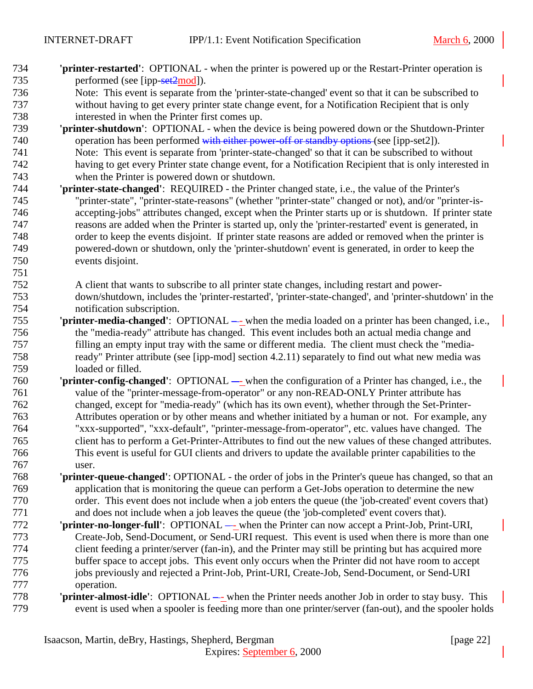- **'printer-restarted'**: OPTIONAL when the printer is powered up or the Restart-Printer operation is 735 performed (see [ipp-set2mod]).
- Note: This event is separate from the 'printer-state-changed' event so that it can be subscribed to without having to get every printer state change event, for a Notification Recipient that is only interested in when the Printer first comes up.
- **'printer-shutdown'**: OPTIONAL when the device is being powered down or the Shutdown-Printer 740 operation has been performed with either power-off or standby options (see [ipp-set2]). Note: This event is separate from 'printer-state-changed' so that it can be subscribed to without having to get every Printer state change event, for a Notification Recipient that is only interested in when the Printer is powered down or shutdown.
- **'printer-state-changed'**: REQUIRED the Printer changed state, i.e., the value of the Printer's "printer-state", "printer-state-reasons" (whether "printer-state" changed or not), and/or "printer-is- accepting-jobs" attributes changed, except when the Printer starts up or is shutdown. If printer state reasons are added when the Printer is started up, only the 'printer-restarted' event is generated, in order to keep the events disjoint. If printer state reasons are added or removed when the printer is powered-down or shutdown, only the 'printer-shutdown' event is generated, in order to keep the events disjoint.
- A client that wants to subscribe to all printer state changes, including restart and power- down/shutdown, includes the 'printer-restarted', 'printer-state-changed', and 'printer-shutdown' in the notification subscription.
- **'printer-media-changed'**:OPTIONAL - when the media loaded on a printer has been changed, i.e., the "media-ready" attribute has changed. This event includes both an actual media change and filling an empty input tray with the same or different media. The client must check the "media- ready" Printer attribute (see [ipp-mod] section 4.2.11) separately to find out what new media was loaded or filled.
- **'printer-config-changed'**: OPTIONAL when the configuration of a Printer has changed, i.e., the value of the "printer-message-from-operator" or any non-READ-ONLY Printer attribute has changed, except for "media-ready" (which has its own event), whether through the Set-Printer- Attributes operation or by other means and whether initiated by a human or not. For example, any "xxx-supported", "xxx-default", "printer-message-from-operator", etc. values have changed. The client has to perform a Get-Printer-Attributes to find out the new values of these changed attributes. This event is useful for GUI clients and drivers to update the available printer capabilities to the user.
- **'printer-queue-changed'**: OPTIONAL the order of jobs in the Printer's queue has changed, so that an application that is monitoring the queue can perform a Get-Jobs operation to determine the new order. This event does not include when a job enters the queue (the 'job-created' event covers that) and does not include when a job leaves the queue (the 'job-completed' event covers that).
- **'printer-no-longer-full'**: OPTIONAL when the Printer can now accept a Print-Job, Print-URI, Create-Job, Send-Document, or Send-URI request. This event is used when there is more than one client feeding a printer/server (fan-in), and the Printer may still be printing but has acquired more buffer space to accept jobs. This event only occurs when the Printer did not have room to accept jobs previously and rejected a Print-Job, Print-URI, Create-Job, Send-Document, or Send-URI operation.
- **'printer-almost-idle'**:OPTIONAL - when the Printer needs another Job in order to stay busy. This event is used when a spooler is feeding more than one printer/server (fan-out), and the spooler holds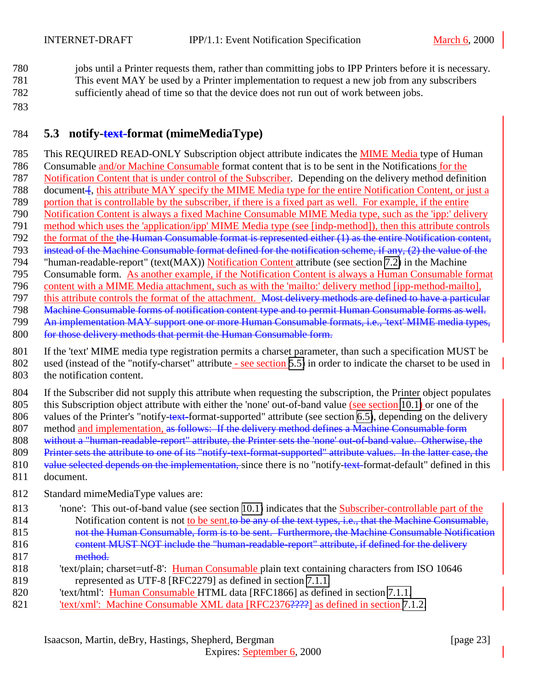<span id="page-22-0"></span>780 jobs until a Printer requests them, rather than committing jobs to IPP Printers before it is necessary. 781 This event MAY be used by a Printer implementation to request a new job from any subscribers 782 sufficiently ahead of time so that the device does not run out of work between jobs.

783

## 784 **5.3 notify-text-format (mimeMediaType)**

 This REQUIRED READ-ONLY Subscription object attribute indicates the MIME Media type of Human Consumable and/or Machine Consumable format content that is to be sent in the Notifications for the Notification Content that is under control of the Subscriber. Depending on the delivery method definition 788 document f, this attribute MAY specify the MIME Media type for the entire Notification Content, or just a portion that is controllable by the subscriber, if there is a fixed part as well. For example, if the entire Notification Content is always a fixed Machine Consumable MIME Media type, such as the 'ipp:' delivery method which uses the 'application/ipp' MIME Media type (see [indp-method]), then this attribute controls 792 the format of the the Human Consumable format is represented either (1) as the entire Notification content, 793 instead of the Machine Consumable format defined for the notification scheme, if any, (2) the value of the "human-readable-report" (text(MAX)) Notification Content attribute (see section [7.2\)](#page-30-0) in the Machine Consumable form. As another example, if the Notification Content is always a Human Consumable format content with a MIME Media attachment, such as with the 'mailto:' delivery method [ipp-method-mailto], 797 this attribute controls the format of the attachment. Most delivery methods are defined to have a particular Machine Consumable forms of notification content type and to permit Human Consumable forms as well. An implementation MAY support one or more Human Consumable formats, i.e., 'text' MIME media types, 800 for those delivery methods that permit the Human Consumable form. If the 'text' MIME media type registration permits a charset parameter, than such a specification MUST be 802 used (instead of the "notify-charset" attribute - see section [5.5\)](#page-23-0) in order to indicate the charset to be used in the notification content.

804 If the Subscriber did not supply this attribute when requesting the subscription, the Printer object populates 805 this Subscription object attribute with either the 'none' out-of-band value (see section [10.1\)](#page-47-0) or one of the 806 values of the Printer's "notify-text-format-supported" attribute (see section [6.5\)](#page-27-0), depending on the delivery 807 method and implementation, as follows: If the delivery method defines a Machine Consumable form 808 without a "human-readable-report" attribute, the Printer sets the 'none' out-of-band value. Otherwise, the

809 Printer sets the attribute to one of its "notify-text-format-supported" attribute values. In the latter case, the

810 value selected depends on the implementation, since there is no "notify-text-format-default" defined in this

- 811 document.
- 812 Standard mimeMediaType values are:
- 813 'none': This out-of-band value (see section [10.1\)](#page-47-0) indicates that the Subscriber-controllable part of the 814 Notification content is not to be sent. to be any of the text types, i.e., that the Machine Consumable, 815 hot the Human Consumable, form is to be sent. Furthermore, the Machine Consumable Notification 816 content MUST NOT include the "human-readable-report" attribute, if defined for the delivery 817 method.
- 818 'text/plain; charset=utf-8': Human Consumable plain text containing characters from ISO 10646 819 represented as UTF-8 [RFC2279] as defined in section [7.1.1.](#page-30-0)
- 820 'text/html': Human Consumable HTML data [RFC1866] as defined in section [7.1.1.](#page-30-0)
- 821 'text/xml': Machine Consumable XML data [RFC2376<del>????]</del> as defined in section [7.1.2.](#page-30-0)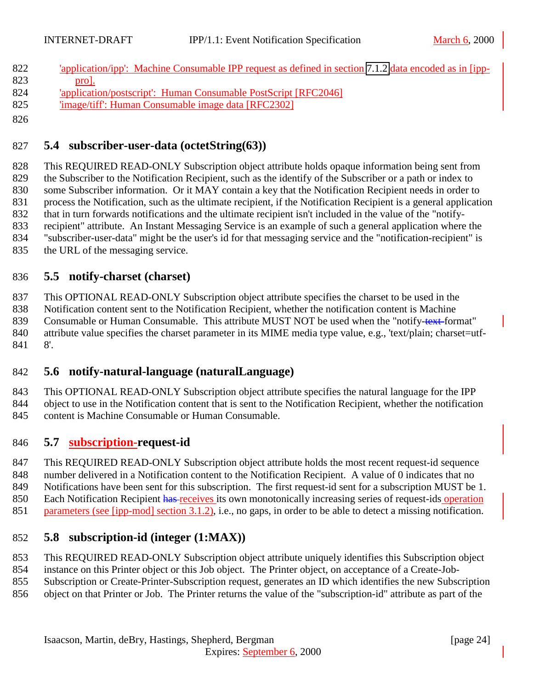- <span id="page-23-0"></span> 'application/ipp': Machine Consumable IPP request as defined in section [7.1.2](#page-30-0) data encoded as in [ipp-823 prol.
- 'application/postscript': Human Consumable PostScript [RFC2046]
- 'image/tiff': Human Consumable image data [RFC2302]

## **5.4 subscriber-user-data (octetString(63))**

 This REQUIRED READ-ONLY Subscription object attribute holds opaque information being sent from the Subscriber to the Notification Recipient, such as the identify of the Subscriber or a path or index to some Subscriber information. Or it MAY contain a key that the Notification Recipient needs in order to process the Notification, such as the ultimate recipient, if the Notification Recipient is a general application that in turn forwards notifications and the ultimate recipient isn't included in the value of the "notify- recipient" attribute. An Instant Messaging Service is an example of such a general application where the "subscriber-user-data" might be the user's id for that messaging service and the "notification-recipient" is the URL of the messaging service.

## **5.5 notify-charset (charset)**

 This OPTIONAL READ-ONLY Subscription object attribute specifies the charset to be used in the Notification content sent to the Notification Recipient, whether the notification content is Machine 839 Consumable or Human Consumable. This attribute MUST NOT be used when the "notify-text-format" 840 attribute value specifies the charset parameter in its MIME media type value, e.g., 'text/plain; charset=utf-8'.

## **5.6 notify-natural-language (naturalLanguage)**

 This OPTIONAL READ-ONLY Subscription object attribute specifies the natural language for the IPP object to use in the Notification content that is sent to the Notification Recipient, whether the notification 845 content is Machine Consumable or Human Consumable.

## **5.7 subscription-request-id**

 This REQUIRED READ-ONLY Subscription object attribute holds the most recent request-id sequence number delivered in a Notification content to the Notification Recipient. A value of 0 indicates that no

Notifications have been sent for this subscription. The first request-id sent for a subscription MUST be 1.

- 850 Each Notification Recipient has receives its own monotonically increasing series of request-ids operation
- 851 parameters (see [ipp-mod] section 3.1.2), i.e., no gaps, in order to be able to detect a missing notification.

## **5.8 subscription-id (integer (1:MAX))**

- This REQUIRED READ-ONLY Subscription object attribute uniquely identifies this Subscription object
- instance on this Printer object or this Job object. The Printer object, on acceptance of a Create-Job-
- Subscription or Create-Printer-Subscription request, generates an ID which identifies the new Subscription
- object on that Printer or Job. The Printer returns the value of the "subscription-id" attribute as part of the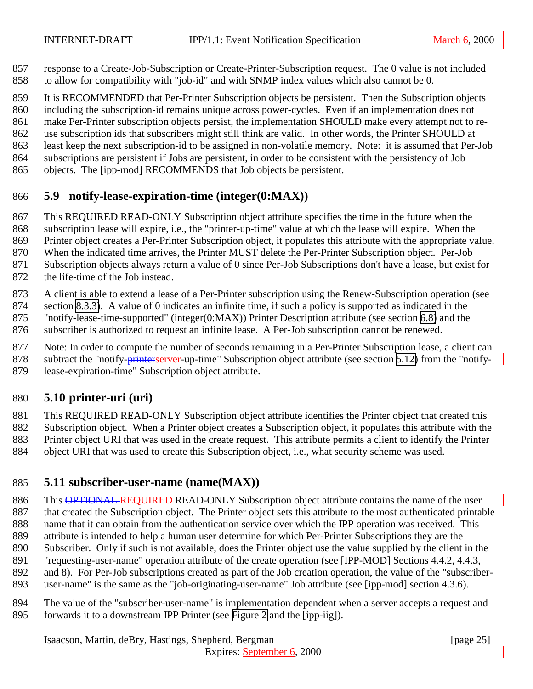- <span id="page-24-0"></span> response to a Create-Job-Subscription or Create-Printer-Subscription request. The 0 value is not included to allow for compatibility with "job-id" and with SNMP index values which also cannot be 0.
- It is RECOMMENDED that Per-Printer Subscription objects be persistent. Then the Subscription objects
- including the subscription-id remains unique across power-cycles. Even if an implementation does not
- make Per-Printer subscription objects persist, the implementation SHOULD make every attempt not to re-
- use subscription ids that subscribers might still think are valid. In other words, the Printer SHOULD at
- least keep the next subscription-id to be assigned in non-volatile memory. Note: it is assumed that Per-Job
- subscriptions are persistent if Jobs are persistent, in order to be consistent with the persistency of Job
- objects. The [ipp-mod] RECOMMENDS that Job objects be persistent.

# **5.9 notify-lease-expiration-time (integer(0:MAX))**

- This REQUIRED READ-ONLY Subscription object attribute specifies the time in the future when the
- subscription lease will expire, i.e., the "printer-up-time" value at which the lease will expire. When the
- Printer object creates a Per-Printer Subscription object, it populates this attribute with the appropriate value.
- When the indicated time arrives, the Printer MUST delete the Per-Printer Subscription object. Per-Job
- Subscription objects always return a value of 0 since Per-Job Subscriptions don't have a lease, but exist for
- the life-time of the Job instead.
- A client is able to extend a lease of a Per-Printer subscription using the Renew-Subscription operation (see
- section [8.3.3\)](#page-44-0). A value of 0 indicates an infinite time, if such a policy is supported as indicated in the "notify-lease-time-supported" (integer(0:MAX)) Printer Description attribute (see section [6.8\)](#page-28-0) and the
- subscriber is authorized to request an infinite lease. A Per-Job subscription cannot be renewed.
- Note: In order to compute the number of seconds remaining in a Per-Printer Subscription lease, a client can
- 878 subtract the "notify-printerserver-up-time" Subscription object attribute (see section [5.12\)](#page-25-0) from the "notify-
- lease-expiration-time" Subscription object attribute.

# **5.10 printer-uri (uri)**

- This REQUIRED READ-ONLY Subscription object attribute identifies the Printer object that created this
- Subscription object. When a Printer object creates a Subscription object, it populates this attribute with the
- Printer object URI that was used in the create request. This attribute permits a client to identify the Printer
- object URI that was used to create this Subscription object, i.e., what security scheme was used.

# **5.11 subscriber-user-name (name(MAX))**

- 886 This OPTIONAL REQUIRED READ-ONLY Subscription object attribute contains the name of the user 887 that created the Subscription object. The Printer object sets this attribute to the most authenticated printable name that it can obtain from the authentication service over which the IPP operation was received. This attribute is intended to help a human user determine for which Per-Printer Subscriptions they are the Subscriber. Only if such is not available, does the Printer object use the value supplied by the client in the "requesting-user-name" operation attribute of the create operation (see [IPP-MOD] Sections 4.4.2, 4.4.3, and 8). For Per-Job subscriptions created as part of the Job creation operation, the value of the "subscriber-
- user-name" is the same as the "job-originating-user-name" Job attribute (see [ipp-mod] section 4.3.6).
- The value of the "subscriber-user-name" is implementation dependent when a server accepts a request and forwards it to a downstream IPP Printer (see [Figure 2](#page-9-0) and the [ipp-iig]).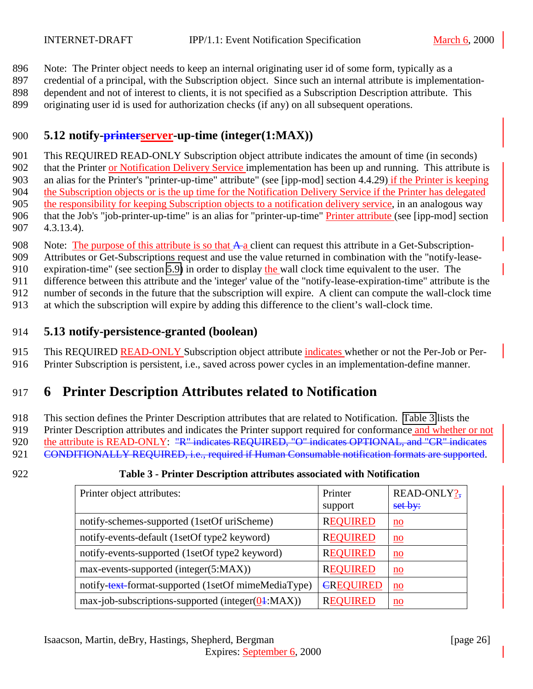<span id="page-25-0"></span>896 Note: The Printer object needs to keep an internal originating user id of some form, typically as a

897 credential of a principal, with the Subscription object. Since such an internal attribute is implementation-898 dependent and not of interest to clients, it is not specified as a Subscription Description attribute. This

899 originating user id is used for authorization checks (if any) on all subsequent operations.

## 900 **5.12 notify-printerserver-up-time (integer(1:MAX))**

 This REQUIRED READ-ONLY Subscription object attribute indicates the amount of time (in seconds) 902 that the Printer or Notification Delivery Service implementation has been up and running. This attribute is an alias for the Printer's "printer-up-time" attribute" (see [ipp-mod] section 4.4.29) if the Printer is keeping the Subscription objects or is the up time for the Notification Delivery Service if the Printer has delegated the responsibility for keeping Subscription objects to a notification delivery service, in an analogous way that the Job's "job-printer-up-time" is an alias for "printer-up-time" Printer attribute (see [ipp-mod] section 4.3.13.4).

908 Note: The purpose of this attribute is so that  $A_a$  client can request this attribute in a Get-Subscription-

909 Attributes or Get-Subscriptions request and use the value returned in combination with the "notify-lease-

910 expiration-time" (see section [5.9\)](#page-24-0) in order to display the wall clock time equivalent to the user. The

911 difference between this attribute and the 'integer' value of the "notify-lease-expiration-time" attribute is the

912 number of seconds in the future that the subscription will expire. A client can compute the wall-clock time

913 at which the subscription will expire by adding this difference to the client's wall-clock time.

## 914 **5.13 notify-persistence-granted (boolean)**

915 This REQUIRED READ-ONLY Subscription object attribute indicates whether or not the Per-Job or Per-916 Printer Subscription is persistent, i.e., saved across power cycles in an implementation-define manner.

# 917 **6 Printer Description Attributes related to Notification**

918 This section defines the Printer Description attributes that are related to Notification. Table 3 lists the 919 Printer Description attributes and indicates the Printer support required for conformance and whether or not 920 the attribute is READ-ONLY: "R" indicates REQUIRED, "O" indicates OPTIONAL, and "CR" indicates 921 CONDITIONALLY REQUIRED, i.e., required if Human Consumable notification formats are supported.

#### 922 **Table 3 - Printer Description attributes associated with Notification**

| Printer object attributes:                                          | Printer<br>support | READ-ONLY?,<br>set by:    |
|---------------------------------------------------------------------|--------------------|---------------------------|
| notify-schemes-supported (1setOf uriScheme)                         | <b>REQUIRED</b>    | $\underline{\mathbf{no}}$ |
| notify-events-default (1setOf type2 keyword)                        | <b>REQUIRED</b>    | $\underline{\mathbf{no}}$ |
| notify-events-supported (1setOf type2 keyword)                      | <b>REQUIRED</b>    | $\underline{\mathbf{no}}$ |
| max-events-supported (integer(5:MAX))                               | <b>REQUIRED</b>    | $\underline{\mathbf{no}}$ |
| notify-text-format-supported (1setOf mimeMediaType)                 | <b>EREQUIRED</b>   | $\underline{\mathbf{no}}$ |
| $max-job-subscripts$ -subscriptions-supported (integer( $04$ :MAX)) | <b>REQUIRED</b>    | $\underline{\mathbf{no}}$ |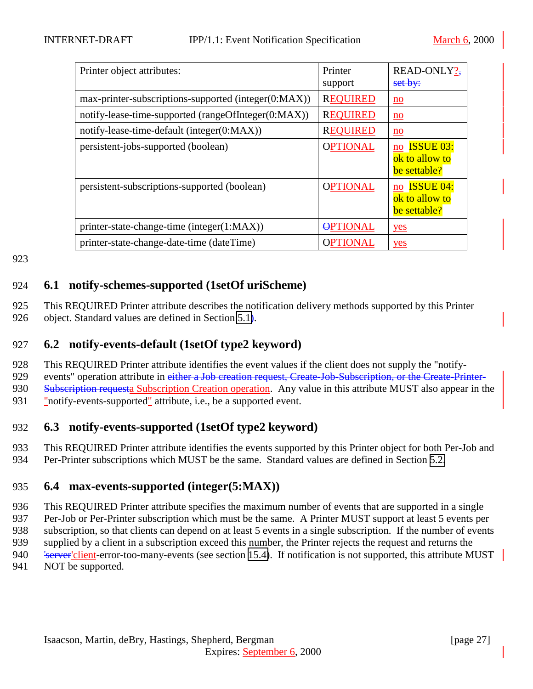<span id="page-26-0"></span>

| Printer object attributes:                           | Printer<br>support | READ-ONLY?-<br>set by:                                   |
|------------------------------------------------------|--------------------|----------------------------------------------------------|
| max-printer-subscriptions-supported (integer(0:MAX)) | <b>REQUIRED</b>    | $\underline{\mathbf{no}}$                                |
| notify-lease-time-supported (rangeOfInteger(0:MAX))  | <b>REQUIRED</b>    | $\underline{\mathbf{no}}$                                |
| notify-lease-time-default (integer(0:MAX))           | <b>REQUIRED</b>    | $\underline{\mathbf{no}}$                                |
| persistent-jobs-supported (boolean)                  | <b>OPTIONAL</b>    | no ISSUE 03:<br>ok to allow to<br>be settable?           |
| persistent-subscriptions-supported (boolean)         | <b>OPTIONAL</b>    | <b>ISSUE 04:</b><br>no<br>ok to allow to<br>be settable? |
| printer-state-change-time (integer(1:MAX))           | <b>OPTIONAL</b>    | yes                                                      |
| printer-state-change-date-time (dateTime)            | <b>OPTIONAL</b>    | yes                                                      |

## 924 **6.1 notify-schemes-supported (1setOf uriScheme)**

925 This REQUIRED Printer attribute describes the notification delivery methods supported by this Printer 926 object. Standard values are defined in Section  $5.1$ ).

#### 927 **6.2 notify-events-default (1setOf type2 keyword)**

928 This REQUIRED Printer attribute identifies the event values if the client does not supply the "notify-

929 events" operation attribute in either a Job creation request, Create-Job-Subscription, or the Create-Printer-

930 Subscription requesta Subscription Creation operation. Any value in this attribute MUST also appear in the

931 "notify-events-supported" attribute, i.e., be a supported event.

## 932 **6.3 notify-events-supported (1setOf type2 keyword)**

933 This REQUIRED Printer attribute identifies the events supported by this Printer object for both Per-Job and

934 Per-Printer subscriptions which MUST be the same. Standard values are defined in Section [5.2.](#page-19-0)

## 935 **6.4 max-events-supported (integer(5:MAX))**

 This REQUIRED Printer attribute specifies the maximum number of events that are supported in a single Per-Job or Per-Printer subscription which must be the same. A Printer MUST support at least 5 events per subscription, so that clients can depend on at least 5 events in a single subscription. If the number of events supplied by a client in a subscription exceed this number, the Printer rejects the request and returns the 940 'server'client-error-too-many-events (see section [15.4\)](#page-50-0). If notification is not supported, this attribute MUST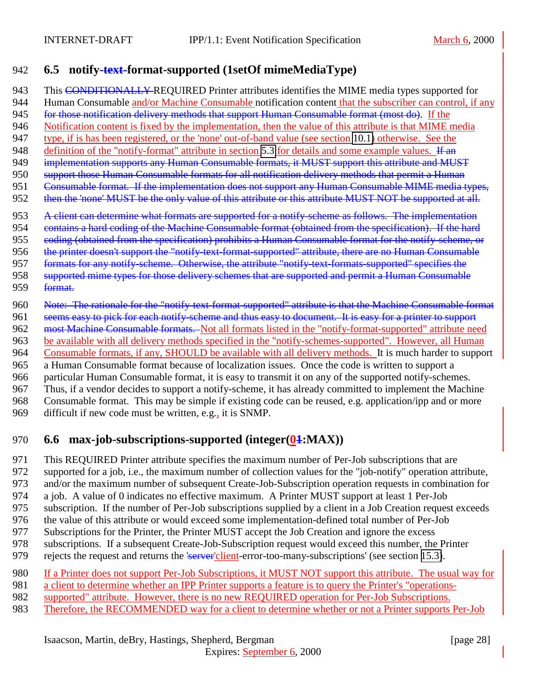## <span id="page-27-0"></span>942 **6.5 notify-text-format-supported (1setOf mimeMediaType)**

943 This CONDITIONALLY REQUIRED Printer attributes identifies the MIME media types supported for 944 Human Consumable and/or Machine Consumable notification content that the subscriber can control, if any 945 for those notification delivery methods that support Human Consumable format (most do). If the 946 Notification content is fixed by the implementation, then the value of this attribute is that MIME media 947 type, if is has been registered, or the 'none' out-of-band value (see section [10.1\)](#page-47-0) otherwise. See the 948 definition of the "notify-format" attribute in section [5.3](#page-22-0) for details and some example values. If an 949 implementation supports any Human Consumable formats, it MUST support this attribute and MUST 950 support those Human Consumable formats for all notification delivery methods that permit a Human 951 Consumable format. If the implementation does not support any Human Consumable MIME media types, 952 then the 'none' MUST be the only value of this attribute or this attribute MUST NOT be supported at all. 953 A client can determine what formats are supported for a notify-scheme as follows. The implementation 954 contains a hard coding of the Machine Consumable format (obtained from the specification). If the hard 955 eoding (obtained from the specification) prohibits a Human Consumable format for the notify-scheme, or 956 the printer doesn't support the "notify-text-format-supported" attribute, there are no Human Consumable 957 formats for any notify-scheme. Otherwise, the attribute "notify-text-formats-supported" specifies the 958 supported mime types for those delivery schemes that are supported and permit a Human Consumable 959 format. 960 Note: The rationale for the "notify-text-format-supported" attribute is that the Machine Consumable format 961 seems easy to pick for each notify-scheme and thus easy to document. It is easy for a printer to support 962 most Machine Consumable formats. Not all formats listed in the "notify-format-supported" attribute need 963 be available with all delivery methods specified in the "notify-schemes-supported". However, all Human 964 Consumable formats, if any, SHOULD be available with all delivery methods. It is much harder to support

965 a Human Consumable format because of localization issues. Once the code is written to support a

966 particular Human Consumable format, it is easy to transmit it on any of the supported notify-schemes.<br>967 Thus, if a vendor decides to support a notify-scheme, it has already committed to implement the Machi

Thus, if a vendor decides to support a notify-scheme, it has already committed to implement the Machine

968 Consumable format. This may be simple if existing code can be reused, e.g. application/ipp and or more 969 difficult if new code must be written, e.g., it is SNMP.

# 970 **6.6** max-job-subscriptions-supported (integer(04:MAX))

971 This REQUIRED Printer attribute specifies the maximum number of Per-Job subscriptions that are

972 supported for a job, i.e., the maximum number of collection values for the "job-notify" operation attribute,

- 973 and/or the maximum number of subsequent Create-Job-Subscription operation requests in combination for
- 974 a job. A value of 0 indicates no effective maximum. A Printer MUST support at least 1 Per-Job
- 975 subscription. If the number of Per-Job subscriptions supplied by a client in a Job Creation request exceeds
- 976 the value of this attribute or would exceed some implementation-defined total number of Per-Job
- 977 Subscriptions for the Printer, the Printer MUST accept the Job Creation and ignore the excess
- 978 subscriptions. If a subsequent Create-Job-Subscription request would exceed this number, the Printer<br>979 rejects the request and returns the 'server'client-error-too-many-subscriptions' (see section 15.3).
- rejects the request and returns the 'server'client-error-too-many-subscriptions' (see section [15.3\)](#page-50-0).
- 980 If a Printer does not support Per-Job Subscriptions, it MUST NOT support this attribute. The usual way for
- 981 a client to determine whether an IPP Printer supports a feature is to query the Printer's "operations-
- 982 supported" attribute. However, there is no new REQUIRED operation for Per-Job Subscriptions.
- 983 Therefore, the RECOMMENDED way for a client to determine whether or not a Printer supports Per-Job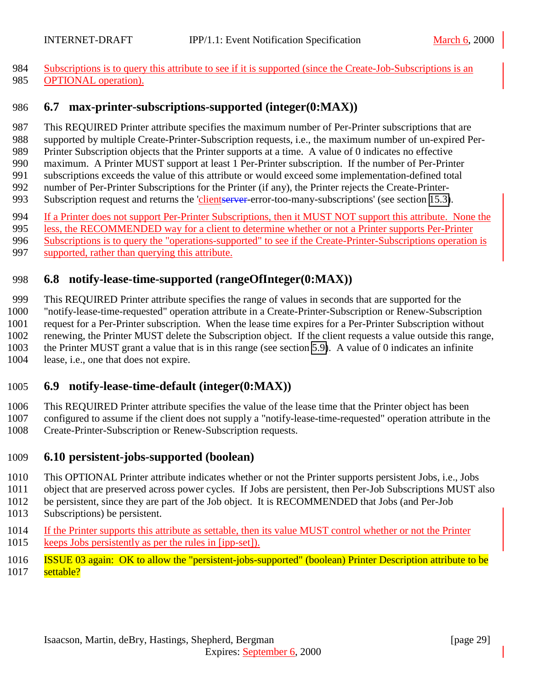<span id="page-28-0"></span> Subscriptions is to query this attribute to see if it is supported (since the Create-Job-Subscriptions is an 985 OPTIONAL operation).

#### **6.7 max-printer-subscriptions-supported (integer(0:MAX))**

- This REQUIRED Printer attribute specifies the maximum number of Per-Printer subscriptions that are
- supported by multiple Create-Printer-Subscription requests, i.e., the maximum number of un-expired Per-
- Printer Subscription objects that the Printer supports at a time. A value of 0 indicates no effective
- maximum. A Printer MUST support at least 1 Per-Printer subscription. If the number of Per-Printer
- subscriptions exceeds the value of this attribute or would exceed some implementation-defined total number of Per-Printer Subscriptions for the Printer (if any), the Printer rejects the Create-Printer-
- 993 Subscription request and returns the 'clientserver-error-too-many-subscriptions' (see section [15.3\)](#page-50-0).
- If a Printer does not support Per-Printer Subscriptions, then it MUST NOT support this attribute. None the
- less, the RECOMMENDED way for a client to determine whether or not a Printer supports Per-Printer
- Subscriptions is to query the "operations-supported" to see if the Create-Printer-Subscriptions operation is
- supported, rather than querying this attribute.

# **6.8 notify-lease-time-supported (rangeOfInteger(0:MAX))**

 This REQUIRED Printer attribute specifies the range of values in seconds that are supported for the "notify-lease-time-requested" operation attribute in a Create-Printer-Subscription or Renew-Subscription request for a Per-Printer subscription. When the lease time expires for a Per-Printer Subscription without renewing, the Printer MUST delete the Subscription object. If the client requests a value outside this range, the Printer MUST grant a value that is in this range (see section [5.9\)](#page-24-0). A value of 0 indicates an infinite lease, i.e., one that does not expire.

# **6.9 notify-lease-time-default (integer(0:MAX))**

This REQUIRED Printer attribute specifies the value of the lease time that the Printer object has been

- configured to assume if the client does not supply a "notify-lease-time-requested" operation attribute in the
- Create-Printer-Subscription or Renew-Subscription requests.

## **6.10 persistent-jobs-supported (boolean)**

- This OPTIONAL Printer attribute indicates whether or not the Printer supports persistent Jobs, i.e., Jobs
- object that are preserved across power cycles. If Jobs are persistent, then Per-Job Subscriptions MUST also
- be persistent, since they are part of the Job object. It is RECOMMENDED that Jobs (and Per-Job Subscriptions) be persistent.
- 1014 If the Printer supports this attribute as settable, then its value MUST control whether or not the Printer keeps Jobs persistently as per the rules in [ipp-set]).
- ISSUE 03 again: OK to allow the "persistent-jobs-supported" (boolean) Printer Description attribute to be settable?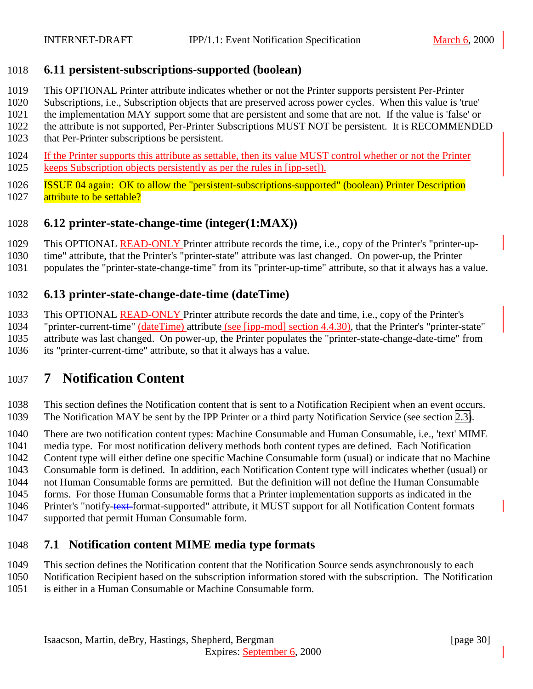#### <span id="page-29-0"></span>**6.11 persistent-subscriptions-supported (boolean)**

- This OPTIONAL Printer attribute indicates whether or not the Printer supports persistent Per-Printer
- Subscriptions, i.e., Subscription objects that are preserved across power cycles. When this value is 'true'
- the implementation MAY support some that are persistent and some that are not. If the value is 'false' or
- the attribute is not supported, Per-Printer Subscriptions MUST NOT be persistent. It is RECOMMENDED
- that Per-Printer subscriptions be persistent.
- If the Printer supports this attribute as settable, then its value MUST control whether or not the Printer keeps Subscription objects persistently as per the rules in [ipp-set]).
- ISSUE 04 again: OK to allow the "persistent-subscriptions-supported" (boolean) Printer Description 1027 attribute to be settable?

# **6.12 printer-state-change-time (integer(1:MAX))**

- 1029 This OPTIONAL READ-ONLY Printer attribute records the time, i.e., copy of the Printer's "printer-up-
- time" attribute, that the Printer's "printer-state" attribute was last changed. On power-up, the Printer
- populates the "printer-state-change-time" from its "printer-up-time" attribute, so that it always has a value.

# **6.13 printer-state-change-date-time (dateTime)**

- This OPTIONAL READ-ONLY Printer attribute records the date and time, i.e., copy of the Printer's
- "printer-current-time" (dateTime) attribute (see [ipp-mod] section 4.4.30), that the Printer's "printer-state" attribute was last changed. On power-up, the Printer populates the "printer-state-change-date-time" from
- its "printer-current-time" attribute, so that it always has a value.

# **7 Notification Content**

- This section defines the Notification content that is sent to a Notification Recipient when an event occurs. The Notification MAY be sent by the IPP Printer or a third party Notification Service (see section [2.3\)](#page-10-0).
- There are two notification content types: Machine Consumable and Human Consumable, i.e., 'text' MIME
- media type. For most notification delivery methods both content types are defined. Each Notification
- Content type will either define one specific Machine Consumable form (usual) or indicate that no Machine
- Consumable form is defined. In addition, each Notification Content type will indicates whether (usual) or
- not Human Consumable forms are permitted. But the definition will not define the Human Consumable
- forms. For those Human Consumable forms that a Printer implementation supports as indicated in the
- 1046 Printer's "notify-text-format-supported" attribute, it MUST support for all Notification Content formats
- supported that permit Human Consumable form.

# **7.1 Notification content MIME media type formats**

- This section defines the Notification content that the Notification Source sends asynchronously to each
- Notification Recipient based on the subscription information stored with the subscription. The Notification
- is either in a Human Consumable or Machine Consumable form.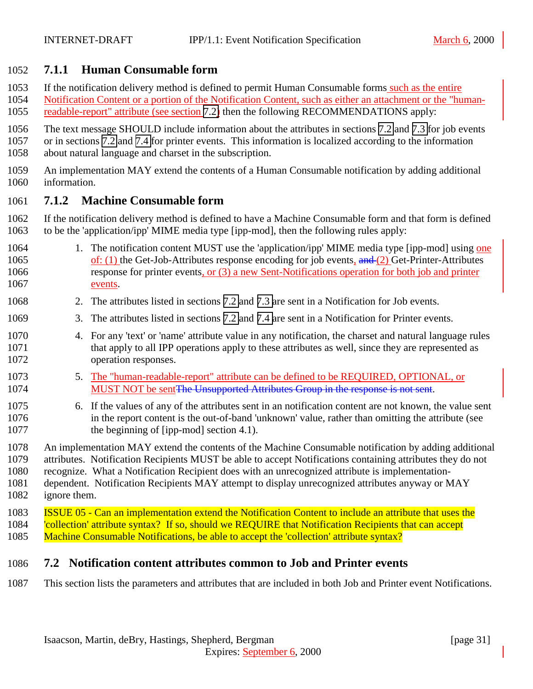#### <span id="page-30-0"></span>**7.1.1 Human Consumable form**

If the notification delivery method is defined to permit Human Consumable forms such as the entire

- Notification Content or a portion of the Notification Content, such as either an attachment or the "human-1055 readable-report" attribute (see section 7.2) then the following RECOMMENDATIONS apply:
- The text message SHOULD include information about the attributes in sections [7.2](#page-34-0) and [7.3](#page-33-0) for job events
- or in sections 7.2 and [7.4](#page-34-0) for printer events. This information is localized according to the information about natural language and charset in the subscription.
- An implementation MAY extend the contents of a Human Consumable notification by adding additional information.

#### **7.1.2 Machine Consumable form**

 If the notification delivery method is defined to have a Machine Consumable form and that form is defined to be the 'application/ipp' MIME media type [ipp-mod], then the following rules apply:

- 1064 1. The notification content MUST use the 'application/ipp' MIME media type [ipp-mod] using one 1065 of: (1) the Get-Job-Attributes response encoding for job events, and (2) Get-Printer-Attributes response for printer events, or (3) a new Sent-Notifications operation for both job and printer events.
- 2. The attributes listed in sections 7.2 and [7.3 a](#page-33-0)re sent in a Notification for Job events.
- 3. The attributes listed in sections 7.2 and [7.4 a](#page-34-0)re sent in a Notification for Printer events.
- 4. For any 'text' or 'name' attribute value in any notification, the charset and natural language rules that apply to all IPP operations apply to these attributes as well, since they are represented as operation responses.
- 1073 5. The "human-readable-report" attribute can be defined to be REQUIRED, OPTIONAL, or 1074 MUST NOT be sent The Unsupported Attributes Group in the response is not sent.
- 6. If the values of any of the attributes sent in an notification content are not known, the value sent in the report content is the out-of-band 'unknown' value, rather than omitting the attribute (see 1077 the beginning of [ipp-mod] section 4.1).
- An implementation MAY extend the contents of the Machine Consumable notification by adding additional attributes. Notification Recipients MUST be able to accept Notifications containing attributes they do not recognize. What a Notification Recipient does with an unrecognized attribute is implementation-
- dependent. Notification Recipients MAY attempt to display unrecognized attributes anyway or MAY ignore them.
- ISSUE 05 Can an implementation extend the Notification Content to include an attribute that uses the 'collection' attribute syntax? If so, should we REQUIRE that Notification Recipients that can accept 1085 Machine Consumable Notifications, be able to accept the 'collection' attribute syntax?

#### **7.2 Notification content attributes common to Job and Printer events**

This section lists the parameters and attributes that are included in both Job and Printer event Notifications.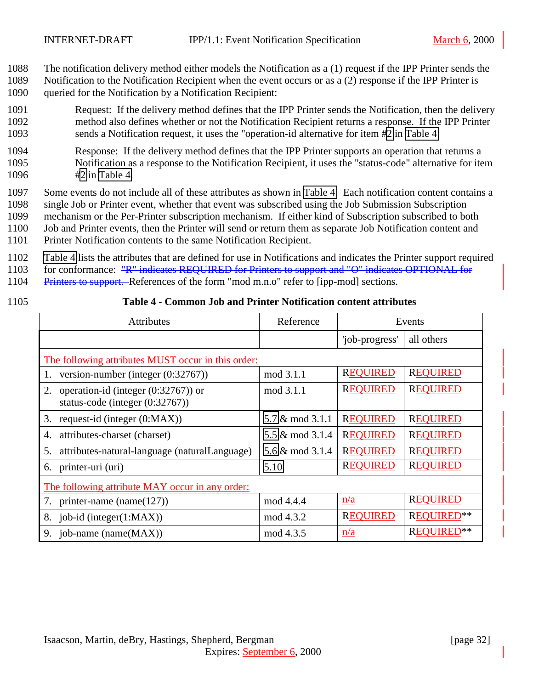- <span id="page-31-0"></span>1088 The notification delivery method either models the Notification as a (1) request if the IPP Printer sends the
- 1089 Notification to the Notification Recipient when the event occurs or as a (2) response if the IPP Printer is 1090 queried for the Notification by a Notification Recipient:
- 1091 Request: If the delivery method defines that the IPP Printer sends the Notification, then the delivery 1092 method also defines whether or not the Notification Recipient returns a response. If the IPP Printer 1093 sends a Notification request, it uses the "operation-id alternative for item #2 in Table 4:
- 1094 Response: If the delivery method defines that the IPP Printer supports an operation that returns a 1095 Notification as a response to the Notification Recipient, it uses the "status-code" alternative for item 1096 #2 in Table 4.
- 1097 Some events do not include all of these attributes as shown in Table 4. Each notification content contains a 1098 single Job or Printer event, whether that event was subscribed using the Job Submission Subscription

1099 mechanism or the Per-Printer subscription mechanism. If either kind of Subscription subscribed to both

- 1100 Job and Printer events, then the Printer will send or return them as separate Job Notification content and
- 1101 Printer Notification contents to the same Notification Recipient.
- 1102 Table 4 lists the attributes that are defined for use in Notifications and indicates the Printer support required
- 1103 for conformance: "R" indicates REQUIRED for Printers to support and "O" indicates OPTIONAL for
- 1104 Printers to support. References of the form "mod m.n.o" refer to [ipp-mod] sections.
- 

#### 1105 **Table 4 - Common Job and Printer Notification content attributes**

| <b>Attributes</b>                                                               | Reference       | Events          |                   |  |  |
|---------------------------------------------------------------------------------|-----------------|-----------------|-------------------|--|--|
|                                                                                 |                 | 'job-progress'  | all others        |  |  |
| The following attributes MUST occur in this order:                              |                 |                 |                   |  |  |
| version-number (integer $(0.32767)$ )<br>1.                                     | mod 3.1.1       | <b>REQUIRED</b> | <b>REQUIRED</b>   |  |  |
| operation-id (integer $(0.32767)$ ) or<br>2.<br>status-code (integer (0:32767)) | mod 3.1.1       | <b>REQUIRED</b> | <b>REQUIRED</b>   |  |  |
| 3.<br>request-id (integer $(0:MAX)$ )                                           | 5.7 & mod 3.1.1 | <b>REQUIRED</b> | <b>REQUIRED</b>   |  |  |
| attributes-charset (charset)<br>4.                                              | 5.5 & mod 3.1.4 | <b>REQUIRED</b> | <b>REQUIRED</b>   |  |  |
| 5.<br>attributes-natural-language (naturalLanguage)                             | 5.6 & mod 3.1.4 | <b>REQUIRED</b> | <b>REQUIRED</b>   |  |  |
| printer-uri (uri)<br>6.                                                         | 5.10            | <b>REQUIRED</b> | <b>REQUIRED</b>   |  |  |
| The following attribute MAY occur in any order:                                 |                 |                 |                   |  |  |
| printer-name (name $(127)$ )                                                    | mod 4.4.4       | n/a             | <b>REQUIRED</b>   |  |  |
| job-id (integer $(1:MAX)$ )<br>8.                                               | mod 4.3.2       | <b>REQUIRED</b> | <b>REQUIRED**</b> |  |  |
| 9.<br>job-name (name(MAX))                                                      | mod 4.3.5       | n/a             | <b>REOUIRED</b>   |  |  |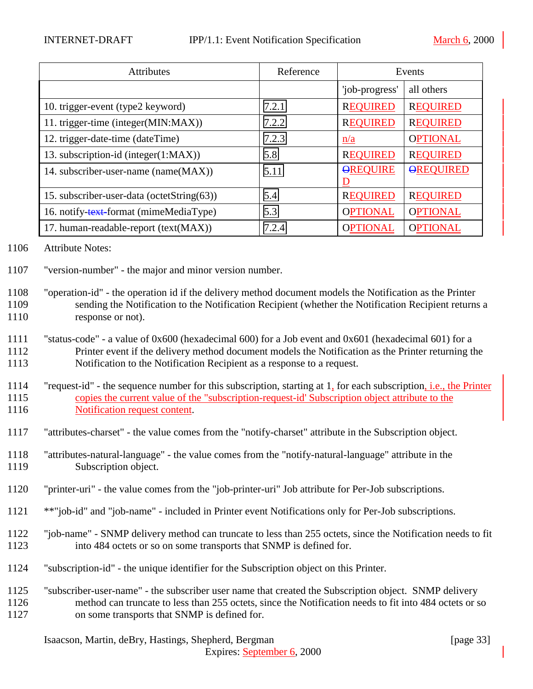| <b>Attributes</b>                          | Reference | Events          |                  |
|--------------------------------------------|-----------|-----------------|------------------|
|                                            |           | 'job-progress'  | all others       |
| 10. trigger-event (type2 keyword)          | 7.2.1     | <b>REQUIRED</b> | <b>REQUIRED</b>  |
| 11. trigger-time (integer(MIN:MAX))        | 7.2.2     | <b>REQUIRED</b> | <b>REQUIRED</b>  |
| 12. trigger-date-time (dateTime)           | 7.2.3     | $\frac{n}{a}$   | <b>OPTIONAL</b>  |
| 13. subscription-id (integer(1:MAX))       | 5.8       | <b>REQUIRED</b> | <b>REQUIRED</b>  |
| 14. subscriber-user-name (name(MAX))       | 5.11      | <b>OREQUIRE</b> | <b>OREQUIRED</b> |
| 15. subscriber-user-data (octetString(63)) | 5.4       | <b>REQUIRED</b> | <b>REQUIRED</b>  |
| 16. notify-text-format (mimeMediaType)     | 5.3       | <b>OPTIONAL</b> | <b>OPTIONAL</b>  |
| 17. human-readable-report (text(MAX))      | 7.2.4     | <b>OPTIONAL</b> | <b>OPTIONAL</b>  |

1106 Attribute Notes:

- 1107 "version-number" the major and minor version number.
- 1108 "operation-id" the operation id if the delivery method document models the Notification as the Printer 1109 sending the Notification to the Notification Recipient (whether the Notification Recipient returns a 1110 response or not).

1111 "status-code" - a value of 0x600 (hexadecimal 600) for a Job event and 0x601 (hexadecimal 601) for a 1112 Printer event if the delivery method document models the Notification as the Printer returning the 1113 Notification to the Notification Recipient as a response to a request.

- 1114 "request-id" the sequence number for this subscription, starting at 1, for each subscription, i.e., the Printer 1115 copies the current value of the "subscription-request-id' Subscription object attribute to the 1116 Notification request content.
- 1117 "attributes-charset" the value comes from the "notify-charset" attribute in the Subscription object.
- 1118 "attributes-natural-language" the value comes from the "notify-natural-language" attribute in the 1119 Subscription object.
- 1120 "printer-uri" the value comes from the "job-printer-uri" Job attribute for Per-Job subscriptions.
- 1121 \*\*"job-id" and "job-name" included in Printer event Notifications only for Per-Job subscriptions.
- 1122 "job-name" SNMP delivery method can truncate to less than 255 octets, since the Notification needs to fit 1123 into 484 octets or so on some transports that SNMP is defined for.
- 1124 "subscription-id" the unique identifier for the Subscription object on this Printer.
- 1125 "subscriber-user-name" the subscriber user name that created the Subscription object. SNMP delivery 1126 method can truncate to less than 255 octets, since the Notification needs to fit into 484 octets or so 1127 on some transports that SNMP is defined for.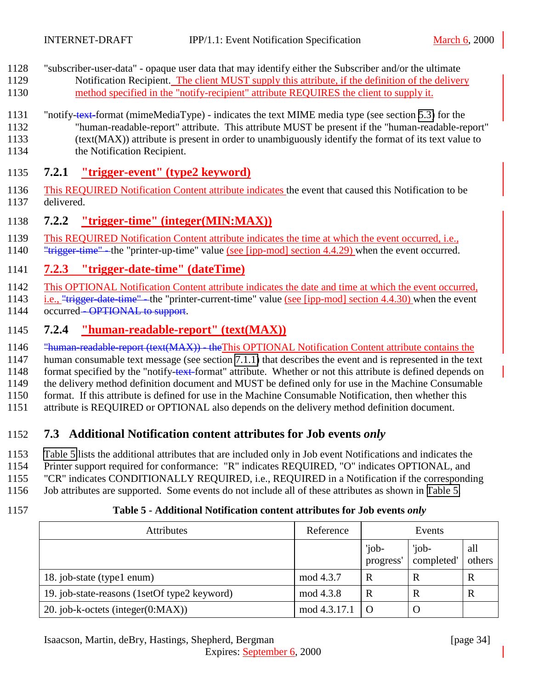- <span id="page-33-0"></span>1128 "subscriber-user-data" - opaque user data that may identify either the Subscriber and/or the ultimate 1129 Notification Recipient. The client MUST supply this attribute, if the definition of the delivery 1130 method specified in the "notify-recipient" attribute REQUIRES the client to supply it.
- 1131 "notify-text-format (mimeMediaType) indicates the text MIME media type (see section [5.3\)](#page-22-0) for the 1132 "human-readable-report" attribute. This attribute MUST be present if the "human-readable-report" 1133 (text(MAX)) attribute is present in order to unambiguously identify the format of its text value to
- 1134 the Notification Recipient.

# 1135 **7.2.1 "trigger-event" (type2 keyword)**

- 1136 This REQUIRED Notification Content attribute indicates the event that caused this Notification to be 1137 delivered.
- 1138 **7.2.2 "trigger-time" (integer(MIN:MAX))**
- 1139 This REQUIRED Notification Content attribute indicates the time at which the event occurred, i.e.,
- 1140 "<del>trigger-time"</del>-the "printer-up-time" value (see [ipp-mod] section 4.4.29) when the event occurred.

# 1141 **7.2.3 "trigger-date-time" (dateTime)**

1142 This OPTIONAL Notification Content attribute indicates the date and time at which the event occurred,

- 1143 i.e., "trigger-date-time" the "printer-current-time" value (see [ipp-mod] section 4.4.30) when the event 1144 occurred<del> - OPTIONAL to support</del>.
- 1145 **7.2.4 "human-readable-report" (text(MAX))**
- 1146 "human-readable-report (text(MAX)) the This OPTIONAL Notification Content attribute contains the
- 1147 human consumable text message (see section [7.1.1\)](#page-30-0) that describes the event and is represented in the text
- 1148 format specified by the "notify-text-format" attribute. Whether or not this attribute is defined depends on

1149 the delivery method definition document and MUST be defined only for use in the Machine Consumable

1150 format. If this attribute is defined for use in the Machine Consumable Notification, then whether this

1151 attribute is REQUIRED or OPTIONAL also depends on the delivery method definition document.

# 1152 **7.3 Additional Notification content attributes for Job events** *only*

- 1153 Table 5 lists the additional attributes that are included only in Job event Notifications and indicates the
- 1154 Printer support required for conformance: "R" indicates REQUIRED, "O" indicates OPTIONAL, and
- 1155 "CR" indicates CONDITIONALLY REQUIRED, i.e., REQUIRED in a Notification if the corresponding
- 1156 Job attributes are supported. Some events do not include all of these attributes as shown in Table 5.
- 

## 1157 **Table 5 - Additional Notification content attributes for Job events** *only*

| <b>Attributes</b>                            | Reference           |                    | Events              |               |
|----------------------------------------------|---------------------|--------------------|---------------------|---------------|
|                                              |                     | 'job-<br>progress' | 'job-<br>completed' | all<br>others |
| 18. job-state (type1 enum)                   | mod 4.3.7           | R                  | R                   | R             |
| 19. job-state-reasons (1setOf type2 keyword) | mod 4.3.8           | R                  |                     |               |
| 20. job-k-octets (integer $(0:MAX)$ )        | $mod\,4.3.17.1$   O |                    |                     |               |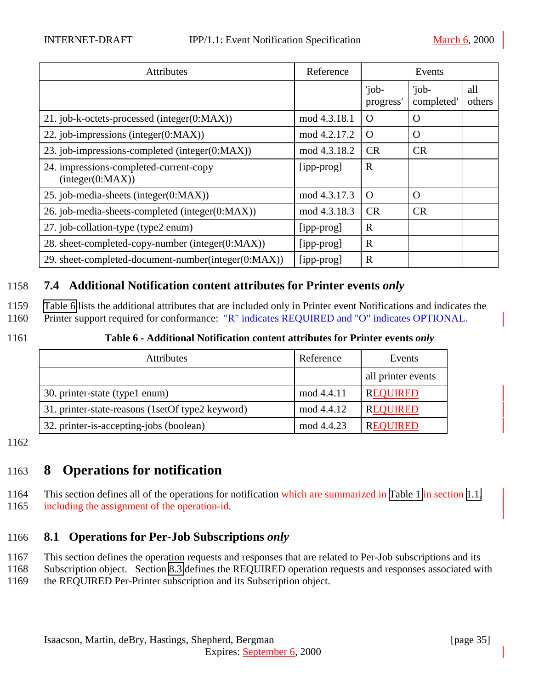<span id="page-34-0"></span>

| Attributes                                                 | Reference    | Events             |                     |               |
|------------------------------------------------------------|--------------|--------------------|---------------------|---------------|
|                                                            |              | 'job-<br>progress' | 'job-<br>completed' | all<br>others |
| 21. job-k-octets-processed (integer(0:MAX))                | mod 4.3.18.1 | $\Omega$           | $\Omega$            |               |
| 22. job-impressions (integer $(0:MAX)$ )                   | mod 4.2.17.2 | $\Omega$           | $\Omega$            |               |
| 23. job-impressions-completed (integer(0:MAX))             | mod 4.3.18.2 | <b>CR</b>          | CR                  |               |
| 24. impressions-completed-current-copy<br>interger(0:MAX)) | [ipp-prog]   | $\mathbf R$        |                     |               |
| 25. job-media-sheets (integer(0:MAX))                      | mod 4.3.17.3 | $\Omega$           | $\Omega$            |               |
| 26. job-media-sheets-completed (integer(0:MAX))            | mod 4.3.18.3 | <b>CR</b>          | CR                  |               |
| 27. job-collation-type (type2 enum)                        | [ipp-prog]   | $\mathbf R$        |                     |               |
| 28. sheet-completed-copy-number (integer(0:MAX))           | [ipp-prog]   | $\mathbf R$        |                     |               |
| 29. sheet-completed-document-number(integer(0:MAX))        | [ipp-prog]   | $\mathbf R$        |                     |               |

## 1158 **7.4 Additional Notification content attributes for Printer events** *only*

- 1159 Table 6 lists the additional attributes that are included only in Printer event Notifications and indicates the
- 1160 Printer support required for conformance: "R" indicates REQUIRED and "O" indicates OPTIONAL.
- 

#### 1161 **Table 6 - Additional Notification content attributes for Printer events** *only*

| <b>Attributes</b>                                  | Reference  | Events             |
|----------------------------------------------------|------------|--------------------|
|                                                    |            | all printer events |
| 30. printer-state (type1 enum)                     | mod 4.4.11 | <b>REQUIRED</b>    |
| 31. printer-state-reasons (1set Of type 2 keyword) | mod 4.4.12 | <b>REQUIRED</b>    |
| 32. printer-is-accepting-jobs (boolean)            | mod 4.4.23 | <b>REQUIRED</b>    |

1162

# 1163 **8 Operations for notification**

1164 This section defines all of the operations for notification which are summarized in [Table 1](#page-7-0) in section [1.1,](#page-5-0) 1165 including the assignment of the operation-id.

## 1166 **8.1 Operations for Per-Job Subscriptions** *only*

- 1167 This section defines the operation requests and responses that are related to Per-Job subscriptions and its
- 1168 Subscription object. Section [8.3](#page-42-0) defines the REQUIRED operation requests and responses associated with 1169 the REQUIRED Per-Printer subscription and its Subscription object.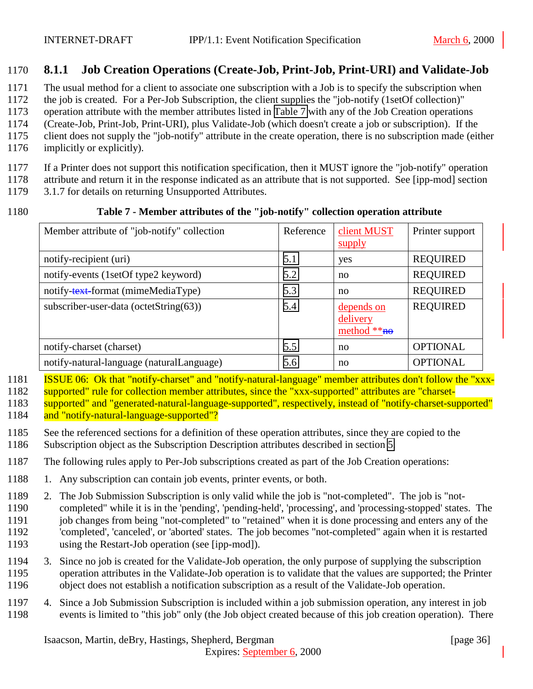## <span id="page-35-0"></span>**8.1.1 Job Creation Operations (Create-Job, Print-Job, Print-URI) and Validate-Job**

The usual method for a client to associate one subscription with a Job is to specify the subscription when

the job is created. For a Per-Job Subscription, the client supplies the "job-notify (1setOf collection)"

operation attribute with the member attributes listed in Table 7 with any of the Job Creation operations

(Create-Job, Print-Job, Print-URI), plus Validate-Job (which doesn't create a job or subscription). If the

client does not supply the "job-notify" attribute in the create operation, there is no subscription made (either

implicitly or explicitly).

If a Printer does not support this notification specification, then it MUST ignore the "job-notify" operation

attribute and return it in the response indicated as an attribute that is not supported. See [ipp-mod] section

3.1.7 for details on returning Unsupported Attributes.

#### **Table 7 - Member attributes of the "job-notify" collection operation attribute**

| Member attribute of "job-notify" collection | Reference | client MUST<br>supply                   | Printer support |
|---------------------------------------------|-----------|-----------------------------------------|-----------------|
| notify-recipient (uri)                      | 5.1       | yes                                     | <b>REQUIRED</b> |
| notify-events (1setOf type2 keyword)        | 5.2       | no                                      | <b>REQUIRED</b> |
| notify-text-format (mimeMediaType)          | 5.3       | no                                      | <b>REQUIRED</b> |
| subscriber-user-data (octetString(63))      | 5.4       | depends on<br>delivery<br>method $**ho$ | <b>REQUIRED</b> |
| notify-charset (charset)                    | 5.5       | no                                      | <b>OPTIONAL</b> |
| notify-natural-language (naturalLanguage)   | 5.6       | no                                      | <b>OPTIONAL</b> |

 ISSUE 06: Ok that "notify-charset" and "notify-natural-language" member attributes don't follow the "xxx-supported" rule for collection member attributes, since the "xxx-supported" attributes are "charset-

 supported" and "generated-natural-language-supported", respectively, instead of "notify-charset-supported" and "notify-natural-language-supported"?

 See the referenced sections for a definition of these operation attributes, since they are copied to the Subscription object as the Subscription Description attributes described in section [5.](#page-16-0)

The following rules apply to Per-Job subscriptions created as part of the Job Creation operations:

- 1188 1. Any subscription can contain job events, printer events, or both.
- 2. The Job Submission Subscription is only valid while the job is "not-completed". The job is "not- completed" while it is in the 'pending', 'pending-held', 'processing', and 'processing-stopped' states. The 1191 job changes from being "not-completed" to "retained" when it is done processing and enters any of the 'completed', 'canceled', or 'aborted' states. The job becomes "not-completed" again when it is restarted using the Restart-Job operation (see [ipp-mod]).
- 3. Since no job is created for the Validate-Job operation, the only purpose of supplying the subscription operation attributes in the Validate-Job operation is to validate that the values are supported; the Printer object does not establish a notification subscription as a result of the Validate-Job operation.
- 4. Since a Job Submission Subscription is included within a job submission operation, any interest in job events is limited to "this job" only (the Job object created because of this job creation operation). There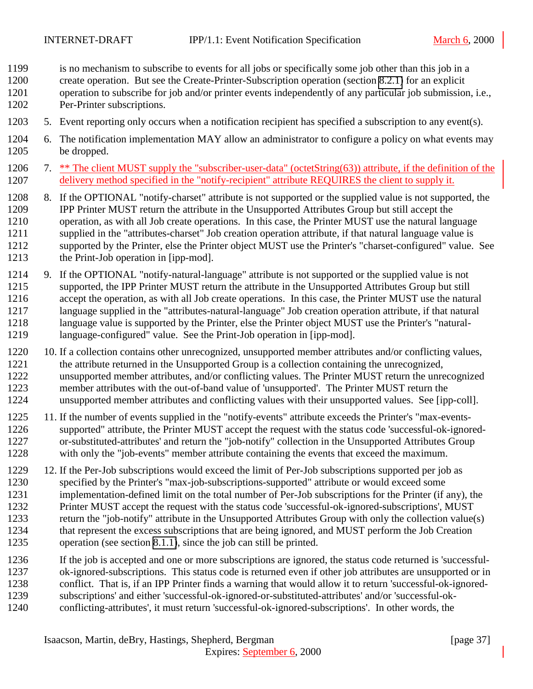- is no mechanism to subscribe to events for all jobs or specifically some job other than this job in a
- create operation. But see the Create-Printer-Subscription operation (section [8.2.1\)](#page-39-0) for an explicit
- operation to subscribe for job and/or printer events independently of any particular job submission, i.e., Per-Printer subscriptions.
- 5. Event reporting only occurs when a notification recipient has specified a subscription to any event(s).
- 6. The notification implementation MAY allow an administrator to configure a policy on what events may be dropped.
- 7. \*\* The client MUST supply the "subscriber-user-data" (octetString(63)) attribute, if the definition of the delivery method specified in the "notify-recipient" attribute REQUIRES the client to supply it.
- 8. If the OPTIONAL "notify-charset" attribute is not supported or the supplied value is not supported, the IPP Printer MUST return the attribute in the Unsupported Attributes Group but still accept the operation, as with all Job create operations. In this case, the Printer MUST use the natural language supplied in the "attributes-charset" Job creation operation attribute, if that natural language value is supported by the Printer, else the Printer object MUST use the Printer's "charset-configured" value. See the Print-Job operation in [ipp-mod].
- 9. If the OPTIONAL "notify-natural-language" attribute is not supported or the supplied value is not supported, the IPP Printer MUST return the attribute in the Unsupported Attributes Group but still accept the operation, as with all Job create operations. In this case, the Printer MUST use the natural language supplied in the "attributes-natural-language" Job creation operation attribute, if that natural language value is supported by the Printer, else the Printer object MUST use the Printer's "natural-language-configured" value. See the Print-Job operation in [ipp-mod].
- 10. If a collection contains other unrecognized, unsupported member attributes and/or conflicting values, the attribute returned in the Unsupported Group is a collection containing the unrecognized, unsupported member attributes, and/or conflicting values. The Printer MUST return the unrecognized member attributes with the out-of-band value of 'unsupported'. The Printer MUST return the unsupported member attributes and conflicting values with their unsupported values. See [ipp-coll].
- 11. If the number of events supplied in the "notify-events" attribute exceeds the Printer's "max-events- supported" attribute, the Printer MUST accept the request with the status code 'successful-ok-ignored- or-substituted-attributes' and return the "job-notify" collection in the Unsupported Attributes Group with only the "job-events" member attribute containing the events that exceed the maximum.
- 12. If the Per-Job subscriptions would exceed the limit of Per-Job subscriptions supported per job as specified by the Printer's "max-job-subscriptions-supported" attribute or would exceed some implementation-defined limit on the total number of Per-Job subscriptions for the Printer (if any), the Printer MUST accept the request with the status code 'successful-ok-ignored-subscriptions', MUST return the "job-notify" attribute in the Unsupported Attributes Group with only the collection value(s) that represent the excess subscriptions that are being ignored, and MUST perform the Job Creation operation (see section [8.1.1\)](#page-35-0), since the job can still be printed.
- If the job is accepted and one or more subscriptions are ignored, the status code returned is 'successful-
- ok-ignored-subscriptions. This status code is returned even if other job attributes are unsupported or in
- conflict. That is, if an IPP Printer finds a warning that would allow it to return 'successful-ok-ignored-subscriptions' and either 'successful-ok-ignored-or-substituted-attributes' and/or 'successful-ok-
- conflicting-attributes', it must return 'successful-ok-ignored-subscriptions'. In other words, the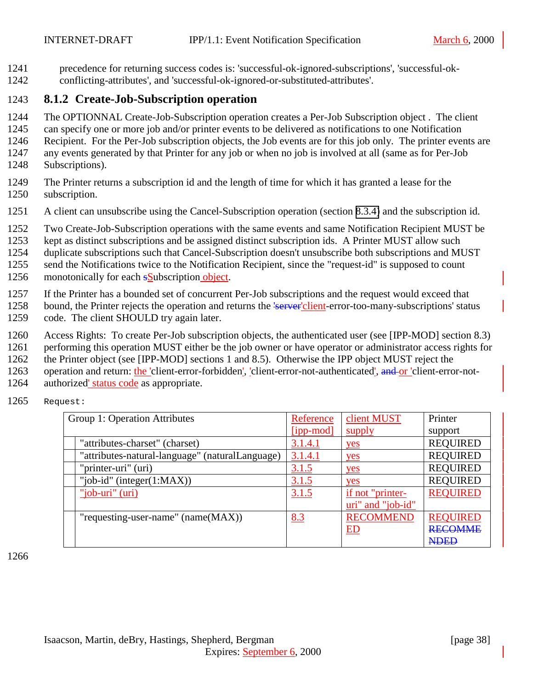<span id="page-37-0"></span>1241 precedence for returning success codes is: 'successful-ok-ignored-subscriptions', 'successful-ok-

# 1242 conflicting-attributes', and 'successful-ok-ignored-or-substituted-attributes'.

# 1243 **8.1.2 Create-Job-Subscription operation**

- 1244 The OPTIONNAL Create-Job-Subscription operation creates a Per-Job Subscription object . The client
- 1245 can specify one or more job and/or printer events to be delivered as notifications to one Notification
- 1246 Recipient. For the Per-Job subscription objects, the Job events are for this job only. The printer events are
- 1247 any events generated by that Printer for any job or when no job is involved at all (same as for Per-Job 1248 Subscriptions).
- 1249 The Printer returns a subscription id and the length of time for which it has granted a lease for the 1250 subscription.
- 1251 A client can unsubscribe using the Cancel-Subscription operation (section [8.3.4\)](#page-46-0) and the subscription id.
- 1252 Two Create-Job-Subscription operations with the same events and same Notification Recipient MUST be
- 1253 kept as distinct subscriptions and be assigned distinct subscription ids. A Printer MUST allow such
- 1254 duplicate subscriptions such that Cancel-Subscription doesn't unsubscribe both subscriptions and MUST
- 1255 send the Notifications twice to the Notification Recipient, since the "request-id" is supposed to count
- 1256 monotonically for each **s**Subscription object.
- 1257 If the Printer has a bounded set of concurrent Per-Job subscriptions and the request would exceed that
- 1258 bound, the Printer rejects the operation and returns the 'server'client-error-too-many-subscriptions' status 1259 code. The client SHOULD try again later.
- 1260 Access Rights: To create Per-Job subscription objects, the authenticated user (see [IPP-MOD] section 8.3)
- 1261 performing this operation MUST either be the job owner or have operator or administrator access rights for
- 1262 the Printer object (see [IPP-MOD] sections 1 and 8.5). Otherwise the IPP object MUST reject the
- 1263 operation and return: the 'client-error-forbidden', 'client-error-not-authenticated', and or 'client-error-not-
- 1264 authorized' status code as appropriate.
- 1265 Request:

| Group 1: Operation Attributes                   | Reference | client MUST       | Printer         |
|-------------------------------------------------|-----------|-------------------|-----------------|
|                                                 | [ipp-mod] | supply            | support         |
| "attributes-charset" (charset)                  | 3.1.4.1   | yes               | <b>REQUIRED</b> |
| "attributes-natural-language" (naturalLanguage) | 3.1.4.1   | yes               | <b>REQUIRED</b> |
| "printer-uri" (uri)                             | 3.1.5     | yes               | <b>REQUIRED</b> |
| "job-id" (integer $(1:MAX)$ )                   | 3.1.5     | yes               | <b>REQUIRED</b> |
| "job-uri" (uri)                                 | 3.1.5     | if not "printer-  | <b>REQUIRED</b> |
|                                                 |           | uri" and "job-id" |                 |
| "requesting-user-name" $(name(MAX))$            | 8.3       | <b>RECOMMEND</b>  | <b>REQUIRED</b> |
|                                                 |           | ED                | <b>RECOMME</b>  |
|                                                 |           |                   | <b>NDED</b>     |

1266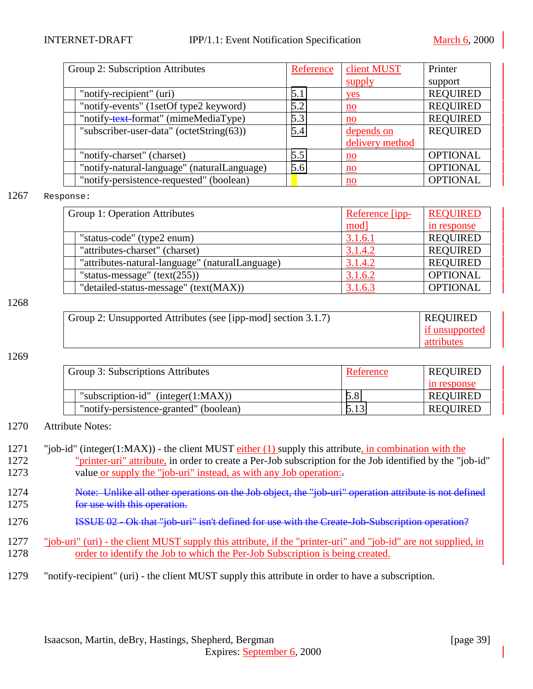| Group 2: Subscription Attributes            | Reference | client MUST               | Printer         |
|---------------------------------------------|-----------|---------------------------|-----------------|
|                                             |           | supply                    | support         |
| "notify-recipient" (uri)                    | 5.1       | yes                       | <b>REQUIRED</b> |
| "notify-events" (1setOf type2 keyword)      | 5.2       | $\underline{\mathbf{no}}$ | <b>REQUIRED</b> |
| "notify-text-format" (mimeMediaType)        | 5.3       | no                        | <b>REQUIRED</b> |
| "subscriber-user-data" (octetString(63))    | 5.4       | depends on                | <b>REQUIRED</b> |
|                                             |           | delivery method           |                 |
| "notify-charset" (charset)                  | 5.5       | $\underline{\text{no}}$   | <b>OPTIONAL</b> |
| "notify-natural-language" (naturalLanguage) | 5.6       | $\underline{\mathbf{no}}$ | <b>OPTIONAL</b> |
| "notify-persistence-requested" (boolean)    |           | $\underline{\mathbf{no}}$ | <b>OPTIONAL</b> |

#### 1267 Response:

| Group 1: Operation Attributes |                                                 | Reference [ipp- | <b>REQUIRED</b> |
|-------------------------------|-------------------------------------------------|-----------------|-----------------|
|                               |                                                 | mod]            | in response     |
|                               | "status-code" (type2 enum)                      | 3.1.6.1         | <b>REQUIRED</b> |
|                               | "attributes-charset" (charset)                  | 3.1.4.2         | <b>REQUIRED</b> |
|                               | "attributes-natural-language" (naturalLanguage) | 3.1.4.2         | <b>REQUIRED</b> |
|                               | "status-message" $(text(255))$                  | 3.1.6.2         | <b>OPTIONAL</b> |
|                               | "detailed-status-message" (text(MAX))           | 3.1.6.3         | <b>OPTIONAL</b> |

#### 1268

| Group 2: Unsupported Attributes (see [ipp-mod] section 3.1.7) | <b>REQUIRED</b> |
|---------------------------------------------------------------|-----------------|
|                                                               | if unsupported  |
|                                                               | attributes      |

#### 1269

| Group 3: Subscriptions Attributes      | Reference | <b>REQUIRED</b> |
|----------------------------------------|-----------|-----------------|
|                                        |           | in response     |
| "subscription-id" (integer $(1:MAX)$ ) | 5.8       | <b>REQUIRED</b> |
| "notify-persistence-granted" (boolean) | 5.13      | <b>REQUIRED</b> |

#### 1270 Attribute Notes:

| 1271 | "job-id" (integer(1:MAX)) - the client MUST $\frac{either(1)}{either(1)}$ supply this attribute, in combination with the |
|------|--------------------------------------------------------------------------------------------------------------------------|
| 1272 | "printer-uri" attribute, in order to create a Per-Job subscription for the Job identified by the "job-id"                |
| 1273 | value or supply the "job-uri" instead, as with any Job operation:                                                        |

- 1274 Note: Unlike all other operations on the Job object, the "job-uri" operation attribute is not defined 1275 **for use with this operation.**
- 1276 **ISSUE 02 Ok that "job-uri" isn't defined for use with the Create-Job-Subscription operation?**
- 1277 "job-uri" (uri) the client MUST supply this attribute, if the "printer-uri" and "job-id" are not supplied, in 1278 order to identify the Job to which the Per-Job Subscription is being created.
- 1279 "notify-recipient" (uri) the client MUST supply this attribute in order to have a subscription.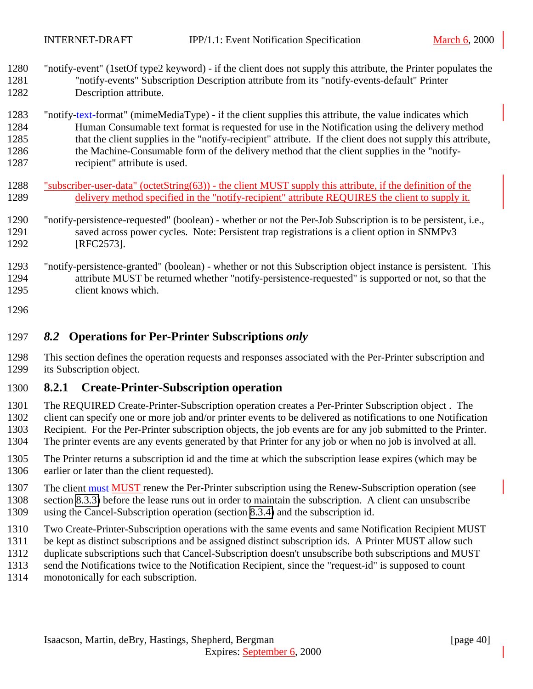<span id="page-39-0"></span> "notify-event" (1setOf type2 keyword) - if the client does not supply this attribute, the Printer populates the "notify-events" Subscription Description attribute from its "notify-events-default" Printer Description attribute.

1283 "notify-text-format" (mimeMediaType) - if the client supplies this attribute, the value indicates which Human Consumable text format is requested for use in the Notification using the delivery method 1285 that the client supplies in the "notify-recipient" attribute. If the client does not supply this attribute, the Machine-Consumable form of the delivery method that the client supplies in the "notify-1287 recipient" attribute is used.

- 1288 "subscriber-user-data" (octetString(63)) the client MUST supply this attribute, if the definition of the 1289 delivery method specified in the "notify-recipient" attribute REQUIRES the client to supply it.
- "notify-persistence-requested" (boolean) whether or not the Per-Job Subscription is to be persistent, i.e., saved across power cycles. Note: Persistent trap registrations is a client option in SNMPv3 [RFC2573].
- "notify-persistence-granted" (boolean) whether or not this Subscription object instance is persistent. This attribute MUST be returned whether "notify-persistence-requested" is supported or not, so that the client knows which.
- 

#### *8.2* **Operations for Per-Printer Subscriptions** *only*

 This section defines the operation requests and responses associated with the Per-Printer subscription and its Subscription object.

#### **8.2.1 Create-Printer-Subscription operation**

- The REQUIRED Create-Printer-Subscription operation creates a Per-Printer Subscription object . The
- client can specify one or more job and/or printer events to be delivered as notifications to one Notification
- Recipient. For the Per-Printer subscription objects, the job events are for any job submitted to the Printer. The printer events are any events generated by that Printer for any job or when no job is involved at all.
- The Printer returns a subscription id and the time at which the subscription lease expires (which may be
- earlier or later than the client requested).
- 1307 The client must MUST renew the Per-Printer subscription using the Renew-Subscription operation (see
- section [8.3.3\)](#page-44-0) before the lease runs out in order to maintain the subscription. A client can unsubscribe
- using the Cancel-Subscription operation (section [8.3.4\)](#page-46-0) and the subscription id.
- Two Create-Printer-Subscription operations with the same events and same Notification Recipient MUST
- be kept as distinct subscriptions and be assigned distinct subscription ids. A Printer MUST allow such
- duplicate subscriptions such that Cancel-Subscription doesn't unsubscribe both subscriptions and MUST
- send the Notifications twice to the Notification Recipient, since the "request-id" is supposed to count
- monotonically for each subscription.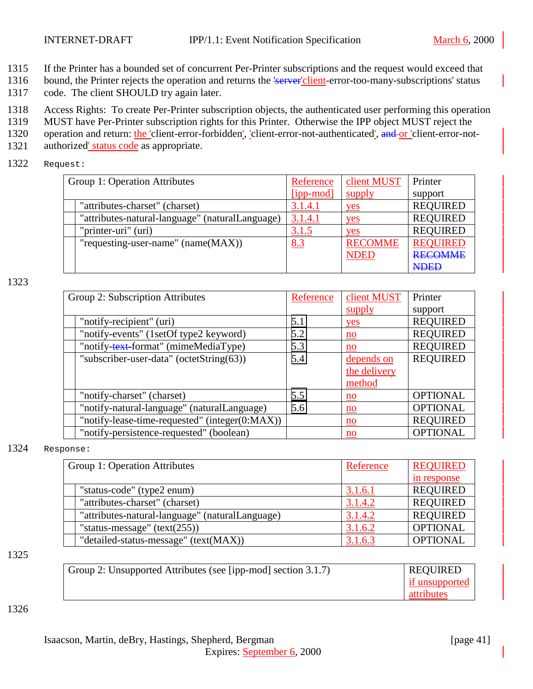- 1315 If the Printer has a bounded set of concurrent Per-Printer subscriptions and the request would exceed that
- 1316 bound, the Printer rejects the operation and returns the 'server'client-error-too-many-subscriptions' status
- 1317 code. The client SHOULD try again later.
- 1318 Access Rights: To create Per-Printer subscription objects, the authenticated user performing this operation
- 1319 MUST have Per-Printer subscription rights for this Printer. Otherwise the IPP object MUST reject the
- 1320 operation and return: the 'client-error-forbidden', 'client-error-not-authenticated', and or 'client-error-not-
- 1321 authorized' status code as appropriate.
- 1322 Request:

| Group 1: Operation Attributes |                                                 | Reference    | client MUST    | Printer         |
|-------------------------------|-------------------------------------------------|--------------|----------------|-----------------|
|                               |                                                 | $[pp-model]$ | supply         | support         |
|                               | "attributes-charset" (charset)                  | 3.1.4.1      | yes            | <b>REQUIRED</b> |
|                               | "attributes-natural-language" (naturalLanguage) | 3.1.4.1      | yes            | <b>REQUIRED</b> |
|                               | "printer-uri" (uri)                             | 3.1.5        | yes            | <b>REQUIRED</b> |
|                               | "requesting-user-name" $(name(MAX))$            | 8.3          | <b>RECOMME</b> | <b>REQUIRED</b> |
|                               |                                                 |              | <b>NDED</b>    | <b>RECOMME</b>  |
|                               |                                                 |              |                | <b>NDED</b>     |

| Group 2: Subscription Attributes               | Reference | client MUST               | Printer         |
|------------------------------------------------|-----------|---------------------------|-----------------|
|                                                |           | supply                    | support         |
| "notify-recipient" (uri)                       | 5.1       | yes                       | <b>REQUIRED</b> |
| "notify-events" (1setOf type2 keyword)         | 5.2       | $\underline{\mathbf{no}}$ | <b>REQUIRED</b> |
| "notify-text-format" (mimeMediaType)           | 5.3       | no                        | <b>REQUIRED</b> |
| "subscriber-user-data" (octetString(63))       | 5.4       | depends on                | <b>REQUIRED</b> |
|                                                |           | the delivery              |                 |
|                                                |           | method                    |                 |
| "notify-charset" (charset)                     | 5.5       | no                        | <b>OPTIONAL</b> |
| "notify-natural-language" (naturalLanguage)    | 5.6       | $\underline{\mathbf{no}}$ | <b>OPTIONAL</b> |
| "notify-lease-time-requested" (integer(0:MAX)) |           | $\underline{\mathbf{no}}$ | <b>REQUIRED</b> |
| "notify-persistence-requested" (boolean)       |           | $\underline{\mathbf{no}}$ | <b>OPTIONAL</b> |

1324 Response:

| Group 1: Operation Attributes |                                                 | Reference | <b>REQUIRED</b> |
|-------------------------------|-------------------------------------------------|-----------|-----------------|
|                               |                                                 |           | in response     |
|                               | "status-code" (type2 enum)                      | 3.1.6.1   | <b>REQUIRED</b> |
|                               | "attributes-charset" (charset)                  | 3.1.4.2   | <b>REQUIRED</b> |
|                               | "attributes-natural-language" (naturalLanguage) | 3.1.4.2   | <b>REQUIRED</b> |
|                               | "status-message" $(text(255))$                  | 3.1.6.2   | <b>OPTIONAL</b> |
|                               | "detailed-status-message" (text(MAX))           | 3.1.6.3   | <b>OPTIONAL</b> |

1325

| Group 2: Unsupported Attributes (see [ipp-mod] section 3.1.7) | <b>REQUIRED</b> |
|---------------------------------------------------------------|-----------------|
|                                                               | if unsupported  |
|                                                               | attributes      |

#### 1326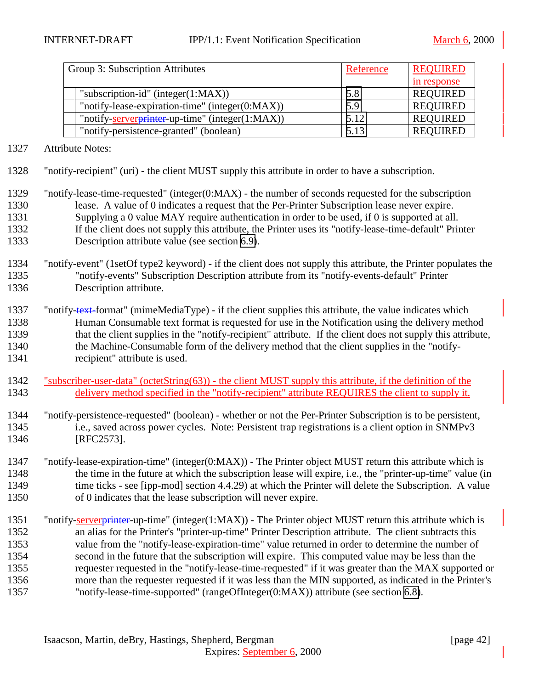| Group 3: Subscription Attributes                | Reference | <b>REQUIRED</b> |
|-------------------------------------------------|-----------|-----------------|
|                                                 |           | in response     |
| "subscription-id" (integer $(1:MAX)$ )          | 5.8       | <b>REQUIRED</b> |
| "notify-lease-expiration-time" (integer(0:MAX)) | 5.9       | <b>REQUIRED</b> |
| "notify-serverprinter-up-time" (integer(1:MAX)) | 5.12      | <b>REQUIRED</b> |
| "notify-persistence-granted" (boolean)          | 5.13      | <b>REQUIRED</b> |

Attribute Notes:

"notify-recipient" (uri) - the client MUST supply this attribute in order to have a subscription.

 "notify-lease-time-requested" (integer(0:MAX) - the number of seconds requested for the subscription lease. A value of 0 indicates a request that the Per-Printer Subscription lease never expire. Supplying a 0 value MAY require authentication in order to be used, if 0 is supported at all. If the client does not supply this attribute, the Printer uses its "notify-lease-time-default" Printer Description attribute value (see section [6.9\)](#page-28-0).

- "notify-event" (1setOf type2 keyword) if the client does not supply this attribute, the Printer populates the "notify-events" Subscription Description attribute from its "notify-events-default" Printer Description attribute.
- 1337 "notify-text-format" (mimeMediaType) if the client supplies this attribute, the value indicates which Human Consumable text format is requested for use in the Notification using the delivery method 1339 that the client supplies in the "notify-recipient" attribute. If the client does not supply this attribute, the Machine-Consumable form of the delivery method that the client supplies in the "notify-1341 recipient" attribute is used.
- "subscriber-user-data" (octetString(63)) the client MUST supply this attribute, if the definition of the delivery method specified in the "notify-recipient" attribute REQUIRES the client to supply it.
- "notify-persistence-requested" (boolean) whether or not the Per-Printer Subscription is to be persistent, i.e., saved across power cycles. Note: Persistent trap registrations is a client option in SNMPv3 [RFC2573].
- "notify-lease-expiration-time" (integer(0:MAX)) The Printer object MUST return this attribute which is the time in the future at which the subscription lease will expire, i.e., the "printer-up-time" value (in 1349 time ticks - see [ipp-mod] section 4.4.29) at which the Printer will delete the Subscription. A value of 0 indicates that the lease subscription will never expire.
- 1351 "notify-serverprinter-up-time" (integer(1:MAX)) The Printer object MUST return this attribute which is an alias for the Printer's "printer-up-time" Printer Description attribute. The client subtracts this value from the "notify-lease-expiration-time" value returned in order to determine the number of second in the future that the subscription will expire. This computed value may be less than the requester requested in the "notify-lease-time-requested" if it was greater than the MAX supported or more than the requester requested if it was less than the MIN supported, as indicated in the Printer's "notify-lease-time-supported" (rangeOfInteger(0:MAX)) attribute (see section [6.8\)](#page-28-0).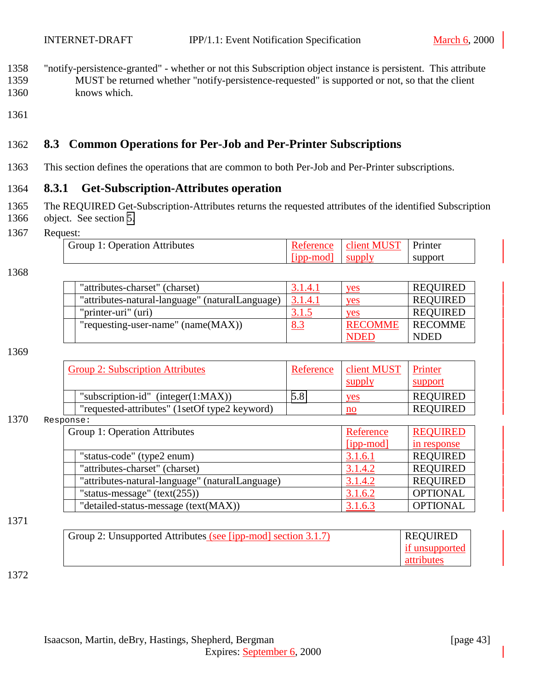- <span id="page-42-0"></span>1358 "notify-persistence-granted" - whether or not this Subscription object instance is persistent. This attribute 1359 MUST be returned whether "notify-persistence-requested" is supported or not, so that the client 1360 knows which.
- 1361

## 1362 **8.3 Common Operations for Per-Job and Per-Printer Subscriptions**

1363 This section defines the operations that are common to both Per-Job and Per-Printer subscriptions.

#### 1364 **8.3.1 Get-Subscription-Attributes operation**

- 1365 The REQUIRED Get-Subscription-Attributes returns the requested attributes of the identified Subscription 1366 object. See section [5.](#page-16-0)
- 1367 Request:

| .                             |                  |                                   |         |
|-------------------------------|------------------|-----------------------------------|---------|
| Group 1: Operation Attributes |                  | Reference   client MUST   Printer |         |
|                               | [ipp-mod] supply |                                   | support |

1368

| "attributes-charset" (charset)                  | 3.1.4.1    | yes            | <b>REQUIRED</b> |
|-------------------------------------------------|------------|----------------|-----------------|
| "attributes-natural-language" (naturalLanguage) | 3.1.4.1    | yes            | <b>REQUIRED</b> |
| "printer-uri" (uri)                             | 3.1.5      | ves            | <b>REQUIRED</b> |
| "requesting-user-name" $(name(MAX))$            | <u>8.3</u> | <b>RECOMME</b> | <b>RECOMME</b>  |
|                                                 |            | DEL            | <b>NDED</b>     |

1369

| <b>Group 2: Subscription Attributes</b>       | Reference | client MUST<br>supply | Printer<br>support |
|-----------------------------------------------|-----------|-----------------------|--------------------|
| "subscription-id" (integer $(1:MAX)$ )        | 5.8       | yes                   | <b>REQUIRED</b>    |
| "requested-attributes" (1setOf type2 keyword) |           | $\mathbf{n}$          | <b>REQUIRED</b>    |

#### 1370 Response

| ,,,,,,                                          |           |                 |
|-------------------------------------------------|-----------|-----------------|
| Group 1: Operation Attributes                   | Reference | <b>REQUIRED</b> |
|                                                 | [ipp-mod] | in response     |
| "status-code" (type2 enum)                      | 3.1.6.1   | <b>REQUIRED</b> |
| "attributes-charset" (charset)                  | 3.1.4.2   | <b>REQUIRED</b> |
| "attributes-natural-language" (naturalLanguage) | 3.1.4.2   | <b>REQUIRED</b> |
| "status-message" $(text(255))$                  | 3.1.6.2   | <b>OPTIONAL</b> |
| "detailed-status-message (text(MAX))            | 3.1.6.3   | <b>OPTIONAL</b> |

#### 1371

| Group 2: Unsupported Attributes (see [ipp-mod] section 3.1.7) | <b>REQUIRED</b> |
|---------------------------------------------------------------|-----------------|
|                                                               | if unsupported  |
|                                                               | attributes      |

1372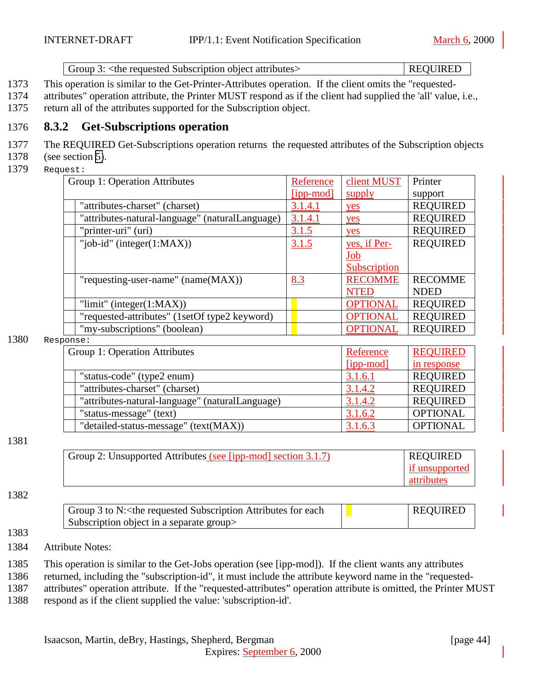Group 3: <the requested Subscription object attributes> REQUIRED

- <span id="page-43-0"></span>1373 This operation is similar to the Get-Printer-Attributes operation. If the client omits the "requested-
- 1374 attributes" operation attribute, the Printer MUST respond as if the client had supplied the 'all' value, i.e., 1375 return all of the attributes supported for the Subscription object.
- 

## 1376 **8.3.2 Get-Subscriptions operation**

- 1377 The REQUIRED Get-Subscriptions operation returns the requested attributes of the Subscription objects
- 1378 (see section [5\)](#page-16-0).
- 1379 Request:

| Group 1: Operation Attributes                   | Reference      | client MUST     | Printer         |
|-------------------------------------------------|----------------|-----------------|-----------------|
|                                                 | [ipp-mod]      | supply          | support         |
| "attributes-charset" (charset)                  | 3.1.4.1        | yes             | <b>REQUIRED</b> |
| "attributes-natural-language" (naturalLanguage) | <u>3.1.4.1</u> | yes             | <b>REQUIRED</b> |
| "printer-uri" (uri)                             | 3.1.5          | yes             | <b>REQUIRED</b> |
| "job-id" (integer $(1:MAX)$ )                   | 3.1.5          | yes, if Per-    | <b>REQUIRED</b> |
|                                                 |                | <u>Job</u>      |                 |
|                                                 |                | Subscription    |                 |
| "requesting-user-name" (name(MAX))              | 8.3            | <b>RECOMME</b>  | <b>RECOMME</b>  |
|                                                 |                | <b>NTED</b>     | <b>NDED</b>     |
| "limit" (integer $(1:MAX)$ )                    |                | <b>OPTIONAL</b> | <b>REQUIRED</b> |
| "requested-attributes" (1setOf type2 keyword)   |                | <b>OPTIONAL</b> | <b>REQUIRED</b> |
| "my-subscriptions" (boolean)                    |                | <b>OPTIONAL</b> | <b>REQUIRED</b> |

1380 Response:

| Group 1: Operation Attributes                   | Reference   | <b>REQUIRED</b> |
|-------------------------------------------------|-------------|-----------------|
|                                                 | $[ipp-mod]$ | in response     |
| "status-code" (type2 enum)                      | 3.1.6.1     | <b>REQUIRED</b> |
| "attributes-charset" (charset)                  | 3.1.4.2     | <b>REQUIRED</b> |
| "attributes-natural-language" (naturalLanguage) | 3.1.4.2     | <b>REQUIRED</b> |
| "status-message" (text)                         | 3.1.6.2     | <b>OPTIONAL</b> |
| "detailed-status-message" (text(MAX))           | 3.1.6.3     | <b>OPTIONAL</b> |

1381

| Group 2: Unsupported Attributes (see [ipp-mod] section 3.1.7) | <b>REQUIRED</b> |
|---------------------------------------------------------------|-----------------|
|                                                               | if unsupported  |
|                                                               | attributes      |

#### 1382

1383

| Group 3 to N: < the requested Subscription Attributes for each | <b>REQUIRED</b> |
|----------------------------------------------------------------|-----------------|
| Subscription object in a separate group                        |                 |

1384 Attribute Notes:

1385 This operation is similar to the Get-Jobs operation (see [ipp-mod]). If the client wants any attributes

1386 returned, including the "subscription-id", it must include the attribute keyword name in the "requested-

1387 attributes" operation attribute. If the "requested-attributes" operation attribute is omitted, the Printer MUST 1388 respond as if the client supplied the value: 'subscription-id'.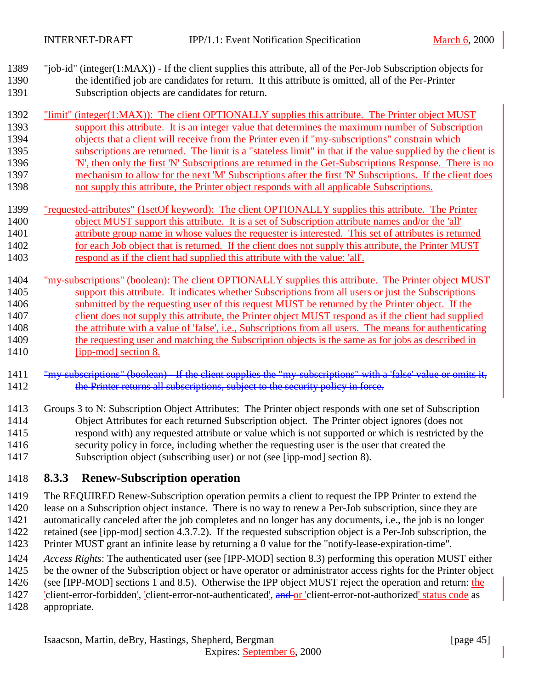- <span id="page-44-0"></span> "job-id" (integer(1:MAX)) - If the client supplies this attribute, all of the Per-Job Subscription objects for the identified job are candidates for return. It this attribute is omitted, all of the Per-Printer Subscription objects are candidates for return.
- 1392 "limit" (integer(1:MAX)): The client OPTIONALLY supplies this attribute. The Printer object MUST support this attribute. It is an integer value that determines the maximum number of Subscription objects that a client will receive from the Printer even if "my-subscriptions" constrain which subscriptions are returned. The limit is a "stateless limit" in that if the value supplied by the client is 'N', then only the first 'N' Subscriptions are returned in the Get-Subscriptions Response. There is no mechanism to allow for the next 'M' Subscriptions after the first 'N' Subscriptions. If the client does not supply this attribute, the Printer object responds with all applicable Subscriptions.
- "requested-attributes" (1setOf keyword): The client OPTIONALLY supplies this attribute. The Printer object MUST support this attribute. It is a set of Subscription attribute names and/or the 'all' attribute group name in whose values the requester is interested. This set of attributes is returned 1402 for each Job object that is returned. If the client does not supply this attribute, the Printer MUST respond as if the client had supplied this attribute with the value: 'all'.
- "my-subscriptions" (boolean): The client OPTIONALLY supplies this attribute. The Printer object MUST support this attribute. It indicates whether Subscriptions from all users or just the Subscriptions submitted by the requesting user of this request MUST be returned by the Printer object. If the 1407 client does not supply this attribute, the Printer object MUST respond as if the client had supplied the attribute with a value of 'false', i.e., Subscriptions from all users. The means for authenticating 1409 the requesting user and matching the Subscription objects is the same as for jobs as described in 1410 [ipp-mod] section 8.
- 1411 "my-subscriptions" (boolean) If the client supplies the "my-subscriptions" with a 'false' value or omits it, 1412 the Printer returns all subscriptions, subject to the security policy in force.
- Groups 3 to N: Subscription Object Attributes: The Printer object responds with one set of Subscription Object Attributes for each returned Subscription object. The Printer object ignores (does not respond with) any requested attribute or value which is not supported or which is restricted by the security policy in force, including whether the requesting user is the user that created the Subscription object (subscribing user) or not (see [ipp-mod] section 8).

#### **8.3.3 Renew-Subscription operation**

- The REQUIRED Renew-Subscription operation permits a client to request the IPP Printer to extend the lease on a Subscription object instance. There is no way to renew a Per-Job subscription, since they are automatically canceled after the job completes and no longer has any documents, i.e., the job is no longer retained (see [ipp-mod] section 4.3.7.2). If the requested subscription object is a Per-Job subscription, the Printer MUST grant an infinite lease by returning a 0 value for the "notify-lease-expiration-time".
- *Access Rights*: The authenticated user (see [IPP-MOD] section 8.3) performing this operation MUST either
- be the owner of the Subscription object or have operator or administrator access rights for the Printer object
- 1426 (see [IPP-MOD] sections 1 and 8.5). Otherwise the IPP object MUST reject the operation and return: the 1427 'client-error-forbidden', 'client-error-not-authenticated', and or 'client-error-not-authorized' status code as
- appropriate.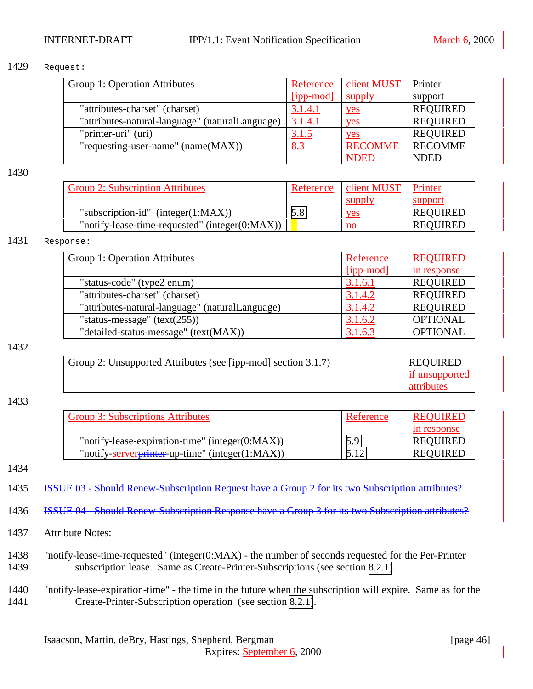#### 1429 Request:

| Group 1: Operation Attributes                   | Reference | client MUST    | Printer         |
|-------------------------------------------------|-----------|----------------|-----------------|
|                                                 | [ipp-mod] | supply         | support         |
| "attributes-charset" (charset)                  | 3.1.4.1   | yes            | <b>REQUIRED</b> |
| "attributes-natural-language" (naturalLanguage) | 3.1.4.1   | yes            | <b>REQUIRED</b> |
| "printer-uri" (uri)                             | 3.1.5     | yes            | <b>REQUIRED</b> |
| "requesting-user-name" $(name(MAX))$            | 8.3       | <b>RECOMME</b> | <b>RECOMME</b>  |
|                                                 |           | <b>NDED</b>    | <b>NDED</b>     |

#### 1430

| <b>Group 2: Subscription Attributes</b>            | Reference | client MUST   | Printer         |
|----------------------------------------------------|-----------|---------------|-----------------|
|                                                    |           | <b>Supply</b> | support         |
| "subscription-id" (integer $(1:MAX)$ )             | 5.8       | yes           | <b>REQUIRED</b> |
| "notify-lease-time-requested" (integer $(0:MAX)$ ) |           | no            | <b>REQUIRED</b> |

#### 1431 Response:

| Group 1: Operation Attributes |                                                 | Reference | <b>REQUIRED</b> |
|-------------------------------|-------------------------------------------------|-----------|-----------------|
|                               |                                                 | [ipp-mod] | in response     |
|                               | "status-code" (type2 enum)                      | 3.1.6.1   | <b>REQUIRED</b> |
|                               | "attributes-charset" (charset)                  | 3.1.4.2   | <b>REQUIRED</b> |
|                               | "attributes-natural-language" (naturalLanguage) | 3.1.4.2   | <b>REQUIRED</b> |
|                               | "status-message" $(text(255))$                  | 3.1.6.2   | <b>OPTIONAL</b> |
|                               | "detailed-status-message" (text(MAX))           | 3.1.6.3   | <b>OPTIONAL</b> |

#### 1432

| Group 2: Unsupported Attributes (see [ipp-mod] section 3.1.7) | <b>REQUIRED</b> |
|---------------------------------------------------------------|-----------------|
|                                                               | if unsupported  |
|                                                               | attributes      |

#### 1433

| <b>Group 3: Subscriptions Attributes</b>            | Reference | <b>REQUIRED</b> |
|-----------------------------------------------------|-----------|-----------------|
|                                                     |           | in response     |
| "notify-lease-expiration-time" (integer $(0:MAX)$ ) | 5.9       | <b>REQUIRED</b> |
| "notify-serverprinter-up-time" (integer(1:MAX))     | 5.12      | <b>REQUIRED</b> |

1434

1435 ISSUE 03 - Should Renew-Subscription Request have a Group 2 for its two Subscription attributes?

1436 ISSUE 04 - Should Renew-Subscription Response have a Group 3 for its two Subscription attributes?

- 1437 Attribute Notes:
- 1438 "notify-lease-time-requested" (integer(0:MAX) the number of seconds requested for the Per-Printer 1439 subscription lease. Same as Create-Printer-Subscriptions (see section [8.2.1\)](#page-39-0).
- 1440 "notify-lease-expiration-time" the time in the future when the subscription will expire. Same as for the 1441 Create-Printer-Subscription operation (see section [8.2.1\)](#page-39-0).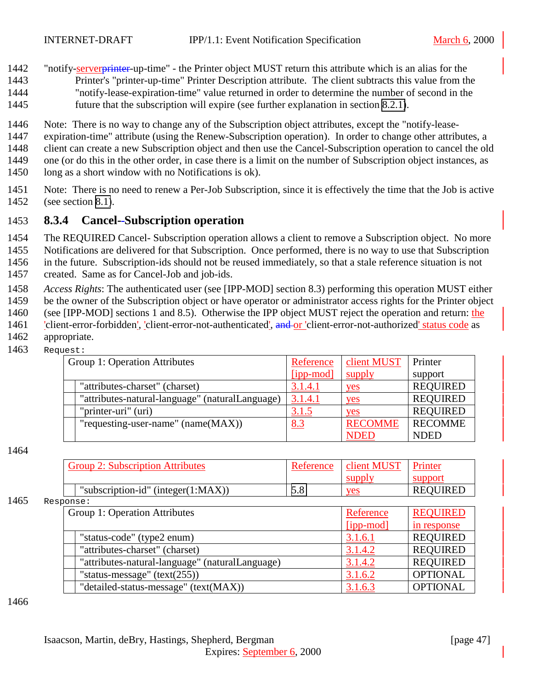<span id="page-46-0"></span>1442 "notify-serverprinter-up-time" - the Printer object MUST return this attribute which is an alias for the 1443 Printer's "printer-up-time" Printer Description attribute. The client subtracts this value from the

- 1444 "notify-lease-expiration-time" value returned in order to determine the number of second in the 1445 future that the subscription will expire (see further explanation in section [8.2.1\)](#page-39-0).
- 
- 1446 Note: There is no way to change any of the Subscription object attributes, except the "notify-lease-
- 1447 expiration-time" attribute (using the Renew-Subscription operation). In order to change other attributes, a
- 1448 client can create a new Subscription object and then use the Cancel-Subscription operation to cancel the old
- 1449 one (or do this in the other order, in case there is a limit on the number of Subscription object instances, as
- 1450 long as a short window with no Notifications is ok).
- 1451 Note: There is no need to renew a Per-Job Subscription, since it is effectively the time that the Job is active 1452 (see section [8.1\)](#page-34-0).

## 1453 **8.3.4 Cancel- Subscription operation**

- 1454 The REQUIRED Cancel- Subscription operation allows a client to remove a Subscription object. No more
- 1455 Notifications are delivered for that Subscription. Once performed, there is no way to use that Subscription

1456 in the future. Subscription-ids should not be reused immediately, so that a stale reference situation is not

- 1457 created. Same as for Cancel-Job and job-ids.
- 1458 *Access Rights*: The authenticated user (see [IPP-MOD] section 8.3) performing this operation MUST either
- 1459 be the owner of the Subscription object or have operator or administrator access rights for the Printer object
- 1460 (see [IPP-MOD] sections 1 and 8.5). Otherwise the IPP object MUST reject the operation and return: the
- 1461 *[client-error-forbidden]*, *[client-error-not-authenticated]*, **and or** *client-error-not-authorized status code as*
- 1462 appropriate.
- 1463 Request:

| Group 1: Operation Attributes |                                                 | Reference      | client MUST    | Printer         |
|-------------------------------|-------------------------------------------------|----------------|----------------|-----------------|
|                               |                                                 | [ipp-mod]      | supply         | support         |
|                               | "attributes-charset" (charset)                  | 3.1.4.1        | yes            | <b>REQUIRED</b> |
|                               | "attributes-natural-language" (naturalLanguage) | <u>3.1.4.1</u> | yes            | <b>REQUIRED</b> |
|                               | "printer-uri" (uri)                             | 3.1.5          | yes            | <b>REQUIRED</b> |
|                               | "requesting-user-name" $(name(MAX))$            | 8.3            | <b>RECOMME</b> | <b>RECOMME</b>  |
|                               |                                                 |                | <b>NDED</b>    | <b>NDED</b>     |

#### 1464

| <b>Group 2: Subscription Attributes</b> | Reference | client MUST | Printer         |
|-----------------------------------------|-----------|-------------|-----------------|
|                                         |           |             |                 |
| "subscription-id" (integer $(1:MAX)$ )  | J.O       | <b>ves</b>  | <b>REQUIRED</b> |

1465 Response:

| Group 1: Operation Attributes |                                                 | Reference | <b>REQUIRED</b> |
|-------------------------------|-------------------------------------------------|-----------|-----------------|
|                               |                                                 | [ipp-mod] | in response     |
|                               | "status-code" (type2 enum)                      | 3.1.6.1   | <b>REQUIRED</b> |
|                               | "attributes-charset" (charset)                  | 3.1.4.2   | <b>REQUIRED</b> |
|                               | "attributes-natural-language" (naturalLanguage) | 3.1.4.2   | <b>REQUIRED</b> |
|                               | "status-message" $(text(255))$                  | 3.1.6.2   | <b>OPTIONAL</b> |
|                               | "detailed-status-message" (text(MAX))           | 3.1.6.3   | <b>OPTIONAL</b> |

1466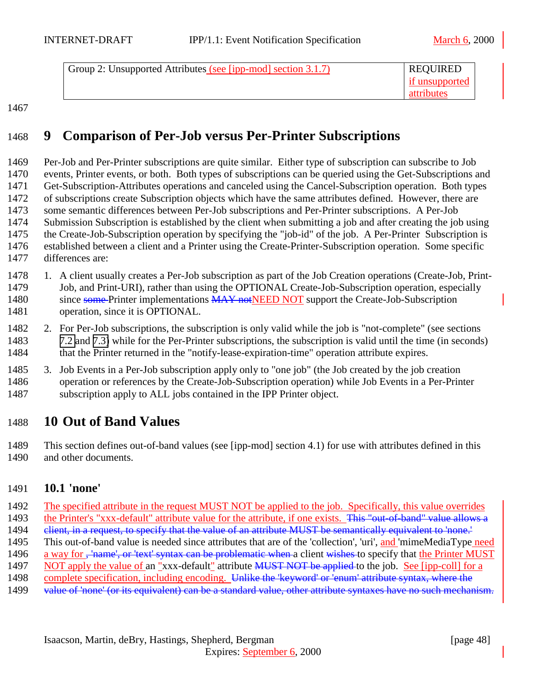<span id="page-47-0"></span>

| Group 2: Unsupported Attributes (see [ipp-mod] section 3.1.7) | <b>REQUIRED</b> |
|---------------------------------------------------------------|-----------------|
|                                                               | if unsupported  |
|                                                               | attributes      |

# **9 Comparison of Per-Job versus Per-Printer Subscriptions**

 Per-Job and Per-Printer subscriptions are quite similar. Either type of subscription can subscribe to Job events, Printer events, or both. Both types of subscriptions can be queried using the Get-Subscriptions and Get-Subscription-Attributes operations and canceled using the Cancel-Subscription operation. Both types of subscriptions create Subscription objects which have the same attributes defined. However, there are some semantic differences between Per-Job subscriptions and Per-Printer subscriptions. A Per-Job Submission Subscription is established by the client when submitting a job and after creating the job using the Create-Job-Subscription operation by specifying the "job-id" of the job. A Per-Printer Subscription is established between a client and a Printer using the Create-Printer-Subscription operation. Some specific differences are:

- 1. A client usually creates a Per-Job subscription as part of the Job Creation operations (Create-Job, Print- Job, and Print-URI), rather than using the OPTIONAL Create-Job-Subscription operation, especially 1480 since some Printer implementations MAY not NEED NOT support the Create-Job-Subscription operation, since it is OPTIONAL.
- 2. For Per-Job subscriptions, the subscription is only valid while the job is "not-complete" (see sections [7.2](#page-30-0) and [7.3\)](#page-33-0) while for the Per-Printer subscriptions, the subscription is valid until the time (in seconds) 1484 that the Printer returned in the "notify-lease-expiration-time" operation attribute expires.
- 3. Job Events in a Per-Job subscription apply only to "one job" (the Job created by the job creation operation or references by the Create-Job-Subscription operation) while Job Events in a Per-Printer subscription apply to ALL jobs contained in the IPP Printer object.

## **10 Out of Band Values**

 This section defines out-of-band values (see [ipp-mod] section 4.1) for use with attributes defined in this 1490 and other documents.

#### **10.1 'none'**

 The specified attribute in the request MUST NOT be applied to the job. Specifically, this value overrides 1493 the Printer's "xxx-default" attribute value for the attribute, if one exists. This "out-of-band" value allows a 1494 elient, in a request, to specify that the value of an attribute MUST be semantically equivalent to 'none.' This out-of-band value is needed since attributes that are of the 'collection', 'uri', and 'mimeMediaType need 1496 a way for <del>, 'name', or 'text' syntax can be problematic when a</del> client wishes to specify that the Printer MUST 1497 NOT apply the value of an "xxx-default" attribute MUST NOT be applied to the job. See [ipp-coll] for a complete specification, including encoding. Unlike the 'keyword' or 'enum' attribute syntax, where the 1499 value of 'none' (or its equivalent) can be a standard value, other attribute syntaxes have no such mechanism.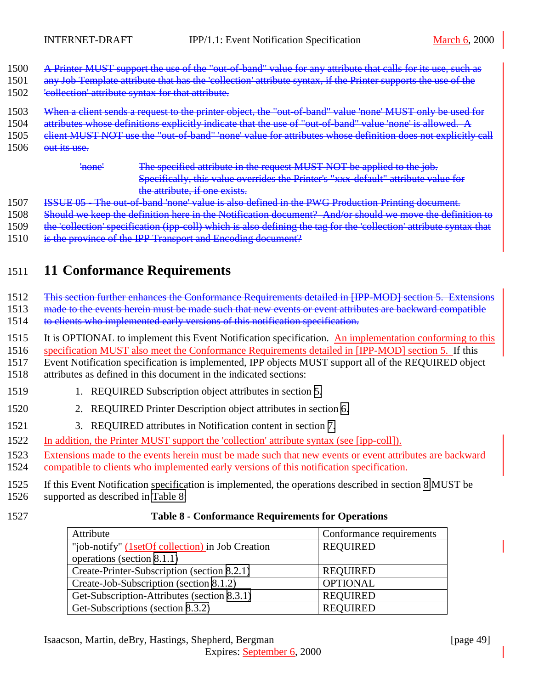- <span id="page-48-0"></span>1500 A Printer MUST support the use of the "out-of-band" value for any attribute that calls for its use, such as
- 1501 any Job Template attribute that has the 'collection' attribute syntax, if the Printer supports the use of the
- 1502 'collection' attribute syntax for that attribute.
- 1503 When a client sends a request to the printer object, the "out-of-band" value 'none' MUST only be used for
- 1504 attributes whose definitions explicitly indicate that the use of "out-of-band" value 'none' is allowed. A
- 1505 elient MUST NOT use the "out-of-band" 'none' value for attributes whose definition does not explicitly call
- 1506 out its use.

'none' The specified attribute in the request MUST NOT be applied to the job. Specifically, this value overrides the Printer's "xxx-default" attribute value for the attribute, if one exists.

- 1507 ISSUE 05 The out-of-band 'none' value is also defined in the PWG Production Printing document.
- 1508 Should we keep the definition here in the Notification document? And/or should we move the definition to
- 1509 the 'collection' specification (ipp-coll) which is also defining the tag for the 'collection' attribute syntax that
- 1510 is the province of the IPP Transport and Encoding document?

# 1511 **11 Conformance Requirements**

1512 This section further enhances the Conformance Requirements detailed in [IPP-MOD] section 5. Extensions

1513 made to the events herein must be made such that new events or event attributes are backward compatible

1514 to clients who implemented early versions of this notification specification.

1515 It is OPTIONAL to implement this Event Notification specification. An implementation conforming to this

1516 specification MUST also meet the Conformance Requirements detailed in [IPP-MOD] section 5. If this

1517 Event Notification specification is implemented, IPP objects MUST support all of the REQUIRED object

- 1518 attributes as defined in this document in the indicated sections:
- 1519 1. REQUIRED Subscription object attributes in section [5.](#page-16-0)
- 1520 2. REQUIRED Printer Description object attributes in section [6.](#page-25-0)
- 1521 3. REQUIRED attributes in Notification content in section [7.](#page-29-0)
- 1522 In addition, the Printer MUST support the 'collection' attribute syntax (see [ipp-coll]).
- 1523 Extensions made to the events herein must be made such that new events or event attributes are backward 1524 compatible to clients who implemented early versions of this notification specification.
- 1525 If this Event Notification specification is implemented, the operations described in section [8](#page-34-0) MUST be
- 1526 supported as described in Table 8:
- 

#### 1527 **Table 8 - Conformance Requirements for Operations**

| Attribute                                        | Conformance requirements |
|--------------------------------------------------|--------------------------|
| "job-notify" (1setOf collection) in Job Creation | <b>REQUIRED</b>          |
| operations (section 8.1.1)                       |                          |
| Create-Printer-Subscription (section 8.2.1)      | <b>REQUIRED</b>          |
| Create-Job-Subscription (section 8.1.2)          | <b>OPTIONAL</b>          |
| Get-Subscription-Attributes (section 8.3.1)      | <b>REQUIRED</b>          |
| Get-Subscriptions (section 8.3.2)                | <b>REQUIRED</b>          |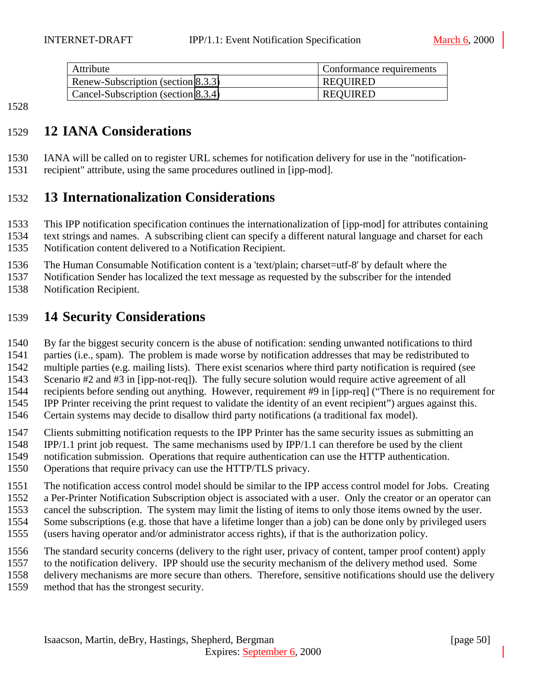<span id="page-49-0"></span>

| Attribute                           | Conformance requirements |
|-------------------------------------|--------------------------|
| Renew-Subscription (section 8.3.3)  | <b>REOUIRED</b>          |
| Cancel-Subscription (section 8.3.4) | <b>REOUIRED</b>          |

# **12 IANA Considerations**

 IANA will be called on to register URL schemes for notification delivery for use in the "notification-recipient" attribute, using the same procedures outlined in [ipp-mod].

# **13 Internationalization Considerations**

 This IPP notification specification continues the internationalization of [ipp-mod] for attributes containing text strings and names. A subscribing client can specify a different natural language and charset for each

Notification content delivered to a Notification Recipient.

The Human Consumable Notification content is a 'text/plain; charset=utf-8' by default where the

 Notification Sender has localized the text message as requested by the subscriber for the intended Notification Recipient.

# **14 Security Considerations**

By far the biggest security concern is the abuse of notification: sending unwanted notifications to third

parties (i.e., spam). The problem is made worse by notification addresses that may be redistributed to

multiple parties (e.g. mailing lists). There exist scenarios where third party notification is required (see

Scenario #2 and #3 in [ipp-not-req]). The fully secure solution would require active agreement of all

recipients before sending out anything. However, requirement #9 in [ipp-req] ("There is no requirement for

IPP Printer receiving the print request to validate the identity of an event recipient") argues against this.

Certain systems may decide to disallow third party notifications (a traditional fax model).

Clients submitting notification requests to the IPP Printer has the same security issues as submitting an

IPP/1.1 print job request. The same mechanisms used by IPP/1.1 can therefore be used by the client

notification submission. Operations that require authentication can use the HTTP authentication.

Operations that require privacy can use the HTTP/TLS privacy.

The notification access control model should be similar to the IPP access control model for Jobs. Creating

a Per-Printer Notification Subscription object is associated with a user. Only the creator or an operator can

cancel the subscription. The system may limit the listing of items to only those items owned by the user.

Some subscriptions (e.g. those that have a lifetime longer than a job) can be done only by privileged users

(users having operator and/or administrator access rights), if that is the authorization policy.

The standard security concerns (delivery to the right user, privacy of content, tamper proof content) apply

to the notification delivery. IPP should use the security mechanism of the delivery method used. Some

delivery mechanisms are more secure than others. Therefore, sensitive notifications should use the delivery

method that has the strongest security.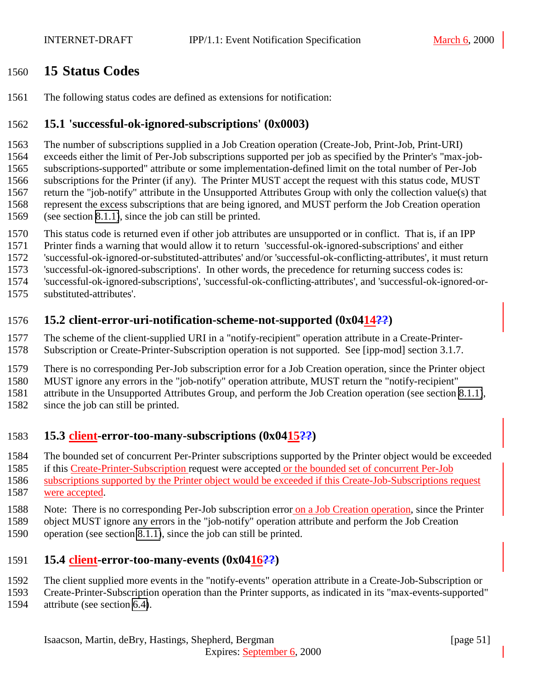## <span id="page-50-0"></span>**15 Status Codes**

The following status codes are defined as extensions for notification:

#### **15.1 'successful-ok-ignored-subscriptions' (0x0003)**

 The number of subscriptions supplied in a Job Creation operation (Create-Job, Print-Job, Print-URI) exceeds either the limit of Per-Job subscriptions supported per job as specified by the Printer's "max-job- subscriptions-supported" attribute or some implementation-defined limit on the total number of Per-Job subscriptions for the Printer (if any). The Printer MUST accept the request with this status code, MUST return the "job-notify" attribute in the Unsupported Attributes Group with only the collection value(s) that represent the excess subscriptions that are being ignored, and MUST perform the Job Creation operation (see section [8.1.1\)](#page-35-0), since the job can still be printed.

- This status code is returned even if other job attributes are unsupported or in conflict. That is, if an IPP
- Printer finds a warning that would allow it to return 'successful-ok-ignored-subscriptions' and either
- 'successful-ok-ignored-or-substituted-attributes' and/or 'successful-ok-conflicting-attributes', it must return
- 'successful-ok-ignored-subscriptions'. In other words, the precedence for returning success codes is:
- 'successful-ok-ignored-subscriptions', 'successful-ok-conflicting-attributes', and 'successful-ok-ignored-or-substituted-attributes'.
- 

#### **15.2 client-error-uri-notification-scheme-not-supported (0x0414??)**

 The scheme of the client-supplied URI in a "notify-recipient" operation attribute in a Create-Printer-Subscription or Create-Printer-Subscription operation is not supported. See [ipp-mod] section 3.1.7.

There is no corresponding Per-Job subscription error for a Job Creation operation, since the Printer object

MUST ignore any errors in the "job-notify" operation attribute, MUST return the "notify-recipient"

attribute in the Unsupported Attributes Group, and perform the Job Creation operation (see section [8.1.1\)](#page-35-0),

since the job can still be printed.

#### **15.3 client-error-too-many-subscriptions (0x0415??)**

The bounded set of concurrent Per-Printer subscriptions supported by the Printer object would be exceeded

1585 if this Create-Printer-Subscription request were accepted or the bounded set of concurrent Per-Job

 subscriptions supported by the Printer object would be exceeded if this Create-Job-Subscriptions request were accepted.

- Note: There is no corresponding Per-Job subscription error on a Job Creation operation, since the Printer
- object MUST ignore any errors in the "job-notify" operation attribute and perform the Job Creation
- operation (see section [8.1.1\)](#page-35-0), since the job can still be printed.

#### **15.4 client-error-too-many-events (0x0416??)**

- The client supplied more events in the "notify-events" operation attribute in a Create-Job-Subscription or
- Create-Printer-Subscription operation than the Printer supports, as indicated in its "max-events-supported"
- attribute (see section [6.4\)](#page-26-0).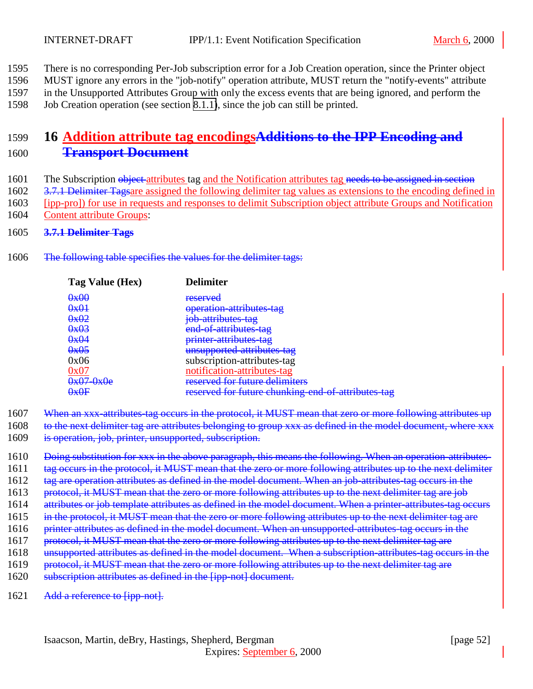- <span id="page-51-0"></span>1595 There is no corresponding Per-Job subscription error for a Job Creation operation, since the Printer object
- 1596 MUST ignore any errors in the "job-notify" operation attribute, MUST return the "notify-events" attribute
- 1597 in the Unsupported Attributes Group with only the excess events that are being ignored, and perform the
- 1598 Job Creation operation (see section [8.1.1\)](#page-35-0), since the job can still be printed.

# 1599 **16 Addition attribute tag encodingsAdditions to the IPP Encoding and** 1600 **Transport Document**

- 1601 The Subscription object attributes tag and the Notification attributes tag needs to be assigned in section
- 1602 3.7.1 Delimiter Tagsare assigned the following delimiter tag values as extensions to the encoding defined in
- 1603 [ipp-pro]) for use in requests and responses to delimit Subscription object attribute Groups and Notification
- 1604 Content attribute Groups:
- 1605 **3.7.1 Delimiter Tags**
- 1606 The following table specifies the values for the delimiter tags:

| Tag Value (Hex)                                | <b>Delimiter</b>                                   |
|------------------------------------------------|----------------------------------------------------|
| 0x00                                           | reserved                                           |
| 0x01                                           | operation attributes tag                           |
| 0x02                                           | job-attributes-tag                                 |
| 0x03                                           | end of attributes tag                              |
| 0x04                                           | printer attributes tag                             |
| 0x05                                           | unsupported attributes tag                         |
| 0x06                                           | subscription-attributes-tag                        |
|                                                | notification-attributes-tag                        |
| $\mathbf{b}$ r $\mathbf{b}$<br><del>VAVC</del> | recerved for future delimiters                     |
| ∩⊽∩⋤                                           | reserved for future chunking end of attributes tag |

- 1607 When an xxx-attributes-tag occurs in the protocol, it MUST mean that zero or more following attributes up
- 1608 to the next delimiter tag are attributes belonging to group xxx as defined in the model document, where xxx
- 1609 is operation, job, printer, unsupported, subscription.
- 1610 Doing substitution for xxx in the above paragraph, this means the following. When an operation-attributes-
- 1611 tag occurs in the protocol, it MUST mean that the zero or more following attributes up to the next delimiter
- 1612 tag are operation attributes as defined in the model document. When an job-attributes-tag occurs in the
- 1613 protocol, it MUST mean that the zero or more following attributes up to the next delimiter tag are job
- 1614 attributes or job template attributes as defined in the model document. When a printer-attributes-tag occurs
- 1615 in the protocol, it MUST mean that the zero or more following attributes up to the next delimiter tag are
- 1616 printer attributes as defined in the model document. When an unsupported-attributes-tag occurs in the
- 1617 protocol, it MUST mean that the zero or more following attributes up to the next delimiter tag are
- 1618 unsupported attributes as defined in the model document. When a subscription-attributes-tag occurs in the
- 1619 protocol, it MUST mean that the zero or more following attributes up to the next delimiter tag are
- 1620 subscription attributes as defined in the [ipp-not] document.
- 1621 Add a reference to [ipp-not].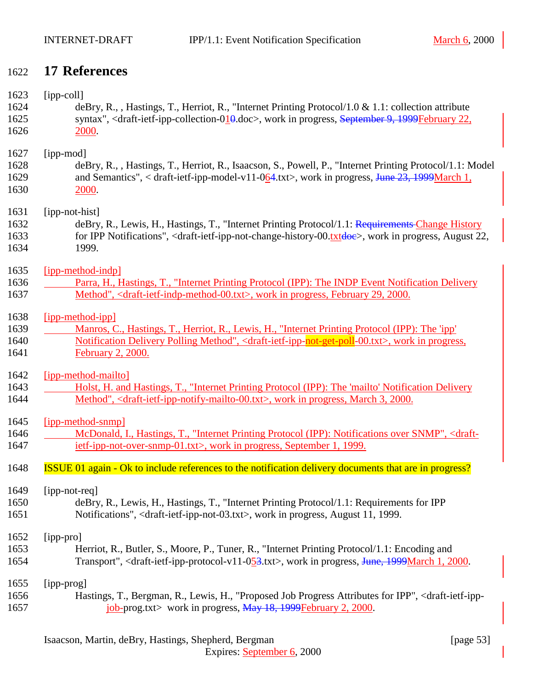# <span id="page-52-0"></span>1622 **17 References**

| 1623 | $[ipp-coll]$                                                                                                                                      |
|------|---------------------------------------------------------------------------------------------------------------------------------------------------|
| 1624 | deBry, R., , Hastings, T., Herriot, R., "Internet Printing Protocol/1.0 & 1.1: collection attribute                                               |
| 1625 | syntax", <draft-ietf-ipp-collection-010.doc>, work in progress, September 9, 1999February 22,</draft-ietf-ipp-collection-010.doc>                 |
| 1626 | 2000.                                                                                                                                             |
| 1627 | [ipp-mod]                                                                                                                                         |
| 1628 | deBry, R., , Hastings, T., Herriot, R., Isaacson, S., Powell, P., "Internet Printing Protocol/1.1: Model                                          |
| 1629 | and Semantics", < draft-ietf-ipp-model-v11-064.txt>, work in progress, June 23, 1999March 1,                                                      |
| 1630 | 2000.                                                                                                                                             |
| 1631 | [ipp-not-hist]                                                                                                                                    |
| 1632 | deBry, R., Lewis, H., Hastings, T., "Internet Printing Protocol/1.1: Requirements Change History                                                  |
| 1633 | for IPP Notifications", <draft-ietf-ipp-not-change-history-00.txtdoe>, work in progress, August 22,</draft-ietf-ipp-not-change-history-00.txtdoe> |
| 1634 | 1999.                                                                                                                                             |
| 1635 | [ipp-method-indp]                                                                                                                                 |
| 1636 | Parra, H., Hastings, T., "Internet Printing Protocol (IPP): The INDP Event Notification Delivery                                                  |
| 1637 | Method", <draft-ietf-indp-method-00.txt>, work in progress, February 29, 2000.</draft-ietf-indp-method-00.txt>                                    |
| 1638 | [ipp-method-ipp]                                                                                                                                  |
| 1639 | Manros, C., Hastings, T., Herriot, R., Lewis, H., "Internet Printing Protocol (IPP): The 'ipp'                                                    |
| 1640 | Notification Delivery Polling Method", <draft-ietf-ipp-not-get-poll-00.txt>, work in progress,</draft-ietf-ipp-not-get-poll-00.txt>               |
| 1641 | February 2, 2000.                                                                                                                                 |
| 1642 | [ipp-method-mailto]                                                                                                                               |
| 1643 | Holst, H. and Hastings, T., "Internet Printing Protocol (IPP): The 'mailto' Notification Delivery                                                 |
| 1644 | Method", <draft-ietf-ipp-notify-mailto-00.txt>, work in progress, March 3, 2000.</draft-ietf-ipp-notify-mailto-00.txt>                            |
| 1645 | [ipp-method-snmp]                                                                                                                                 |
| 1646 | McDonald, I., Hastings, T., "Internet Printing Protocol (IPP): Notifications over SNMP", <draft-< td=""></draft-<>                                |
| 1647 | ietf-ipp-not-over-snmp-01.txt>, work in progress, September 1, 1999.                                                                              |
| 1648 | <b>ISSUE 01 again - Ok to include references to the notification delivery documents that are in progress?</b>                                     |
| 1649 | [ipp-not-req]                                                                                                                                     |
| 1650 | deBry, R., Lewis, H., Hastings, T., "Internet Printing Protocol/1.1: Requirements for IPP                                                         |
| 1651 | Notifications", <draft-ietf-ipp-not-03.txt>, work in progress, August 11, 1999.</draft-ietf-ipp-not-03.txt>                                       |
| 1652 | [ipp-pro]                                                                                                                                         |
| 1653 | Herriot, R., Butler, S., Moore, P., Tuner, R., "Internet Printing Protocol/1.1: Encoding and                                                      |
| 1654 | Transport", <draft-ietf-ipp-protocol-v11-053.txt>, work in progress, June, 1999March 1, 2000.</draft-ietf-ipp-protocol-v11-053.txt>               |
| 1655 | [ipp-prog]                                                                                                                                        |
| 1656 | Hastings, T., Bergman, R., Lewis, H., "Proposed Job Progress Attributes for IPP", <draft-ietf-ipp-< td=""></draft-ietf-ipp-<>                     |
| 1657 | $\frac{\text{job-prog.txt}}{\text{job-prog.txt}}$ work in progress, $\frac{\text{May }18}{,}$ 1999 February 2, 2000.                              |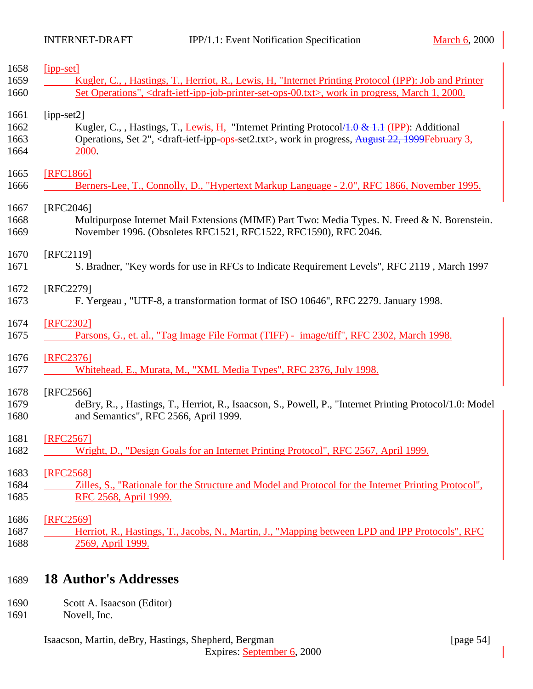<span id="page-53-0"></span>

| 1658 | $[$ ipp-set]                                                                                                                               |
|------|--------------------------------------------------------------------------------------------------------------------------------------------|
| 1659 | Kugler, C., , Hastings, T., Herriot, R., Lewis, H. "Internet Printing Protocol (IPP): Job and Printer                                      |
| 1660 | Set Operations", <draft-ietf-ipp-job-printer-set-ops-00.txt>, work in progress, March 1, 2000.</draft-ietf-ipp-job-printer-set-ops-00.txt> |
| 1661 | $[ipp-set2]$                                                                                                                               |
| 1662 | Kugler, C., , Hastings, T., Lewis, H. "Internet Printing Protocol 4.0 & 1.1 (IPP): Additional                                              |
| 1663 | Operations, Set 2", <draft-ietf-ipp-ops-set2.txt>, work in progress, August 22, 1999February 3,</draft-ietf-ipp-ops-set2.txt>              |
| 1664 | 2000.                                                                                                                                      |
|      |                                                                                                                                            |
| 1665 | [RFC1866]                                                                                                                                  |
| 1666 | Berners-Lee, T., Connolly, D., "Hypertext Markup Language - 2.0", RFC 1866, November 1995.                                                 |
| 1667 | [RFC2046]                                                                                                                                  |
| 1668 | Multipurpose Internet Mail Extensions (MIME) Part Two: Media Types. N. Freed & N. Borenstein.                                              |
| 1669 | November 1996. (Obsoletes RFC1521, RFC1522, RFC1590), RFC 2046.                                                                            |
| 1670 | [RFC2119]                                                                                                                                  |
| 1671 | S. Bradner, "Key words for use in RFCs to Indicate Requirement Levels", RFC 2119, March 1997                                               |
|      |                                                                                                                                            |
| 1672 | [RFC2279]                                                                                                                                  |
| 1673 | F. Yergeau, "UTF-8, a transformation format of ISO 10646", RFC 2279. January 1998.                                                         |
| 1674 | [RFC2302]                                                                                                                                  |
| 1675 | Parsons, G., et. al., "Tag Image File Format (TIFF) - image/tiff", RFC 2302, March 1998.                                                   |
|      |                                                                                                                                            |
| 1676 | [RFC2376]                                                                                                                                  |
| 1677 | Whitehead, E., Murata, M., "XML Media Types", RFC 2376, July 1998.                                                                         |
| 1678 | [RFC2566]                                                                                                                                  |
| 1679 | deBry, R., , Hastings, T., Herriot, R., Isaacson, S., Powell, P., "Internet Printing Protocol/1.0: Model                                   |
| 1680 | and Semantics", RFC 2566, April 1999.                                                                                                      |
| 1681 | [RFC2567]                                                                                                                                  |
| 1682 | Wright, D., "Design Goals for an Internet Printing Protocol", RFC 2567, April 1999.                                                        |
|      |                                                                                                                                            |
| 1683 | [RFC2568]                                                                                                                                  |
| 1684 | Zilles, S., "Rationale for the Structure and Model and Protocol for the Internet Printing Protocol",                                       |
| 1685 | RFC 2568, April 1999.                                                                                                                      |
| 1686 | [RFC2569]                                                                                                                                  |
| 1687 | Herriot, R., Hastings, T., Jacobs, N., Martin, J., "Mapping between LPD and IPP Protocols", RFC                                            |
| 1688 | 2569, April 1999.                                                                                                                          |
|      |                                                                                                                                            |
|      |                                                                                                                                            |

# 1689 **18 Author's Addresses**

- 1690 Scott A. Isaacson (Editor)
- 1691 Novell, Inc.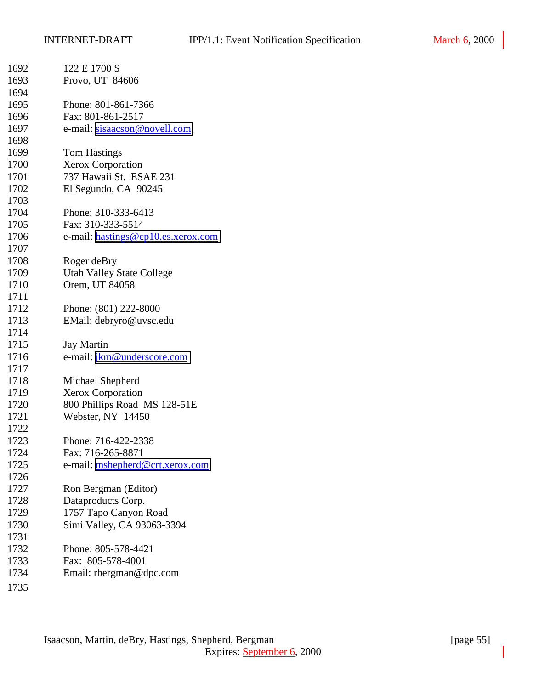| 1692 | 122 E 1700 S                                 |
|------|----------------------------------------------|
| 1693 | Provo, UT 84606                              |
| 1694 |                                              |
| 1695 | Phone: 801-861-7366                          |
| 1696 | Fax: 801-861-2517                            |
| 1697 | e-mail: sisaacson@novell.com                 |
| 1698 |                                              |
| 1699 | <b>Tom Hastings</b>                          |
| 1700 | <b>Xerox Corporation</b>                     |
| 1701 | 737 Hawaii St. ESAE 231                      |
| 1702 | El Segundo, CA 90245                         |
| 1703 |                                              |
| 1704 | Phone: 310-333-6413                          |
| 1705 | Fax: 310-333-5514                            |
| 1706 | e-mail: hastings@cp10.es.xerox.com           |
| 1707 |                                              |
| 1708 | Roger deBry                                  |
| 1709 | <b>Utah Valley State College</b>             |
| 1710 | Orem, UT 84058                               |
| 1711 |                                              |
| 1712 | Phone: (801) 222-8000                        |
| 1713 | EMail: debryro@uvsc.edu                      |
| 1714 |                                              |
| 1715 | <b>Jay Martin</b>                            |
| 1716 | e-mail: jkm@underscore.com                   |
| 1717 |                                              |
| 1718 |                                              |
| 1719 | Michael Shepherd<br><b>Xerox Corporation</b> |
| 1720 |                                              |
|      | 800 Phillips Road MS 128-51E                 |
| 1721 | Webster, NY 14450                            |
| 1722 |                                              |
| 1723 | Phone: 716-422-2338<br>Fax: 716-265-8871     |
| 1724 |                                              |
| 1725 | e-mail: mshepherd@crt.xerox.com              |
| 1726 |                                              |
| 1727 | Ron Bergman (Editor)                         |
| 1728 | Dataproducts Corp.                           |
| 1729 | 1757 Tapo Canyon Road                        |
| 1730 | Simi Valley, CA 93063-3394                   |
| 1731 |                                              |
| 1732 | Phone: 805-578-4421                          |
| 1733 | Fax: 805-578-4001                            |
| 1734 | Email: rbergman@dpc.com                      |
| 1735 |                                              |
|      |                                              |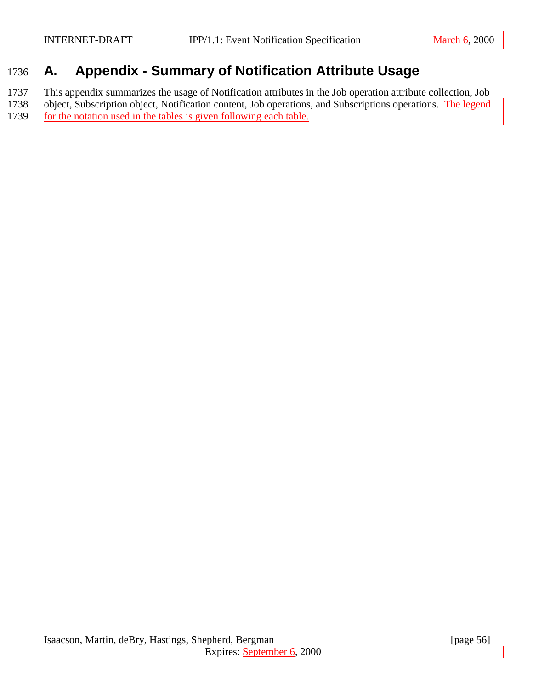# <span id="page-55-0"></span>1736 **A. Appendix - Summary of Notification Attribute Usage**

1737 This appendix summarizes the usage of Notification attributes in the Job operation attribute collection, Job 1738 object, Subscription object, Notification content, Job operations, and Subscriptions operations. The legend

1739 for the notation used in the tables is given following each table.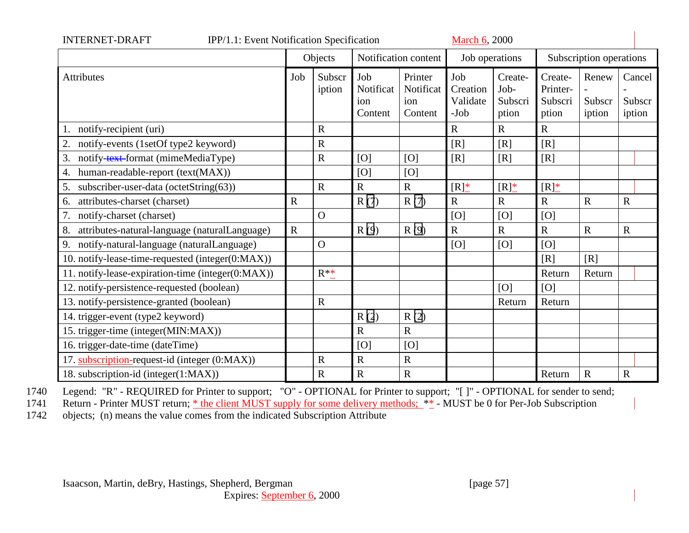| <b>INTERNET-DRAFT</b><br>IPP/1.1: Event Notification Specification<br><b>March 6, 2000</b> |                                 |                  |                                    |                                        |                                       |                                     |                                         |                           |                            |
|--------------------------------------------------------------------------------------------|---------------------------------|------------------|------------------------------------|----------------------------------------|---------------------------------------|-------------------------------------|-----------------------------------------|---------------------------|----------------------------|
|                                                                                            | Objects<br>Notification content |                  |                                    | Job operations                         |                                       | Subscription operations             |                                         |                           |                            |
| Attributes                                                                                 | Job                             | Subscr<br>iption | Job<br>Notificat<br>ion<br>Content | Printer<br>Notificat<br>ion<br>Content | Job<br>Creation<br>Validate<br>$-Job$ | Create-<br>Job-<br>Subscri<br>ption | Create-<br>Printer-<br>Subscri<br>ption | Renew<br>Subscr<br>iption | Cancel<br>Subscr<br>iption |
| notify-recipient (uri)                                                                     |                                 | $\mathbf R$      |                                    |                                        | $\mathbf R$                           | $\mathbf R$                         | $\mathbf R$                             |                           |                            |
| notify-events (1setOf type2 keyword)<br>2.                                                 |                                 | $\mathbf R$      |                                    |                                        | [R]                                   | [R]                                 | [R]                                     |                           |                            |
| 3.<br>notify-text-format (mimeMediaType)                                                   |                                 | $\mathbf R$      | [O]                                | [O]                                    | [R]                                   | [R]                                 | [R]                                     |                           |                            |
| human-readable-report (text(MAX))<br>4.                                                    |                                 |                  | [O]                                | [O]                                    |                                       |                                     |                                         |                           |                            |
| 5.<br>subscriber-user-data (octetString(63))                                               |                                 | $\overline{R}$   | $\mathbf R$                        | $\mathbf R$                            | $[R]_{-}^{*}$                         | $[R]_{-}^{*}$                       | $[R]_{-}^*$                             |                           |                            |
| attributes-charset (charset)<br>6.                                                         | $\mathbf R$                     |                  | R(7)                               | R(7)                                   | $\mathbf R$                           | $\mathbf R$                         | $\mathbf R$                             | $\mathbf R$               | $\mathbf R$                |
| notify-charset (charset)<br>7.                                                             |                                 | $\overline{O}$   |                                    |                                        | [O]                                   | [O]                                 | [O]                                     |                           |                            |
| attributes-natural-language (naturalLanguage)<br>8.                                        | $\mathbf R$                     |                  | R(9)                               | R(9)                                   | $\mathbf R$                           | $\mathbf R$                         | $\mathbf R$                             | $\mathbf R$               | $\mathbf R$                |
| notify-natural-language (naturalLanguage)<br>9.                                            |                                 | $\mathbf{O}$     |                                    |                                        | [O]                                   | [O]                                 | [O]                                     |                           |                            |
| 10. notify-lease-time-requested (integer(0:MAX))                                           |                                 |                  |                                    |                                        |                                       |                                     | [R]                                     | [R]                       |                            |
| 11. notify-lease-expiration-time (integer(0:MAX))                                          |                                 | $R^*^*$          |                                    |                                        |                                       |                                     | Return                                  | Return                    |                            |
| 12. notify-persistence-requested (boolean)                                                 |                                 |                  |                                    |                                        |                                       | [O]                                 | [O]                                     |                           |                            |
| 13. notify-persistence-granted (boolean)                                                   |                                 | $\mathbf R$      |                                    |                                        |                                       | Return                              | Return                                  |                           |                            |
| 14. trigger-event (type2 keyword)                                                          |                                 |                  | R(2)                               | R(2)                                   |                                       |                                     |                                         |                           |                            |
| 15. trigger-time (integer(MIN:MAX))                                                        |                                 |                  | $\mathbf R$                        | $\mathbf R$                            |                                       |                                     |                                         |                           |                            |
| 16. trigger-date-time (dateTime)                                                           |                                 |                  | [O]                                | [O]                                    |                                       |                                     |                                         |                           |                            |
| 17. subscription-request-id (integer (0:MAX))                                              |                                 | $\mathbf R$      | $\mathbf R$                        | $\mathbf R$                            |                                       |                                     |                                         |                           |                            |
| 18. subscription-id (integer(1:MAX))                                                       |                                 | $\mathbf R$      | $\mathbf R$                        | ${\bf R}$                              |                                       |                                     | Return                                  | $\mathbf R$               | $\mathbf R$                |

1740 Legend: "R" - REQUIRED for Printer to support; "O" - OPTIONAL for Printer to support; "[ ]" - OPTIONAL for sender to send;<br>1741 Return - Printer MUST return; \* the client MUST supply for some delivery methods; \*\* - MU

Return - Printer MUST return; \* the client MUST supply for some delivery methods; \*\* - MUST be 0 for Per-Job Subscription

1742 objects; (n) means the value comes from the indicated Subscription Attribute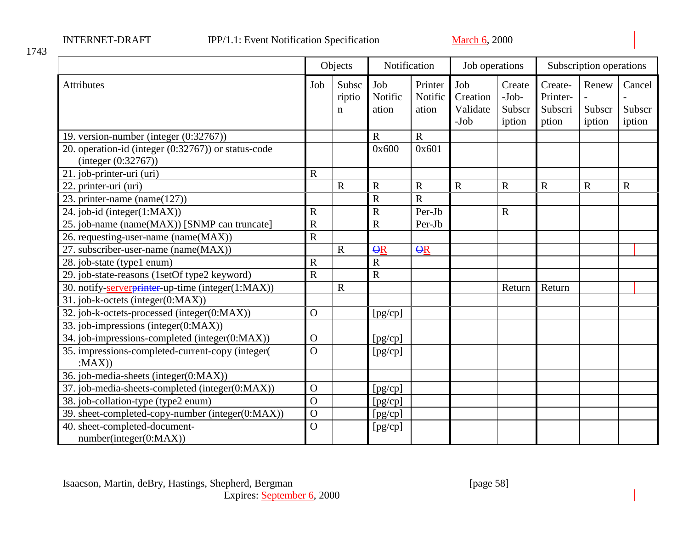|                                                                            | Objects               |                      | Notification            |                             | Job operations                        |                                       | Subscription operations                 |                           |                            |
|----------------------------------------------------------------------------|-----------------------|----------------------|-------------------------|-----------------------------|---------------------------------------|---------------------------------------|-----------------------------------------|---------------------------|----------------------------|
| <b>Attributes</b>                                                          | Job                   | Subsc<br>riptio<br>n | Job<br>Notific<br>ation | Printer<br>Notific<br>ation | Job<br>Creation<br>Validate<br>$-Job$ | Create<br>$-Job-$<br>Subscr<br>iption | Create-<br>Printer-<br>Subscri<br>ption | Renew<br>Subscr<br>iption | Cancel<br>Subscr<br>iption |
| 19. version-number (integer (0:32767))                                     |                       |                      | $\mathbf R$             | $\mathbf R$                 |                                       |                                       |                                         |                           |                            |
| 20. operation-id (integer (0:32767)) or status-code<br>(integer (0:32767)) |                       |                      | 0x600                   | 0x601                       |                                       |                                       |                                         |                           |                            |
| 21. job-printer-uri (uri)                                                  | $\mathbf R$           |                      |                         |                             |                                       |                                       |                                         |                           |                            |
| 22. printer-uri (uri)                                                      |                       | $\mathbf R$          | $\mathbf R$             | $\mathbf R$                 | $\mathbf R$                           | $\mathbf R$                           | $\overline{R}$                          | $\mathbf R$               | $\mathbf R$                |
| 23. printer-name $(name(127))$                                             |                       |                      | $\overline{R}$          | $\overline{R}$              |                                       |                                       |                                         |                           |                            |
| 24. job-id (integer(1:MAX))                                                | $\mathbf R$           |                      | $\mathbf R$             | Per-Jb                      |                                       | $\mathbf R$                           |                                         |                           |                            |
| 25. job-name (name(MAX)) [SNMP can truncate]                               | $\mathsf{R}$          |                      | $\mathbf R$             | Per-Jb                      |                                       |                                       |                                         |                           |                            |
| 26. requesting-user-name (name(MAX))                                       | $\overline{\text{R}}$ |                      |                         |                             |                                       |                                       |                                         |                           |                            |
| 27. subscriber-user-name (name(MAX))                                       |                       | $\mathbf R$          | $\overline{\Theta}R$    | $\Theta$ R                  |                                       |                                       |                                         |                           |                            |
| 28. job-state (type1 enum)                                                 | $\mathbf R$           |                      | ${\bf R}$               |                             |                                       |                                       |                                         |                           |                            |
| 29. job-state-reasons (1setOf type2 keyword)                               | $\overline{R}$        |                      | $\mathbf R$             |                             |                                       |                                       |                                         |                           |                            |
| 30. notify-serverprinter-up-time (integer(1:MAX))                          |                       | $\mathbf R$          |                         |                             |                                       | Return                                | Return                                  |                           |                            |
| 31. job-k-octets (integer(0:MAX))                                          |                       |                      |                         |                             |                                       |                                       |                                         |                           |                            |
| 32. job-k-octets-processed (integer(0:MAX))                                | $\overline{O}$        |                      | [pg/cp]                 |                             |                                       |                                       |                                         |                           |                            |
| 33. job-impressions (integer(0:MAX))                                       |                       |                      |                         |                             |                                       |                                       |                                         |                           |                            |
| 34. job-impressions-completed (integer(0:MAX))                             | $\mathbf{O}$          |                      | [pg/cp]                 |                             |                                       |                                       |                                         |                           |                            |
| 35. impressions-completed-current-copy (integer(<br>:MAX()                 | $\overline{O}$        |                      | [pg/cp]                 |                             |                                       |                                       |                                         |                           |                            |
| 36. job-media-sheets (integer(0:MAX))                                      |                       |                      |                         |                             |                                       |                                       |                                         |                           |                            |
| 37. job-media-sheets-completed (integer(0:MAX))                            | $\mathbf O$           |                      | [pg/cp]                 |                             |                                       |                                       |                                         |                           |                            |
| 38. job-collation-type (type2 enum)                                        | $\overline{O}$        |                      | [pg/cp]                 |                             |                                       |                                       |                                         |                           |                            |
| 39. sheet-completed-copy-number (integer(0:MAX))                           | $\overline{O}$        |                      | [pg/cp]                 |                             |                                       |                                       |                                         |                           |                            |
| 40. sheet-completed-document-<br>number(integer(0:MAX))                    | $\overline{O}$        |                      | [pg/cp]                 |                             |                                       |                                       |                                         |                           |                            |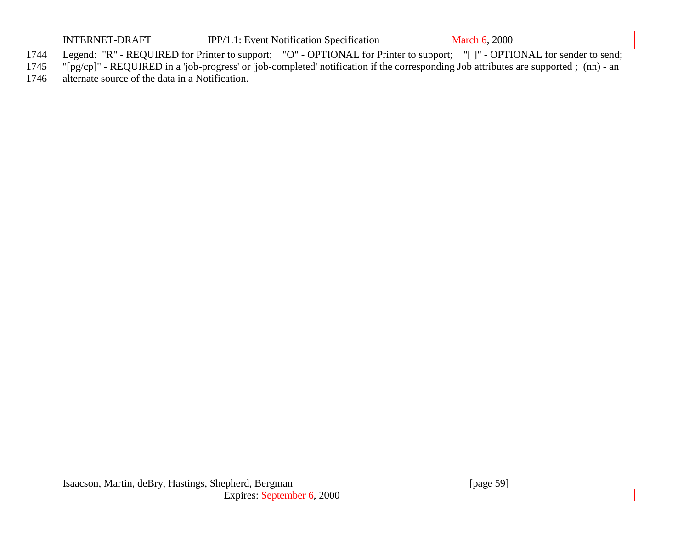INTERNET-DRAFT IPP/1.1: Event Notification Specification March 6, 2000

- 1744 Legend: "R" REQUIRED for Printer to support; "O" OPTIONAL for Printer to support; "[ ]" OPTIONAL for sender to send;<br>1745 "[pg/cp]" REQUIRED in a 'job-progress' or 'job-completed' notification if the correspon
- "[pg/cp]" REQUIRED in a 'job-progress' or 'job-completed' notification if the corresponding Job attributes are supported ; (nn) an
- 1746 alternate source of the data in a Notification.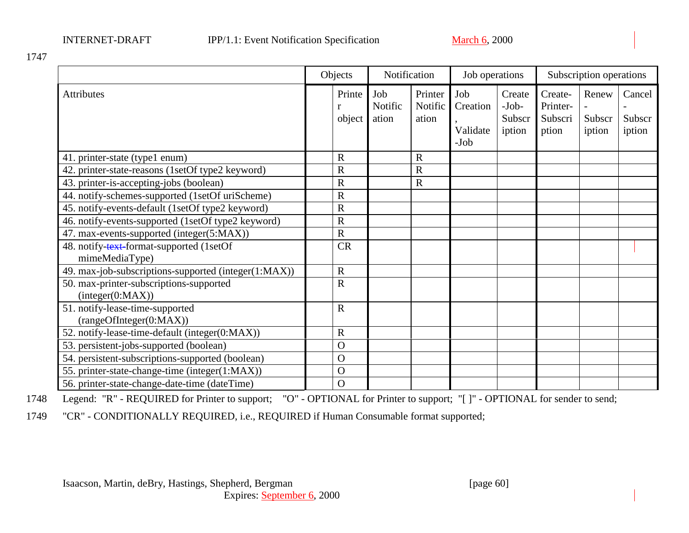|                                                             | Objects               |                         | Notification                |                                     | Job operations                        |                                         | Subscription operations   |                            |
|-------------------------------------------------------------|-----------------------|-------------------------|-----------------------------|-------------------------------------|---------------------------------------|-----------------------------------------|---------------------------|----------------------------|
| <b>Attributes</b>                                           | Printe<br>r<br>object | Job<br>Notific<br>ation | Printer<br>Notific<br>ation | Job<br>Creation<br>Validate<br>-Job | Create<br>$-Job-$<br>Subscr<br>iption | Create-<br>Printer-<br>Subscri<br>ption | Renew<br>Subscr<br>iption | Cancel<br>Subscr<br>iption |
| 41. printer-state (type1 enum)                              | $\mathbf R$           |                         | $\mathbf R$                 |                                     |                                       |                                         |                           |                            |
| 42. printer-state-reasons (1setOf type2 keyword)            | $\mathbf R$           |                         | $\mathbb{R}$                |                                     |                                       |                                         |                           |                            |
| 43. printer-is-accepting-jobs (boolean)                     | $\overline{\text{R}}$ |                         | $\mathbf R$                 |                                     |                                       |                                         |                           |                            |
| 44. notify-schemes-supported (1setOf uriScheme)             | $\mathbf R$           |                         |                             |                                     |                                       |                                         |                           |                            |
| 45. notify-events-default (1setOf type2 keyword)            | $\mathbf R$           |                         |                             |                                     |                                       |                                         |                           |                            |
| 46. notify-events-supported (1setOf type2 keyword)          | $\overline{\text{R}}$ |                         |                             |                                     |                                       |                                         |                           |                            |
| 47. max-events-supported (integer(5:MAX))                   | $\overline{R}$        |                         |                             |                                     |                                       |                                         |                           |                            |
| 48. notify-text-format-supported (1setOf<br>mimeMediaType)  | <b>CR</b>             |                         |                             |                                     |                                       |                                         |                           |                            |
| 49. max-job-subscriptions-supported (integer(1:MAX))        | $\mathbf R$           |                         |                             |                                     |                                       |                                         |                           |                            |
| 50. max-printer-subscriptions-supported<br>(integer(0:MAX)) | $\overline{R}$        |                         |                             |                                     |                                       |                                         |                           |                            |
| 51. notify-lease-time-supported<br>(rangeOfInteger(0:MAX))  | $\overline{R}$        |                         |                             |                                     |                                       |                                         |                           |                            |
| 52. notify-lease-time-default (integer(0:MAX))              | $\mathbf R$           |                         |                             |                                     |                                       |                                         |                           |                            |
| 53. persistent-jobs-supported (boolean)                     | $\overline{O}$        |                         |                             |                                     |                                       |                                         |                           |                            |
| 54. persistent-subscriptions-supported (boolean)            | $\mathbf O$           |                         |                             |                                     |                                       |                                         |                           |                            |
| 55. printer-state-change-time (integer(1:MAX))              | $\mathbf O$           |                         |                             |                                     |                                       |                                         |                           |                            |
| 56. printer-state-change-date-time (dateTime)               | $\mathbf O$           |                         |                             |                                     |                                       |                                         |                           |                            |

1748 Legend: "R" - REQUIRED for Printer to support; "O" - OPTIONAL for Printer to support; "[ ]" - OPTIONAL for sender to send;

1749 "CR" - CONDITIONALLY REQUIRED, i.e., REQUIRED if Human Consumable format supported;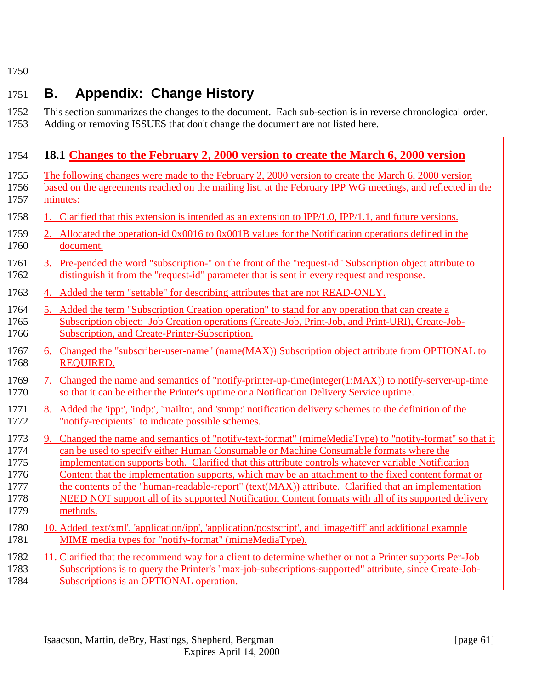# <span id="page-60-0"></span>1751 **B. Appendix: Change History**

| 1752 | This section summarizes the changes to the document. Each sub-section is in reverse chronological order. |
|------|----------------------------------------------------------------------------------------------------------|
| 1753 | Adding or removing ISSUES that don't change the document are not listed here.                            |

# 1754 **18.1 Changes to the February 2, 2000 version to create the March 6, 2000 version**

| 1755         | The following changes were made to the February 2, 2000 version to create the March 6, 2000 version                                                                                                  |
|--------------|------------------------------------------------------------------------------------------------------------------------------------------------------------------------------------------------------|
| 1756         | based on the agreements reached on the mailing list, at the February IPP WG meetings, and reflected in the                                                                                           |
| 1757         | minutes:                                                                                                                                                                                             |
| 1758         | Clarified that this extension is intended as an extension to $IPP/1.0$ , $IPP/1.1$ , and future versions.                                                                                            |
| 1759         | 2. Allocated the operation-id 0x0016 to 0x001B values for the Notification operations defined in the                                                                                                 |
| 1760         | document.                                                                                                                                                                                            |
| 1761         | 3. Pre-pended the word "subscription-" on the front of the "request-id" Subscription object attribute to                                                                                             |
| 1762         | distinguish it from the "request-id" parameter that is sent in every request and response.                                                                                                           |
| 1763         | 4. Added the term "settable" for describing attributes that are not READ-ONLY.                                                                                                                       |
| 1764         | 5. Added the term "Subscription Creation operation" to stand for any operation that can create a                                                                                                     |
| 1765         | Subscription object: Job Creation operations (Create-Job, Print-Job, and Print-URI), Create-Job-                                                                                                     |
| 1766         | Subscription, and Create-Printer-Subscription.                                                                                                                                                       |
| 1767         | 6. Changed the "subscriber-user-name" (name(MAX)) Subscription object attribute from OPTIONAL to                                                                                                     |
| 1768         | <b>REQUIRED.</b>                                                                                                                                                                                     |
| 1769<br>1770 | Changed the name and semantics of "notify-printer-up-time(integer(1:MAX)) to notify-server-up-time<br>7.<br>so that it can be either the Printer's uptime or a Notification Delivery Service uptime. |
| 1771         | 8. Added the 'ipp:', 'indp:', 'mailto:, and 'snmp:' notification delivery schemes to the definition of the                                                                                           |
| 1772         | "notify-recipients" to indicate possible schemes.                                                                                                                                                    |
| 1773         | 9. Changed the name and semantics of "notify-text-format" (mimeMediaType) to "notify-format" so that it                                                                                              |
| 1774         | can be used to specify either Human Consumable or Machine Consumable formats where the                                                                                                               |
| 1775         | implementation supports both. Clarified that this attribute controls whatever variable Notification                                                                                                  |
| 1776         | Content that the implementation supports, which may be an attachment to the fixed content format or                                                                                                  |
| 1777         | the contents of the "human-readable-report" (text(MAX)) attribute. Clarified that an implementation                                                                                                  |
| 1778         | NEED NOT support all of its supported Notification Content formats with all of its supported delivery                                                                                                |
| 1779         | methods.                                                                                                                                                                                             |
| 1780         | 10. Added 'text/xml', 'application/ipp', 'application/postscript', and 'image/tiff' and additional example                                                                                           |
| 1781         | MIME media types for "notify-format" (mimeMediaType).                                                                                                                                                |
| 1782         | 11. Clarified that the recommend way for a client to determine whether or not a Printer supports Per-Job                                                                                             |
| 1783         | Subscriptions is to query the Printer's "max-job-subscriptions-supported" attribute, since Create-Job-                                                                                               |

1784 Subscriptions is an OPTIONAL operation.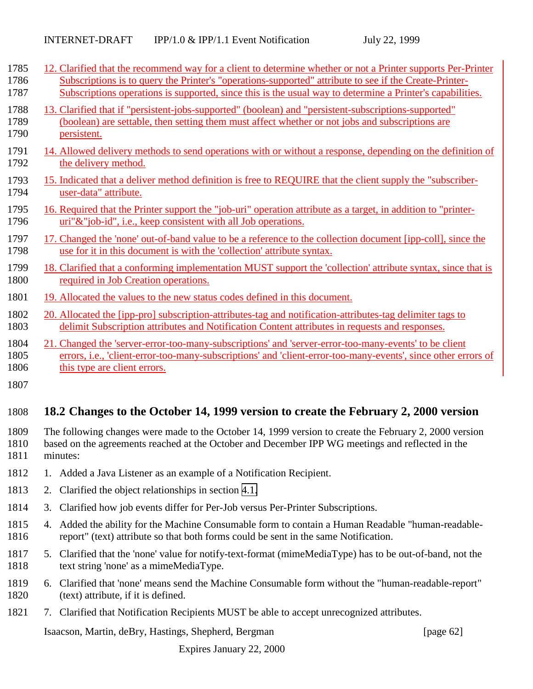<span id="page-61-0"></span>

| 1785 | 12. Clarified that the recommend way for a client to determine whether or not a Printer supports Per-Printer  |
|------|---------------------------------------------------------------------------------------------------------------|
| 1786 | Subscriptions is to query the Printer's "operations-supported" attribute to see if the Create-Printer-        |
| 1787 | Subscriptions operations is supported, since this is the usual way to determine a Printer's capabilities.     |
| 1788 | 13. Clarified that if "persistent-jobs-supported" (boolean) and "persistent-subscriptions-supported"          |
| 1789 | (boolean) are settable, then setting them must affect whether or not jobs and subscriptions are               |
| 1790 | persistent.                                                                                                   |
| 1791 | 14. Allowed delivery methods to send operations with or without a response, depending on the definition of    |
| 1792 | the delivery method.                                                                                          |
| 1793 | 15. Indicated that a deliver method definition is free to REQUIRE that the client supply the "subscriber-     |
| 1794 | user-data" attribute.                                                                                         |
| 1795 | 16. Required that the Printer support the "job-uri" operation attribute as a target, in addition to "printer- |
| 1796 | uri"&"job-id", i.e., keep consistent with all Job operations.                                                 |
| 1797 | 17. Changed the 'none' out-of-band value to be a reference to the collection document [ipp-coll], since the   |
| 1798 | use for it in this document is with the 'collection' attribute syntax.                                        |
| 1799 | 18. Clarified that a conforming implementation MUST support the 'collection' attribute syntax, since that is  |
| 1800 | required in Job Creation operations.                                                                          |
| 1801 | 19. Allocated the values to the new status codes defined in this document.                                    |
| 1802 | 20. Allocated the [ipp-pro] subscription-attributes-tag and notification-attributes-tag delimiter tags to     |
| 1803 | delimit Subscription attributes and Notification Content attributes in requests and responses.                |
| 1804 | 21. Changed the 'server-error-too-many-subscriptions' and 'server-error-too-many-events' to be client         |
| 1805 | errors, i.e., 'client-error-too-many-subscriptions' and 'client-error-too-many-events', since other errors of |
| 1806 | this type are client errors.                                                                                  |
| 1807 |                                                                                                               |

## 1808 **18.2 Changes to the October 14, 1999 version to create the February 2, 2000 version**

1809 The following changes were made to the October 14, 1999 version to create the February 2, 2000 version 1810 based on the agreements reached at the October and December IPP WG meetings and reflected in the 1811 minutes:

- 1812 1. Added a Java Listener as an example of a Notification Recipient.
- 1813 2. Clarified the object relationships in section [4.1.](#page-15-0)
- 1814 3. Clarified how job events differ for Per-Job versus Per-Printer Subscriptions.
- 1815 4. Added the ability for the Machine Consumable form to contain a Human Readable "human-readable-1816 report" (text) attribute so that both forms could be sent in the same Notification.
- 1817 5. Clarified that the 'none' value for notify-text-format (mimeMediaType) has to be out-of-band, not the 1818 text string 'none' as a mimeMediaType.
- 1819 6. Clarified that 'none' means send the Machine Consumable form without the "human-readable-report" 1820 (text) attribute, if it is defined.
- 1821 7. Clarified that Notification Recipients MUST be able to accept unrecognized attributes.

Isaacson, Martin, deBry, Hastings, Shepherd, Bergman [page 62]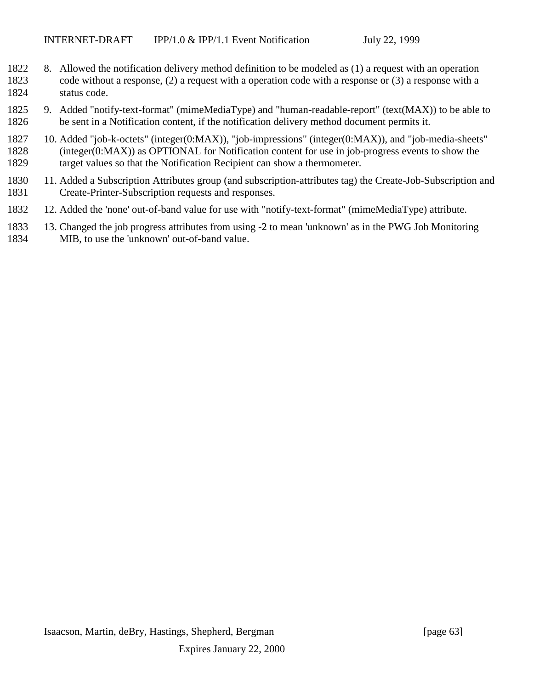- 8. Allowed the notification delivery method definition to be modeled as (1) a request with an operation code without a response, (2) a request with a operation code with a response or (3) a response with a status code.
- 9. Added "notify-text-format" (mimeMediaType) and "human-readable-report" (text(MAX)) to be able to be sent in a Notification content, if the notification delivery method document permits it.
- 10. Added "job-k-octets" (integer(0:MAX)), "job-impressions" (integer(0:MAX)), and "job-media-sheets" (integer(0:MAX)) as OPTIONAL for Notification content for use in job-progress events to show the target values so that the Notification Recipient can show a thermometer.
- 11. Added a Subscription Attributes group (and subscription-attributes tag) the Create-Job-Subscription and Create-Printer-Subscription requests and responses.
- 12. Added the 'none' out-of-band value for use with "notify-text-format" (mimeMediaType) attribute.
- 13. Changed the job progress attributes from using -2 to mean 'unknown' as in the PWG Job Monitoring MIB, to use the 'unknown' out-of-band value.